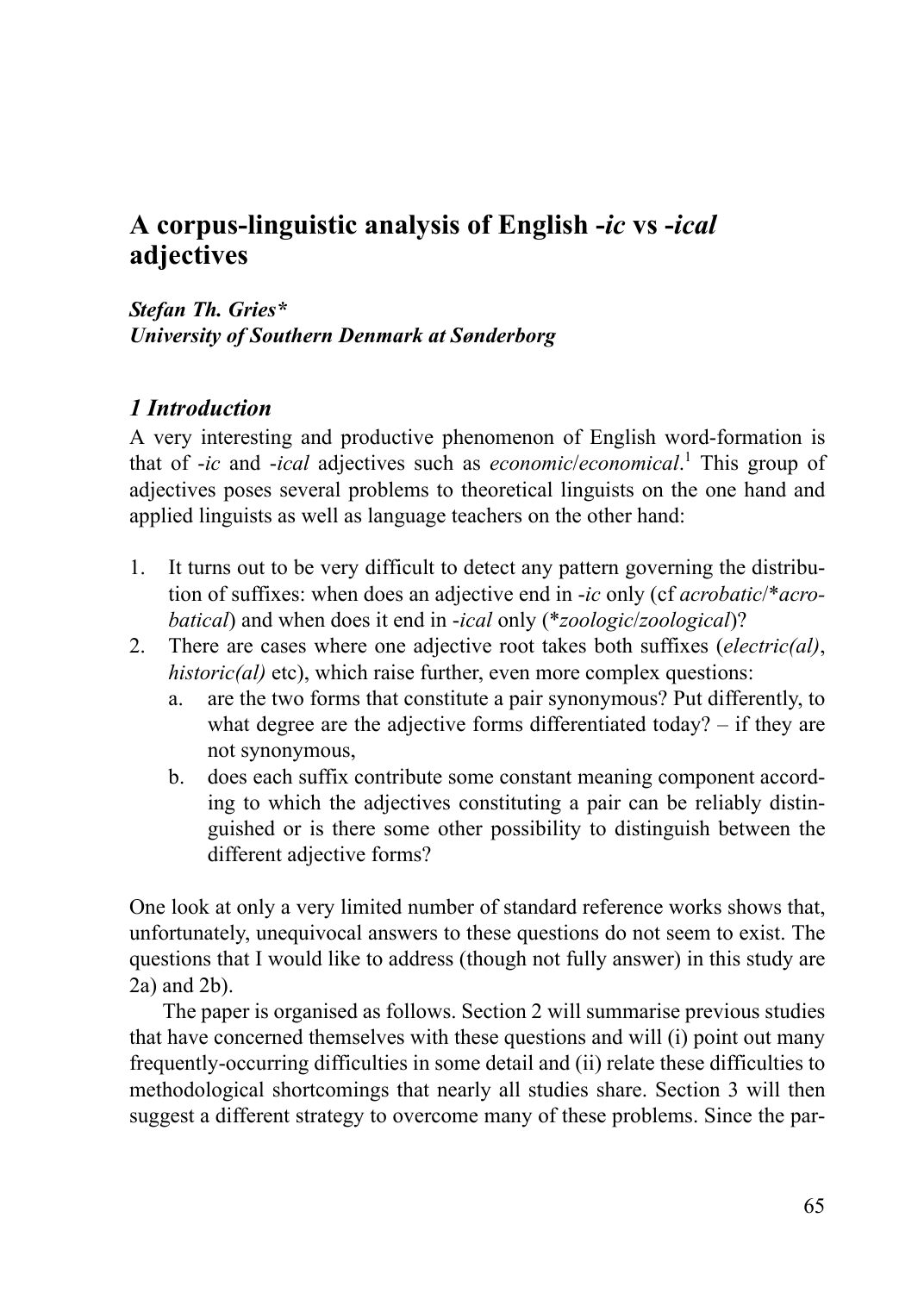# **A corpus-linguistic analysis of English -***ic* **vs -***ical* **adjectives**

*Stefan Th. Gries\* University of Southern Denmark at Sønderborg*

#### *1 Introduction*

A very interesting and productive phenomenon of English word-formation is that of -*ic* and -*ical* adjectives such as *economic*/*economical*. 1 This group of adjectives poses several problems to theoretical linguists on the one hand and applied linguists as well as language teachers on the other hand:

- 1. It turns out to be very difficult to detect any pattern governing the distribution of suffixes: when does an adjective end in -*ic* only (cf *acrobatic*/\**acrobatical*) and when does it end in -*ical* only (\**zoologic*/*zoological*)?
- 2. There are cases where one adjective root takes both suffixes (*electric(al)*, *historic(al)* etc), which raise further, even more complex questions:
	- a. are the two forms that constitute a pair synonymous? Put differently, to what degree are the adjective forms differentiated today? – if they are not synonymous,
	- b. does each suffix contribute some constant meaning component according to which the adjectives constituting a pair can be reliably distinguished or is there some other possibility to distinguish between the different adjective forms?

One look at only a very limited number of standard reference works shows that, unfortunately, unequivocal answers to these questions do not seem to exist. The questions that I would like to address (though not fully answer) in this study are 2a) and 2b).

The paper is organised as follows. Section 2 will summarise previous studies that have concerned themselves with these questions and will (i) point out many frequently-occurring difficulties in some detail and (ii) relate these difficulties to methodological shortcomings that nearly all studies share. Section 3 will then suggest a different strategy to overcome many of these problems. Since the par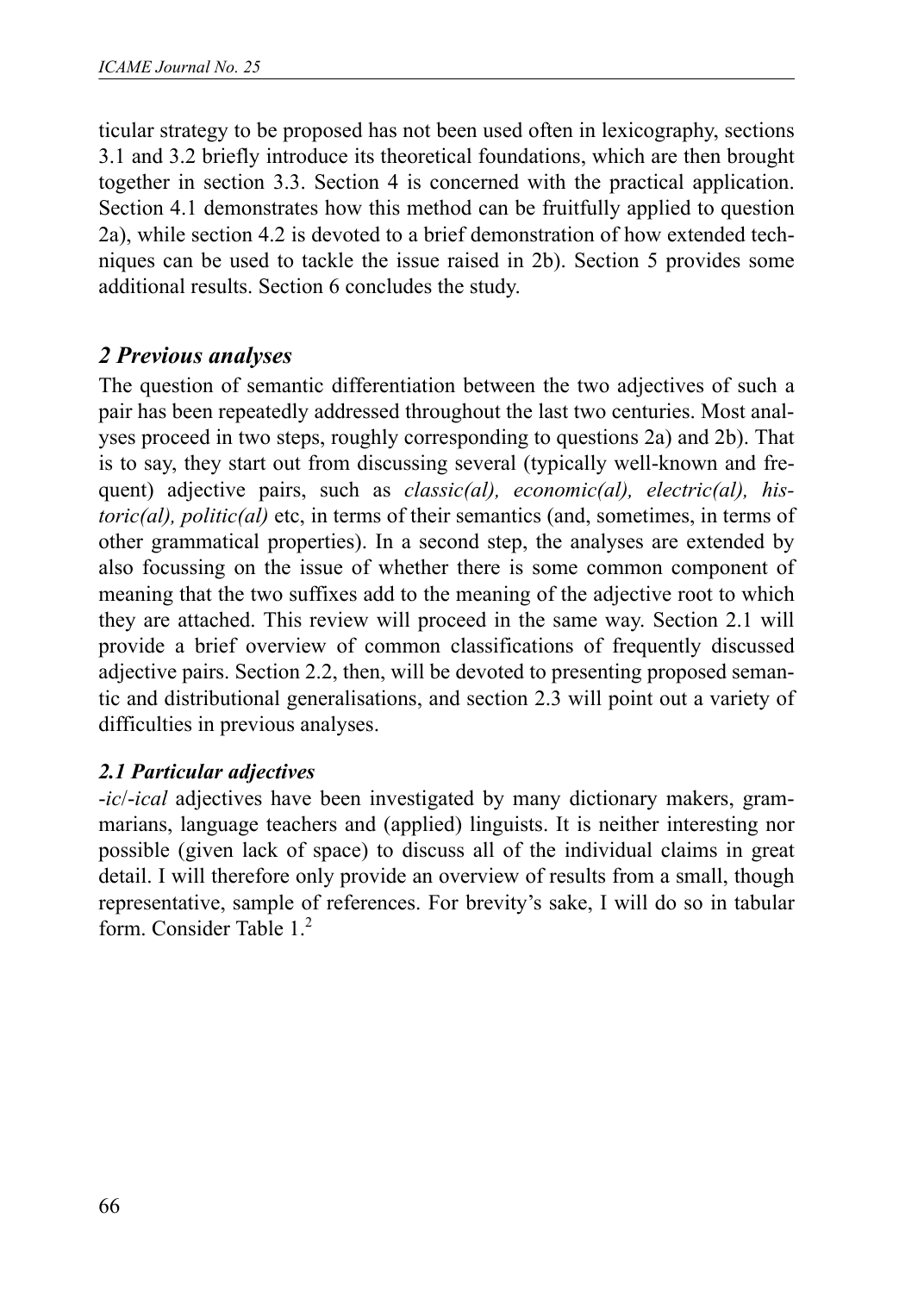ticular strategy to be proposed has not been used often in lexicography, sections 3.1 and 3.2 briefly introduce its theoretical foundations, which are then brought together in section 3.3. Section 4 is concerned with the practical application. Section 4.1 demonstrates how this method can be fruitfully applied to question 2a), while section 4.2 is devoted to a brief demonstration of how extended techniques can be used to tackle the issue raised in 2b). Section 5 provides some additional results. Section 6 concludes the study.

# *2 Previous analyses*

The question of semantic differentiation between the two adjectives of such a pair has been repeatedly addressed throughout the last two centuries. Most analyses proceed in two steps, roughly corresponding to questions 2a) and 2b). That is to say, they start out from discussing several (typically well-known and frequent) adjective pairs, such as *classic(al), economic(al), electric(al), historic(al), politic(al)* etc, in terms of their semantics (and, sometimes, in terms of other grammatical properties). In a second step, the analyses are extended by also focussing on the issue of whether there is some common component of meaning that the two suffixes add to the meaning of the adjective root to which they are attached. This review will proceed in the same way. Section 2.1 will provide a brief overview of common classifications of frequently discussed adjective pairs. Section 2.2, then, will be devoted to presenting proposed semantic and distributional generalisations, and section 2.3 will point out a variety of difficulties in previous analyses.

#### *2.1 Particular adjectives*

-*ic*/-*ical* adjectives have been investigated by many dictionary makers, grammarians, language teachers and (applied) linguists. It is neither interesting nor possible (given lack of space) to discuss all of the individual claims in great detail. I will therefore only provide an overview of results from a small, though representative, sample of references. For brevity's sake, I will do so in tabular form. Consider Table 1.2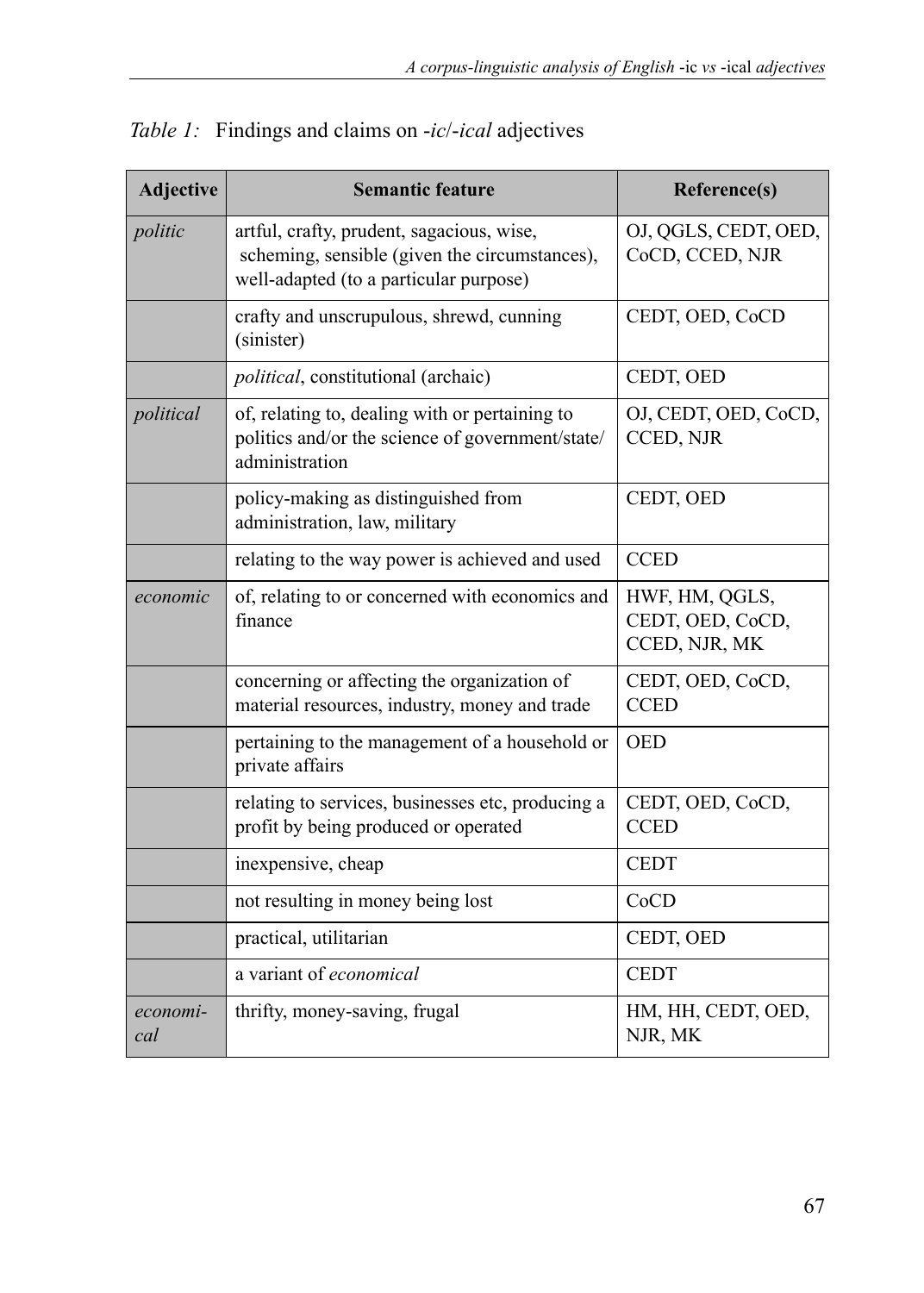| Adjective       | <b>Semantic feature</b>                                                                                                              | Reference(s)                                        |
|-----------------|--------------------------------------------------------------------------------------------------------------------------------------|-----------------------------------------------------|
| politic         | artful, crafty, prudent, sagacious, wise,<br>scheming, sensible (given the circumstances),<br>well-adapted (to a particular purpose) | OJ, QGLS, CEDT, OED,<br>CoCD, CCED, NJR             |
|                 | crafty and unscrupulous, shrewd, cunning<br>(sinister)                                                                               | CEDT, OED, CoCD                                     |
|                 | political, constitutional (archaic)                                                                                                  | CEDT, OED                                           |
| political       | of, relating to, dealing with or pertaining to<br>politics and/or the science of government/state/<br>administration                 | OJ, CEDT, OED, CoCD,<br>CCED, NJR                   |
|                 | policy-making as distinguished from<br>administration, law, military                                                                 | CEDT, OED                                           |
|                 | relating to the way power is achieved and used                                                                                       | <b>CCED</b>                                         |
| economic        | of, relating to or concerned with economics and<br>finance                                                                           | HWF, HM, QGLS,<br>CEDT, OED, CoCD,<br>CCED, NJR, MK |
|                 | concerning or affecting the organization of<br>material resources, industry, money and trade                                         | CEDT, OED, CoCD,<br><b>CCED</b>                     |
|                 | pertaining to the management of a household or<br>private affairs                                                                    | <b>OED</b>                                          |
|                 | relating to services, businesses etc, producing a<br>profit by being produced or operated                                            | CEDT, OED, CoCD,<br><b>CCED</b>                     |
|                 | inexpensive, cheap                                                                                                                   | <b>CEDT</b>                                         |
|                 | not resulting in money being lost                                                                                                    | CoCD                                                |
|                 | practical, utilitarian                                                                                                               | CEDT, OED                                           |
|                 | a variant of economical                                                                                                              | <b>CEDT</b>                                         |
| economi-<br>cal | thrifty, money-saving, frugal                                                                                                        | HM, HH, CEDT, OED,<br>NJR, MK                       |

*Table 1:* Findings and claims on -*ic*/-*ical* adjectives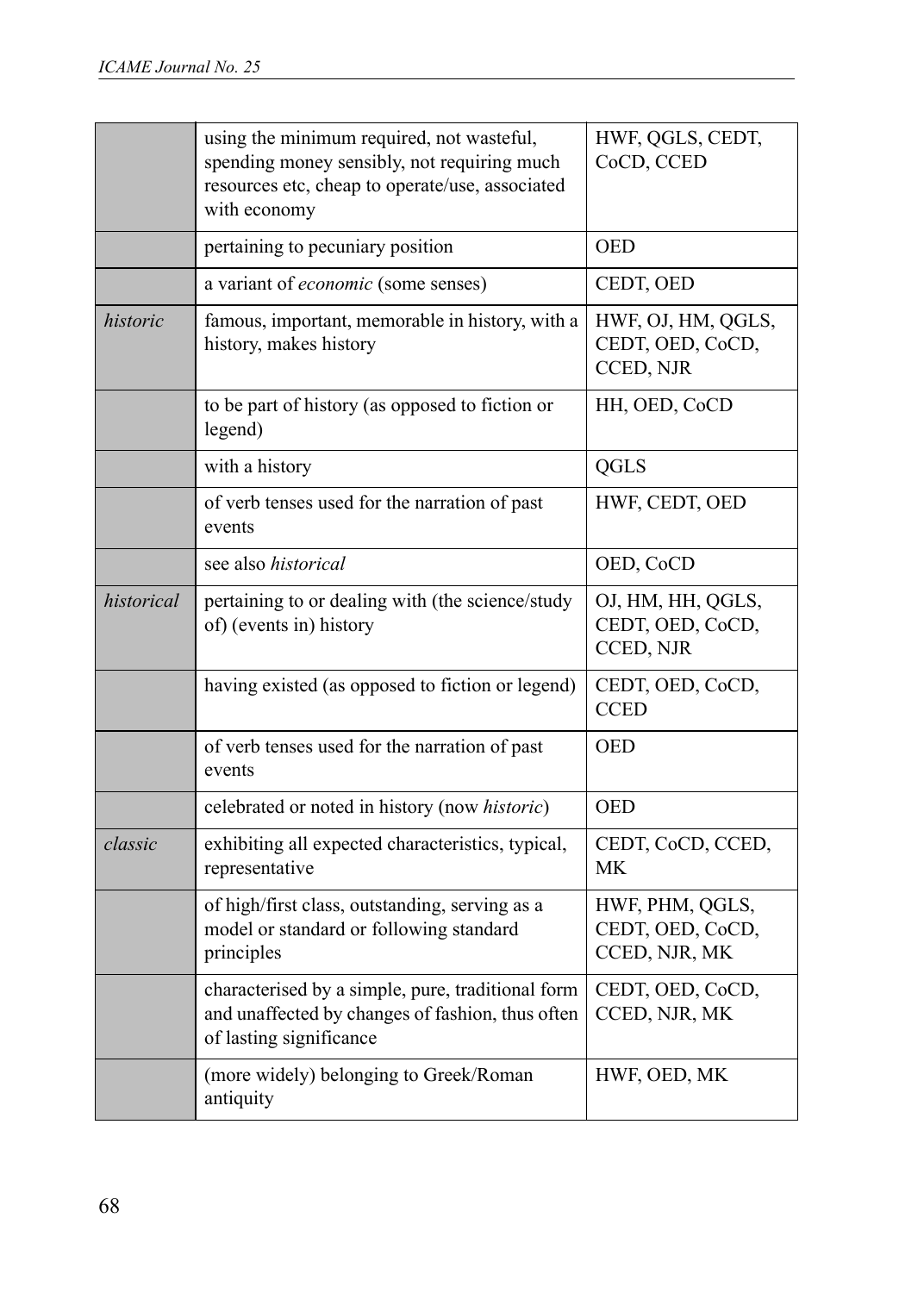|            | using the minimum required, not wasteful,<br>spending money sensibly, not requiring much<br>resources etc, cheap to operate/use, associated<br>with economy | HWF, QGLS, CEDT,<br>CoCD, CCED                       |  |  |
|------------|-------------------------------------------------------------------------------------------------------------------------------------------------------------|------------------------------------------------------|--|--|
|            | pertaining to pecuniary position                                                                                                                            | <b>OED</b>                                           |  |  |
|            | a variant of <i>economic</i> (some senses)                                                                                                                  | CEDT, OED                                            |  |  |
| historic   | famous, important, memorable in history, with a<br>history, makes history                                                                                   | HWF, OJ, HM, QGLS,<br>CEDT, OED, CoCD,<br>CCED, NJR  |  |  |
|            | to be part of history (as opposed to fiction or<br>legend)                                                                                                  | HH, OED, CoCD                                        |  |  |
|            | with a history                                                                                                                                              | QGLS                                                 |  |  |
|            | of verb tenses used for the narration of past<br>events                                                                                                     | HWF, CEDT, OED                                       |  |  |
|            | see also <i>historical</i>                                                                                                                                  | OED, CoCD                                            |  |  |
| historical | pertaining to or dealing with (the science/study<br>of) (events in) history                                                                                 | OJ, HM, HH, QGLS,<br>CEDT, OED, CoCD,<br>CCED, NJR   |  |  |
|            | having existed (as opposed to fiction or legend)                                                                                                            | CEDT, OED, CoCD,<br><b>CCED</b>                      |  |  |
|            | of verb tenses used for the narration of past<br>events                                                                                                     | <b>OED</b>                                           |  |  |
|            | celebrated or noted in history (now historic)                                                                                                               | <b>OED</b>                                           |  |  |
| classic    | exhibiting all expected characteristics, typical,<br>representative                                                                                         | CEDT, CoCD, CCED,<br>МK                              |  |  |
|            | of high/first class, outstanding, serving as a<br>model or standard or following standard<br>principles                                                     | HWF, PHM, QGLS,<br>CEDT, OED, CoCD,<br>CCED, NJR, MK |  |  |
|            | characterised by a simple, pure, traditional form<br>and unaffected by changes of fashion, thus often<br>of lasting significance                            | CEDT, OED, CoCD,<br>CCED, NJR, MK                    |  |  |
|            | (more widely) belonging to Greek/Roman<br>antiquity                                                                                                         | HWF, OED, MK                                         |  |  |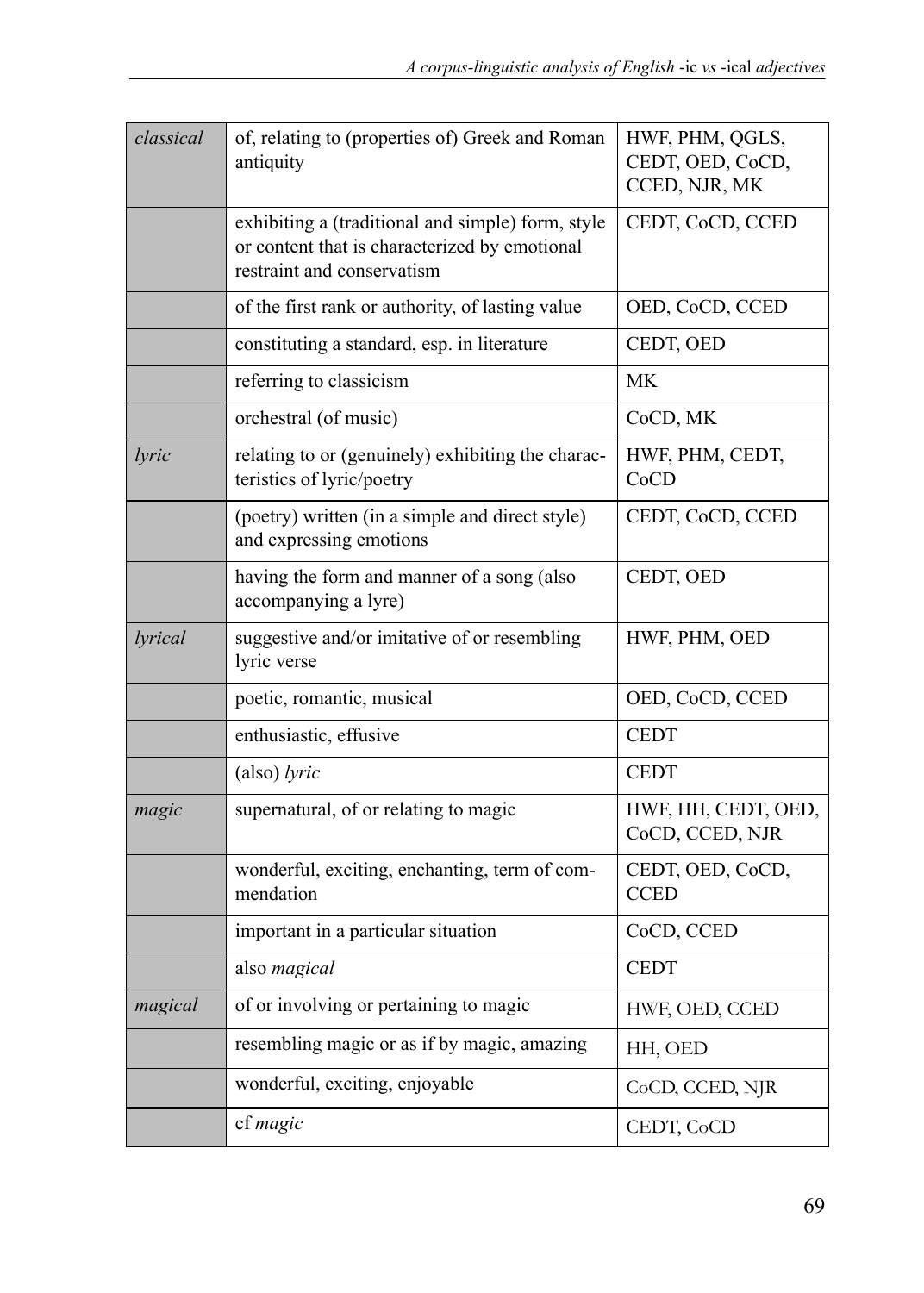| classical | of, relating to (properties of) Greek and Roman<br>antiquity                                                                     | HWF, PHM, QGLS,<br>CEDT, OED, CoCD,<br>CCED, NJR, MK |
|-----------|----------------------------------------------------------------------------------------------------------------------------------|------------------------------------------------------|
|           | exhibiting a (traditional and simple) form, style<br>or content that is characterized by emotional<br>restraint and conservatism | CEDT, CoCD, CCED                                     |
|           | of the first rank or authority, of lasting value                                                                                 | OED, CoCD, CCED                                      |
|           | constituting a standard, esp. in literature                                                                                      | CEDT, OED                                            |
|           | referring to classicism                                                                                                          | <b>MK</b>                                            |
|           | orchestral (of music)                                                                                                            | CoCD, MK                                             |
| lyric     | relating to or (genuinely) exhibiting the charac-<br>teristics of lyric/poetry                                                   | HWF, PHM, CEDT,<br>CoCD                              |
|           | (poetry) written (in a simple and direct style)<br>and expressing emotions                                                       | CEDT, CoCD, CCED                                     |
|           | having the form and manner of a song (also<br>accompanying a lyre)                                                               | CEDT, OED                                            |
| lvrical   | suggestive and/or imitative of or resembling<br>lyric verse                                                                      | HWF, PHM, OED                                        |
|           | poetic, romantic, musical                                                                                                        | OED, CoCD, CCED                                      |
|           | enthusiastic, effusive                                                                                                           | <b>CEDT</b>                                          |
|           | (also) lyric                                                                                                                     | <b>CEDT</b>                                          |
| magic     | supernatural, of or relating to magic                                                                                            | HWF, HH, CEDT, OED,<br>CoCD, CCED, NJR               |
|           | wonderful, exciting, enchanting, term of com-<br>mendation                                                                       | CEDT, OED, CoCD,<br><b>CCED</b>                      |
|           | important in a particular situation                                                                                              | CoCD, CCED                                           |
|           | also magical                                                                                                                     | <b>CEDT</b>                                          |
| magical   | of or involving or pertaining to magic                                                                                           | HWF, OED, CCED                                       |
|           | resembling magic or as if by magic, amazing                                                                                      | HH, OED                                              |
|           | wonderful, exciting, enjoyable                                                                                                   | CoCD, CCED, NJR                                      |
|           | cf magic                                                                                                                         | CEDT, CoCD                                           |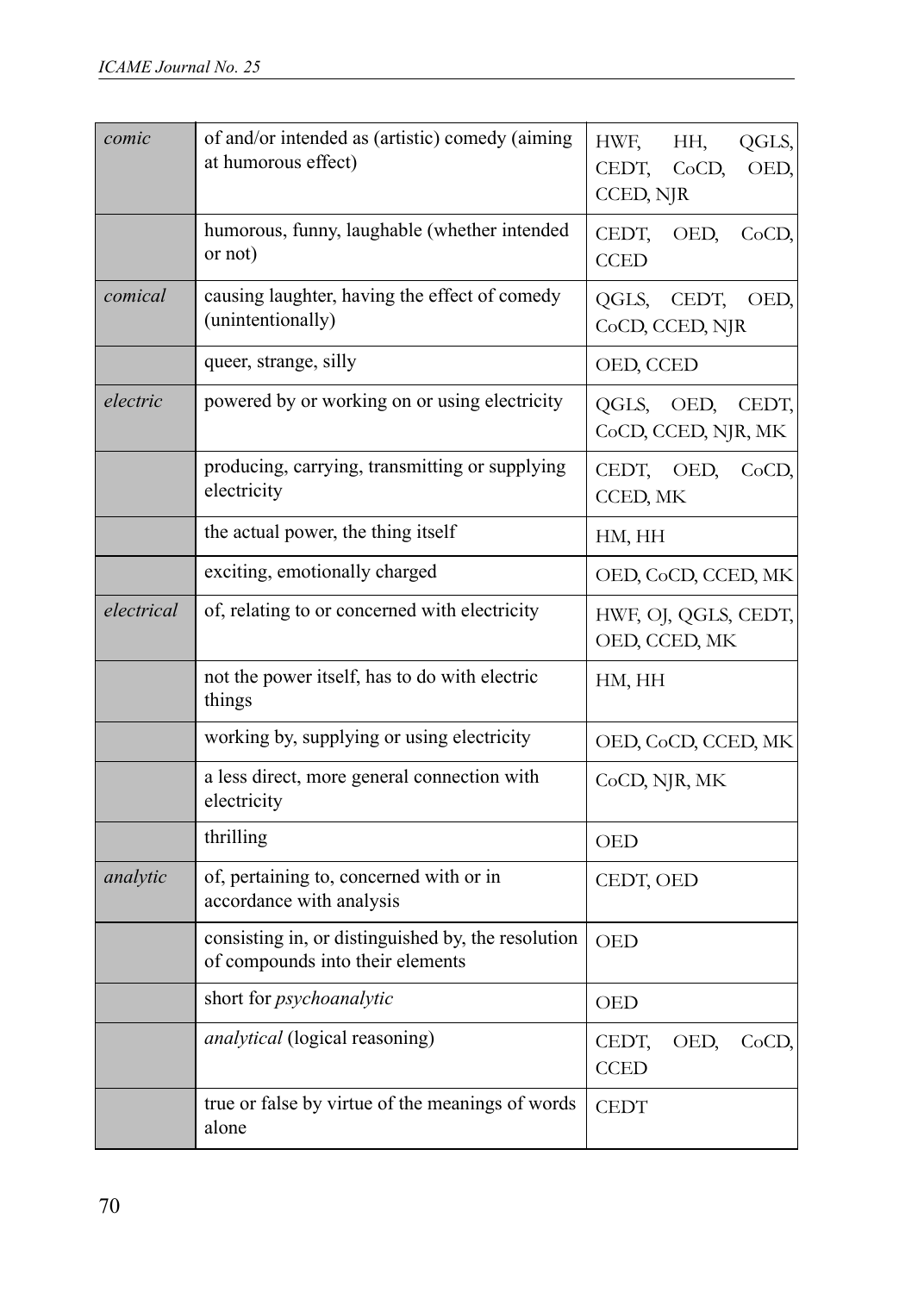| comic      | of and/or intended as (artistic) comedy (aiming<br>at humorous effect)                 | QGLS,<br>HWF,<br>HH,<br>CEDT,<br>CoCD,<br>OED,<br>CCED, NJR |  |  |  |
|------------|----------------------------------------------------------------------------------------|-------------------------------------------------------------|--|--|--|
|            | humorous, funny, laughable (whether intended<br>or not)                                | CEDT,<br>OED,<br>CoCD,<br><b>CCED</b>                       |  |  |  |
| comical    | causing laughter, having the effect of comedy<br>(unintentionally)                     | CEDT,<br>OED,<br>QGLS,<br>CoCD, CCED, NJR                   |  |  |  |
|            | queer, strange, silly                                                                  | OED, CCED                                                   |  |  |  |
| electric   | powered by or working on or using electricity                                          | QGLS,<br>OED,<br>CEDT,<br>CoCD, CCED, NJR, MK               |  |  |  |
|            | producing, carrying, transmitting or supplying<br>electricity                          | CEDT,<br>OED,<br>CoCD,<br>CCED, MK                          |  |  |  |
|            | the actual power, the thing itself                                                     | HM, HH                                                      |  |  |  |
|            | exciting, emotionally charged                                                          | OED, CoCD, CCED, MK                                         |  |  |  |
| electrical | of, relating to or concerned with electricity                                          | HWF, OJ, QGLS, CEDT,<br>OED, CCED, MK                       |  |  |  |
|            | not the power itself, has to do with electric<br>things                                | HM, HH                                                      |  |  |  |
|            | working by, supplying or using electricity                                             | OED, CoCD, CCED, MK                                         |  |  |  |
|            | a less direct, more general connection with<br>electricity                             | CoCD, NJR, MK                                               |  |  |  |
|            | thrilling                                                                              | OED                                                         |  |  |  |
| analytic   | of, pertaining to, concerned with or in<br>accordance with analysis                    | CEDT, OED                                                   |  |  |  |
|            | consisting in, or distinguished by, the resolution<br>of compounds into their elements | <b>OED</b>                                                  |  |  |  |
|            | short for psychoanalytic                                                               | <b>OED</b>                                                  |  |  |  |
|            | analytical (logical reasoning)                                                         | OED,<br>CoCD,<br>CEDT,<br><b>CCED</b>                       |  |  |  |
|            | true or false by virtue of the meanings of words<br>alone                              | CEDT                                                        |  |  |  |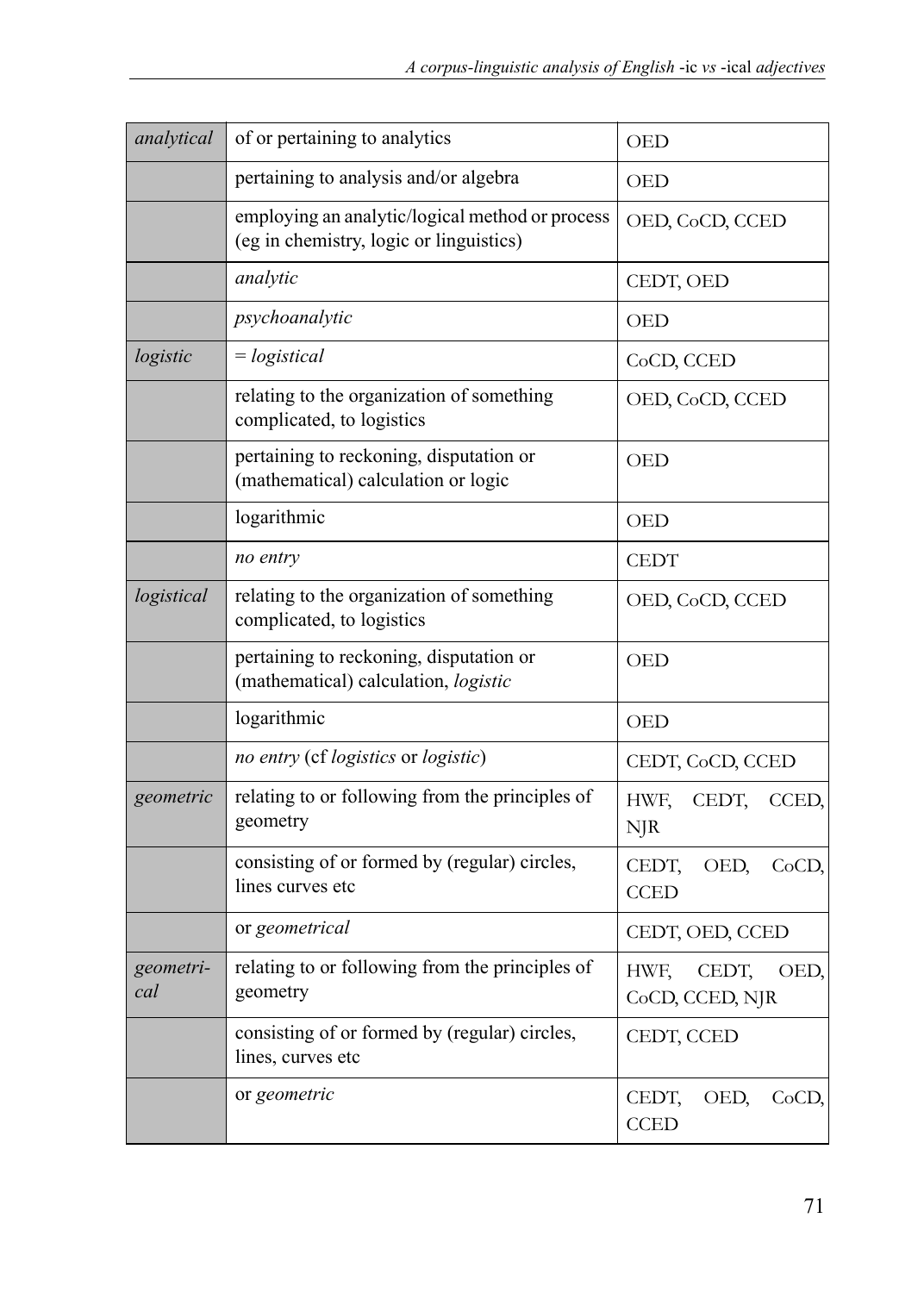| analytical       | of or pertaining to analytics                                                              | OED                                      |
|------------------|--------------------------------------------------------------------------------------------|------------------------------------------|
|                  | pertaining to analysis and/or algebra                                                      | OED                                      |
|                  | employing an analytic/logical method or process<br>(eg in chemistry, logic or linguistics) | OED, CoCD, CCED                          |
|                  | analytic                                                                                   | CEDT, OED                                |
|                  | psychoanalytic                                                                             | <b>OED</b>                               |
| logistic         | $=$ logistical                                                                             | CoCD, CCED                               |
|                  | relating to the organization of something<br>complicated, to logistics                     | OED, CoCD, CCED                          |
|                  | pertaining to reckoning, disputation or<br>(mathematical) calculation or logic             | OED                                      |
|                  | logarithmic                                                                                | OED                                      |
|                  | no entry                                                                                   | <b>CEDT</b>                              |
| logistical       | relating to the organization of something<br>complicated, to logistics                     | OED, CoCD, CCED                          |
|                  | pertaining to reckoning, disputation or<br>(mathematical) calculation, logistic            | <b>OED</b>                               |
|                  | logarithmic                                                                                | OED                                      |
|                  | no entry (cf logistics or logistic)                                                        | CEDT, CoCD, CCED                         |
| geometric        | relating to or following from the principles of<br>geometry                                | HWF.<br>CEDT,<br>CCED,<br>$N$ $R$        |
|                  | consisting of or formed by (regular) circles,<br>lines curves etc                          | CEDT,<br>OED,<br>CoCD,<br><b>CCED</b>    |
|                  | or geometrical                                                                             | CEDT, OED, CCED                          |
| geometri-<br>cal | relating to or following from the principles of<br>geometry                                | CEDT.<br>HWF.<br>OED,<br>CoCD, CCED, NJR |
|                  | consisting of or formed by (regular) circles,<br>lines, curves etc                         | CEDT, CCED                               |
|                  | or geometric                                                                               | CEDT,<br>OED,<br>CoCD,<br><b>CCED</b>    |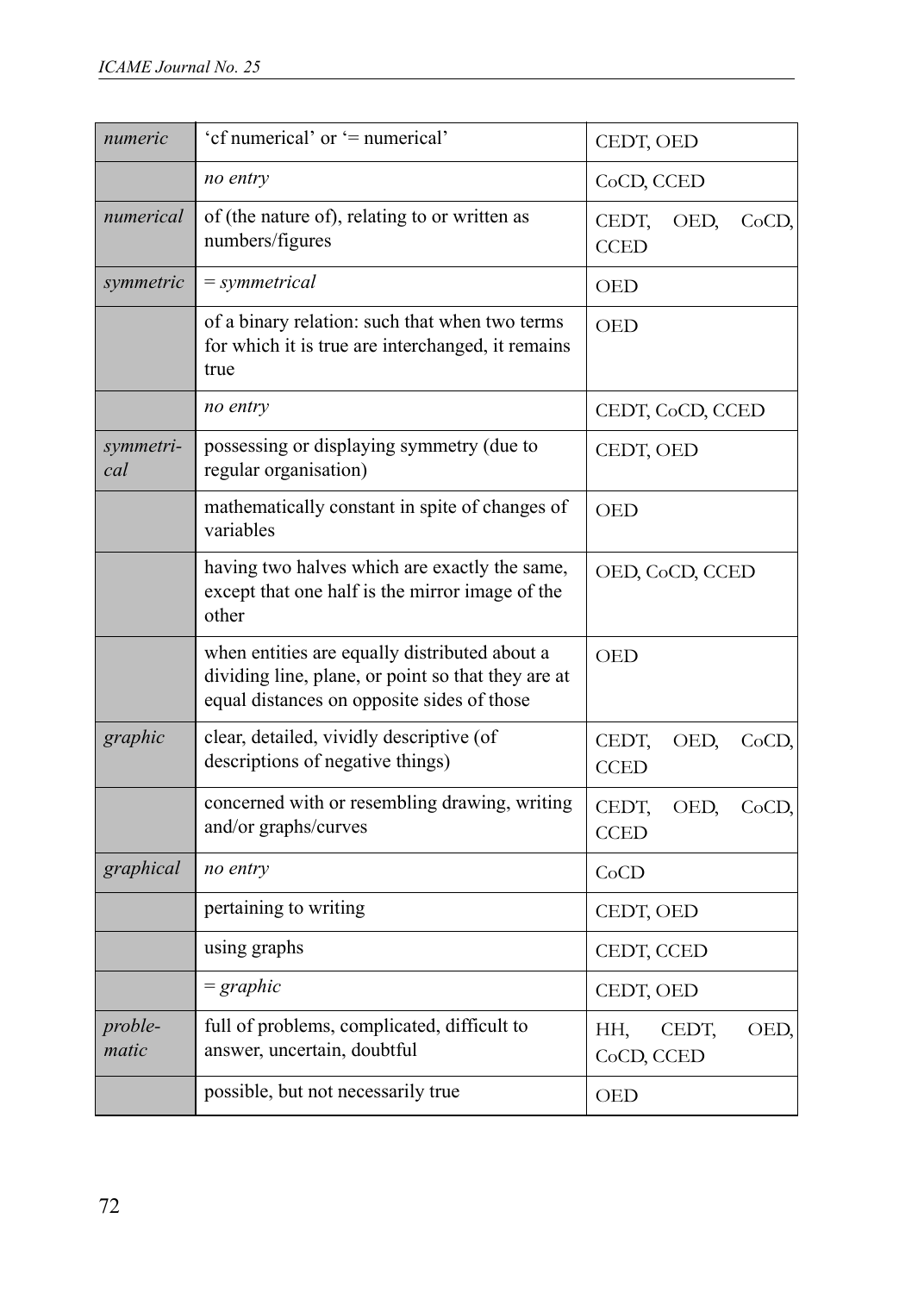| numeric          | 'cf numerical' or '= numerical'                                                                                                                   | CEDT, OED                             |  |  |  |  |
|------------------|---------------------------------------------------------------------------------------------------------------------------------------------------|---------------------------------------|--|--|--|--|
|                  | no entry                                                                                                                                          | CoCD, CCED                            |  |  |  |  |
| numerical        | of (the nature of), relating to or written as<br>numbers/figures                                                                                  | CEDT,<br>OED,<br>CoCD,<br><b>CCED</b> |  |  |  |  |
| symmetric        | $= symmetrical$                                                                                                                                   | <b>OED</b>                            |  |  |  |  |
|                  | of a binary relation: such that when two terms<br>for which it is true are interchanged, it remains<br>true                                       | <b>OED</b>                            |  |  |  |  |
|                  | no entry                                                                                                                                          | CEDT, CoCD, CCED                      |  |  |  |  |
| symmetri-<br>cal | possessing or displaying symmetry (due to<br>regular organisation)                                                                                | CEDT, OED                             |  |  |  |  |
|                  | mathematically constant in spite of changes of<br>variables                                                                                       | <b>OED</b>                            |  |  |  |  |
|                  | having two halves which are exactly the same,<br>except that one half is the mirror image of the<br>other                                         | OED, CoCD, CCED                       |  |  |  |  |
|                  | when entities are equally distributed about a<br>dividing line, plane, or point so that they are at<br>equal distances on opposite sides of those | OED                                   |  |  |  |  |
| graphic          | clear, detailed, vividly descriptive (of<br>descriptions of negative things)                                                                      | CEDT,<br>OED,<br>CoCD,<br><b>CCED</b> |  |  |  |  |
|                  | concerned with or resembling drawing, writing<br>and/or graphs/curves                                                                             | CEDT,<br>OED,<br>CoCD,<br><b>CCED</b> |  |  |  |  |
| graphical        | no entry                                                                                                                                          | CoCD                                  |  |  |  |  |
|                  | pertaining to writing                                                                                                                             | CEDT, OED                             |  |  |  |  |
|                  | using graphs                                                                                                                                      | CEDT, CCED                            |  |  |  |  |
|                  | $=$ graphic                                                                                                                                       | CEDT, OED                             |  |  |  |  |
| proble-<br>matic | full of problems, complicated, difficult to<br>answer, uncertain, doubtful                                                                        | HH,<br>OED,<br>CEDT,<br>CoCD, CCED    |  |  |  |  |
|                  | possible, but not necessarily true                                                                                                                | <b>OED</b>                            |  |  |  |  |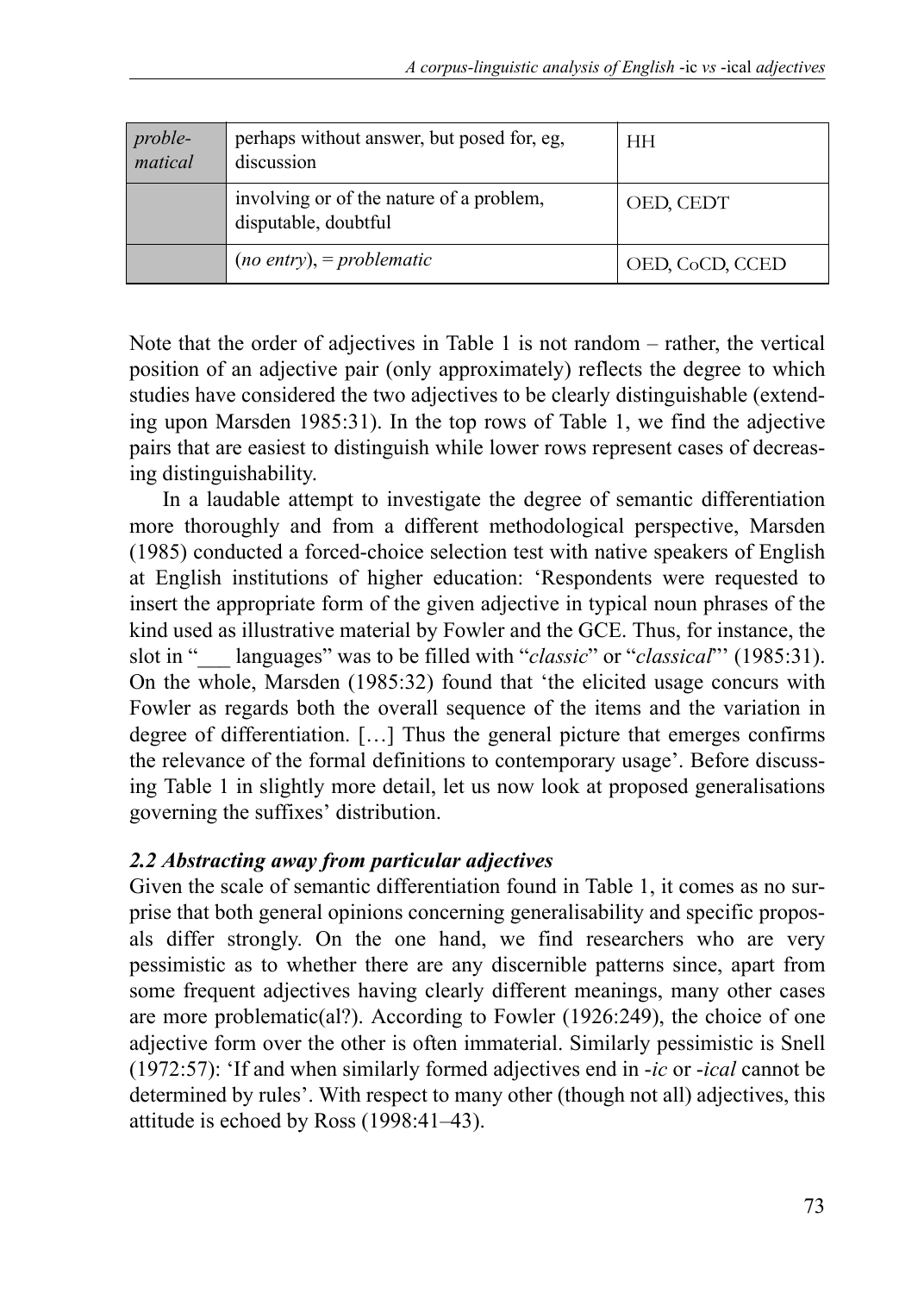| proble-<br>matical | perhaps without answer, but posed for, eg.<br>discussion         | HН              |  |  |
|--------------------|------------------------------------------------------------------|-----------------|--|--|
|                    | involving or of the nature of a problem,<br>disputable, doubtful | OED, CEDT       |  |  |
|                    | $(no$ entry), = problematic                                      | OED, CoCD, CCED |  |  |

Note that the order of adjectives in Table 1 is not random – rather, the vertical position of an adjective pair (only approximately) reflects the degree to which studies have considered the two adjectives to be clearly distinguishable (extending upon Marsden 1985:31). In the top rows of Table 1, we find the adjective pairs that are easiest to distinguish while lower rows represent cases of decreasing distinguishability.

In a laudable attempt to investigate the degree of semantic differentiation more thoroughly and from a different methodological perspective, Marsden (1985) conducted a forced-choice selection test with native speakers of English at English institutions of higher education: 'Respondents were requested to insert the appropriate form of the given adjective in typical noun phrases of the kind used as illustrative material by Fowler and the GCE. Thus, for instance, the slot in "\_\_\_ languages" was to be filled with "*classic*" or "*classical*"' (1985:31). On the whole, Marsden (1985:32) found that 'the elicited usage concurs with Fowler as regards both the overall sequence of the items and the variation in degree of differentiation. […] Thus the general picture that emerges confirms the relevance of the formal definitions to contemporary usage'. Before discussing Table 1 in slightly more detail, let us now look at proposed generalisations governing the suffixes' distribution.

#### *2.2 Abstracting away from particular adjectives*

Given the scale of semantic differentiation found in Table 1, it comes as no surprise that both general opinions concerning generalisability and specific proposals differ strongly. On the one hand, we find researchers who are very pessimistic as to whether there are any discernible patterns since, apart from some frequent adjectives having clearly different meanings, many other cases are more problematic(al?). According to Fowler (1926:249), the choice of one adjective form over the other is often immaterial. Similarly pessimistic is Snell (1972:57): 'If and when similarly formed adjectives end in -*ic* or -*ical* cannot be determined by rules'. With respect to many other (though not all) adjectives, this attitude is echoed by Ross (1998:41–43).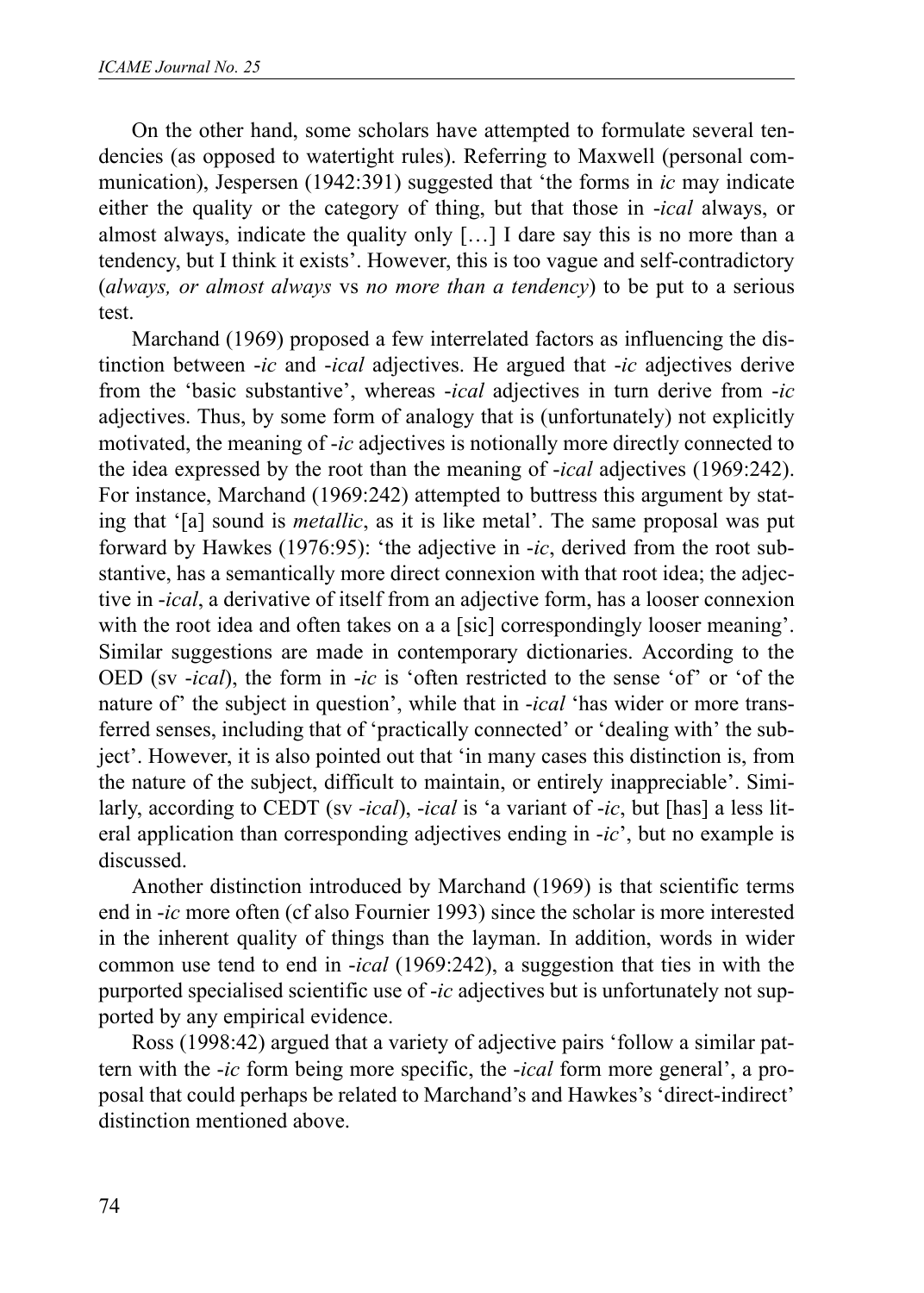On the other hand, some scholars have attempted to formulate several tendencies (as opposed to watertight rules). Referring to Maxwell (personal communication), Jespersen (1942:391) suggested that 'the forms in *ic* may indicate either the quality or the category of thing, but that those in -*ical* always, or almost always, indicate the quality only […] I dare say this is no more than a tendency, but I think it exists'. However, this is too vague and self-contradictory (*always, or almost always* vs *no more than a tendency*) to be put to a serious test.

Marchand (1969) proposed a few interrelated factors as influencing the distinction between -*ic* and -*ical* adjectives. He argued that -*ic* adjectives derive from the 'basic substantive', whereas -*ical* adjectives in turn derive from -*ic* adjectives. Thus, by some form of analogy that is (unfortunately) not explicitly motivated, the meaning of -*ic* adjectives is notionally more directly connected to the idea expressed by the root than the meaning of -*ical* adjectives (1969:242). For instance, Marchand (1969:242) attempted to buttress this argument by stating that '[a] sound is *metallic*, as it is like metal'. The same proposal was put forward by Hawkes (1976:95): 'the adjective in -*ic*, derived from the root substantive, has a semantically more direct connexion with that root idea; the adjective in -*ical*, a derivative of itself from an adjective form, has a looser connexion with the root idea and often takes on a a [sic] correspondingly looser meaning'. Similar suggestions are made in contemporary dictionaries. According to the OED (sv -*ical*), the form in -*ic* is 'often restricted to the sense 'of' or 'of the nature of' the subject in question', while that in -*ical* 'has wider or more transferred senses, including that of 'practically connected' or 'dealing with' the subject'. However, it is also pointed out that 'in many cases this distinction is, from the nature of the subject, difficult to maintain, or entirely inappreciable'. Similarly, according to CEDT (sv -*ical*), -*ical* is 'a variant of -*ic*, but [has] a less literal application than corresponding adjectives ending in -*ic*', but no example is discussed.

Another distinction introduced by Marchand (1969) is that scientific terms end in -*ic* more often (cf also Fournier 1993) since the scholar is more interested in the inherent quality of things than the layman. In addition, words in wider common use tend to end in -*ical* (1969:242), a suggestion that ties in with the purported specialised scientific use of -*ic* adjectives but is unfortunately not supported by any empirical evidence.

Ross (1998:42) argued that a variety of adjective pairs 'follow a similar pattern with the -*ic* form being more specific, the -*ical* form more general', a proposal that could perhaps be related to Marchand's and Hawkes's 'direct-indirect' distinction mentioned above.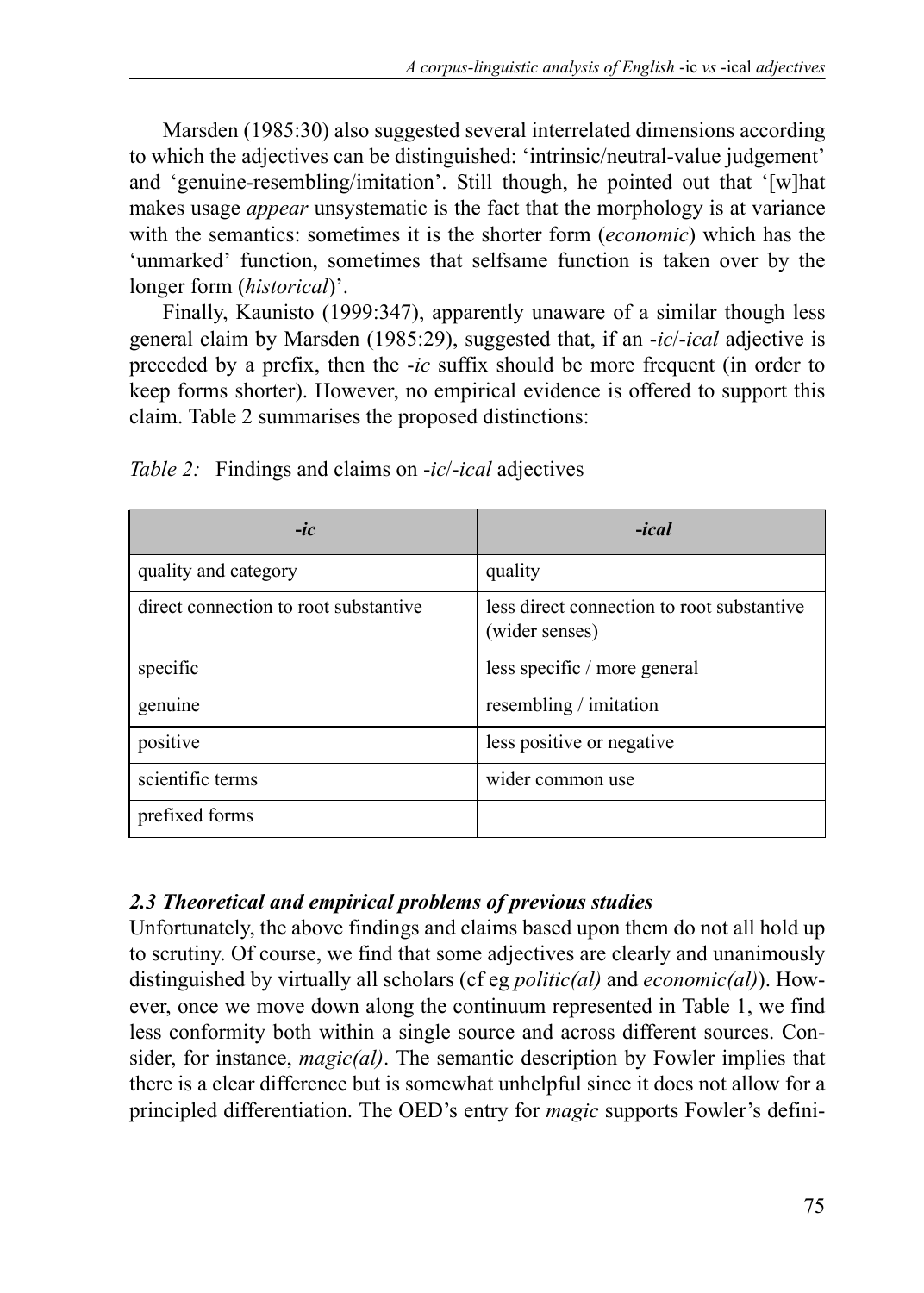Marsden (1985:30) also suggested several interrelated dimensions according to which the adjectives can be distinguished: 'intrinsic/neutral-value judgement' and 'genuine-resembling/imitation'. Still though, he pointed out that '[w]hat makes usage *appear* unsystematic is the fact that the morphology is at variance with the semantics: sometimes it is the shorter form (*economic*) which has the 'unmarked' function, sometimes that selfsame function is taken over by the longer form (*historical*)'.

Finally, Kaunisto (1999:347), apparently unaware of a similar though less general claim by Marsden (1985:29), suggested that, if an -*ic*/-*ical* adjective is preceded by a prefix, then the -*ic* suffix should be more frequent (in order to keep forms shorter). However, no empirical evidence is offered to support this claim. Table 2 summarises the proposed distinctions:

| $-ic$                                 | $-ical$                                                      |
|---------------------------------------|--------------------------------------------------------------|
| quality and category                  | quality                                                      |
| direct connection to root substantive | less direct connection to root substantive<br>(wider senses) |
| specific                              | less specific / more general                                 |
| genuine                               | resembling / imitation                                       |
| positive                              | less positive or negative                                    |
| scientific terms                      | wider common use                                             |
| prefixed forms                        |                                                              |

*Table 2:* Findings and claims on -*ic*/-*ical* adjectives

# *2.3 Theoretical and empirical problems of previous studies*

Unfortunately, the above findings and claims based upon them do not all hold up to scrutiny. Of course, we find that some adjectives are clearly and unanimously distinguished by virtually all scholars (cf eg *politic(al)* and *economic(al)*). However, once we move down along the continuum represented in Table 1, we find less conformity both within a single source and across different sources. Consider, for instance, *magic(al)*. The semantic description by Fowler implies that there is a clear difference but is somewhat unhelpful since it does not allow for a principled differentiation. The OED's entry for *magic* supports Fowler's defini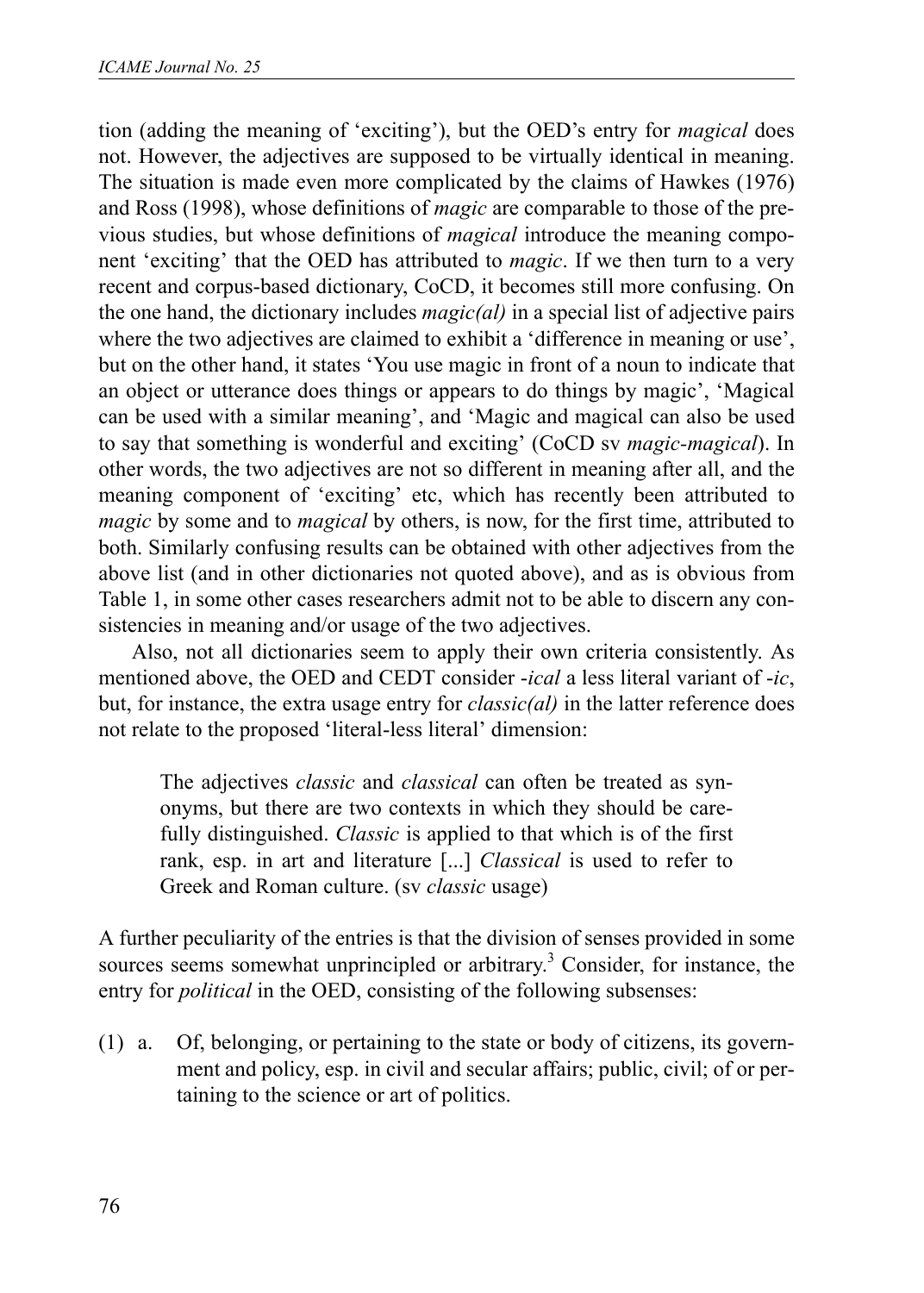tion (adding the meaning of 'exciting'), but the OED's entry for *magical* does not. However, the adjectives are supposed to be virtually identical in meaning. The situation is made even more complicated by the claims of Hawkes (1976) and Ross (1998), whose definitions of *magic* are comparable to those of the previous studies, but whose definitions of *magical* introduce the meaning component 'exciting' that the OED has attributed to *magic*. If we then turn to a very recent and corpus-based dictionary, CoCD, it becomes still more confusing. On the one hand, the dictionary includes *magic(al)* in a special list of adjective pairs where the two adjectives are claimed to exhibit a 'difference in meaning or use', but on the other hand, it states 'You use magic in front of a noun to indicate that an object or utterance does things or appears to do things by magic', 'Magical can be used with a similar meaning', and 'Magic and magical can also be used to say that something is wonderful and exciting' (CoCD sv *magic-magical*). In other words, the two adjectives are not so different in meaning after all, and the meaning component of 'exciting' etc, which has recently been attributed to *magic* by some and to *magical* by others, is now, for the first time, attributed to both. Similarly confusing results can be obtained with other adjectives from the above list (and in other dictionaries not quoted above), and as is obvious from Table 1, in some other cases researchers admit not to be able to discern any consistencies in meaning and/or usage of the two adjectives.

Also, not all dictionaries seem to apply their own criteria consistently. As mentioned above, the OED and CEDT consider -*ical* a less literal variant of -*ic*, but, for instance, the extra usage entry for *classic(al)* in the latter reference does not relate to the proposed 'literal-less literal' dimension:

The adjectives *classic* and *classical* can often be treated as synonyms, but there are two contexts in which they should be carefully distinguished. *Classic* is applied to that which is of the first rank, esp. in art and literature [...] *Classical* is used to refer to Greek and Roman culture. (sv *classic* usage)

A further peculiarity of the entries is that the division of senses provided in some sources seems somewhat unprincipled or arbitrary.<sup>3</sup> Consider, for instance, the entry for *political* in the OED, consisting of the following subsenses:

(1) a. Of, belonging, or pertaining to the state or body of citizens, its government and policy, esp. in civil and secular affairs; public, civil; of or pertaining to the science or art of politics.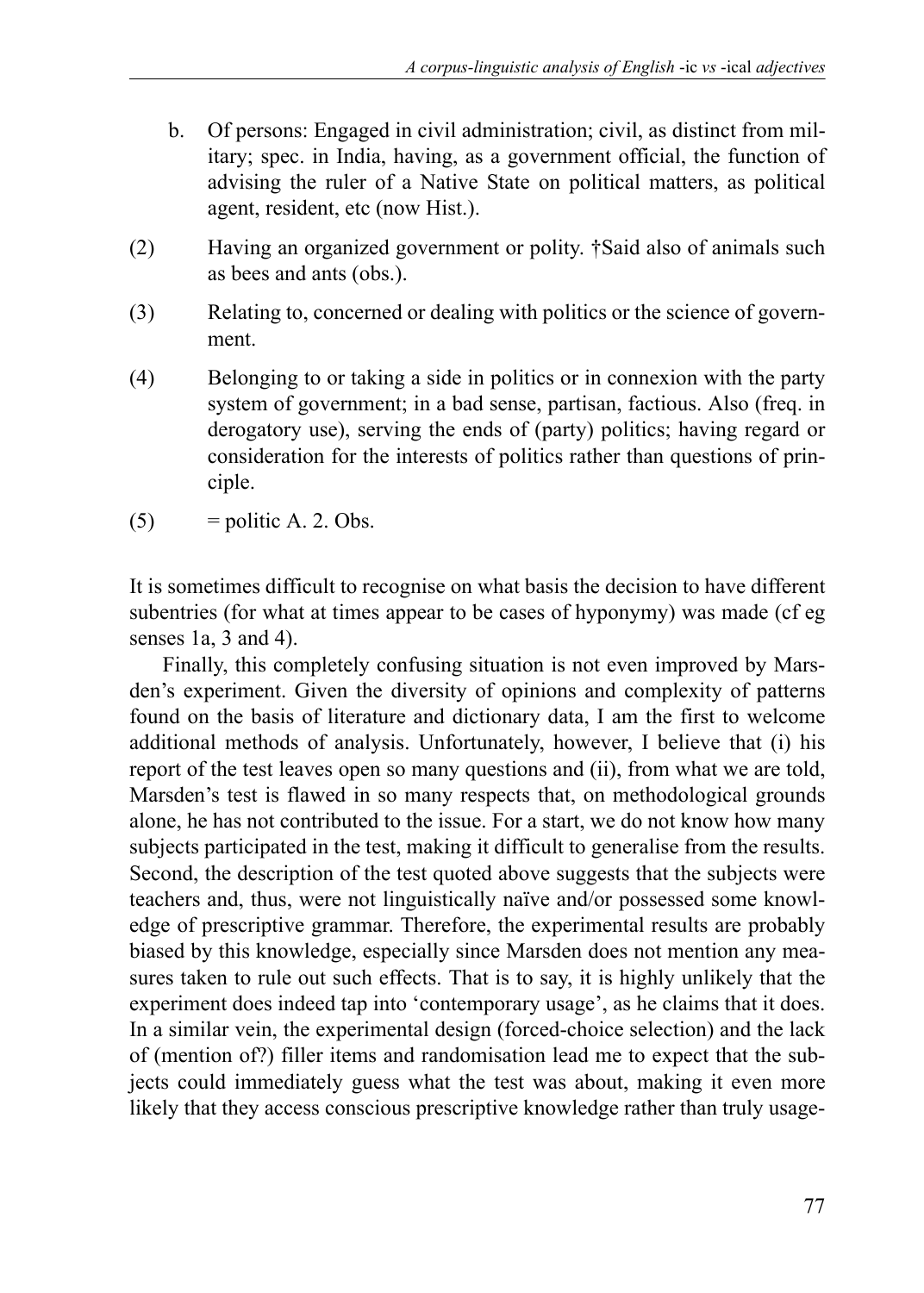- b. Of persons: Engaged in civil administration; civil, as distinct from military; spec. in India, having, as a government official, the function of advising the ruler of a Native State on political matters, as political agent, resident, etc (now Hist.).
- (2) Having an organized government or polity. †Said also of animals such as bees and ants (obs.).
- (3) Relating to, concerned or dealing with politics or the science of government.
- (4) Belonging to or taking a side in politics or in connexion with the party system of government; in a bad sense, partisan, factious. Also (freq. in derogatory use), serving the ends of (party) politics; having regard or consideration for the interests of politics rather than questions of principle.
- $(5)$  = politic A. 2. Obs.

It is sometimes difficult to recognise on what basis the decision to have different subentries (for what at times appear to be cases of hyponymy) was made (cf eg senses 1a, 3 and 4).

Finally, this completely confusing situation is not even improved by Marsden's experiment. Given the diversity of opinions and complexity of patterns found on the basis of literature and dictionary data, I am the first to welcome additional methods of analysis. Unfortunately, however, I believe that (i) his report of the test leaves open so many questions and (ii), from what we are told, Marsden's test is flawed in so many respects that, on methodological grounds alone, he has not contributed to the issue. For a start, we do not know how many subjects participated in the test, making it difficult to generalise from the results. Second, the description of the test quoted above suggests that the subjects were teachers and, thus, were not linguistically naïve and/or possessed some knowledge of prescriptive grammar. Therefore, the experimental results are probably biased by this knowledge, especially since Marsden does not mention any measures taken to rule out such effects. That is to say, it is highly unlikely that the experiment does indeed tap into 'contemporary usage', as he claims that it does. In a similar vein, the experimental design (forced-choice selection) and the lack of (mention of?) filler items and randomisation lead me to expect that the subjects could immediately guess what the test was about, making it even more likely that they access conscious prescriptive knowledge rather than truly usage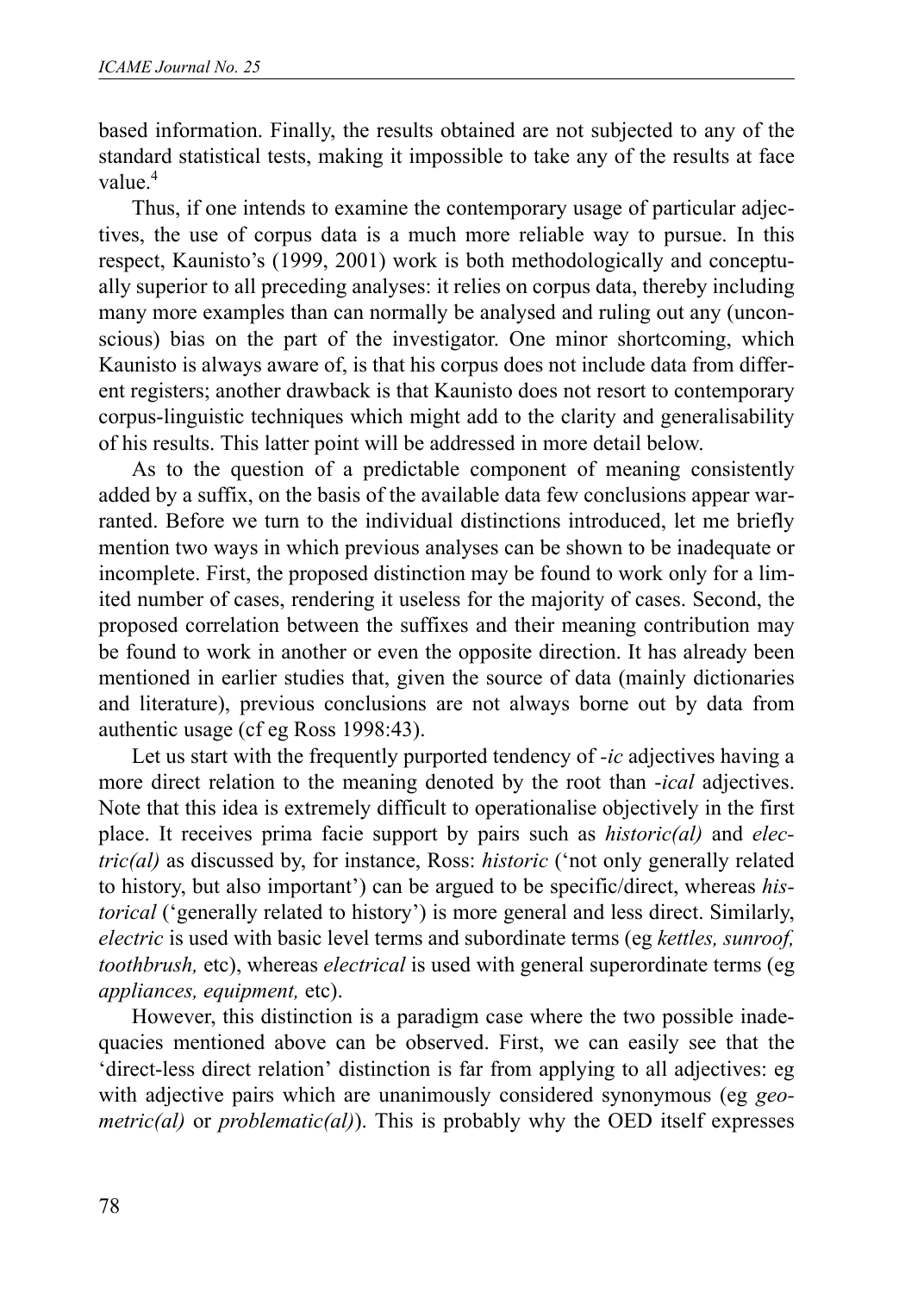based information. Finally, the results obtained are not subjected to any of the standard statistical tests, making it impossible to take any of the results at face value.<sup>4</sup>

Thus, if one intends to examine the contemporary usage of particular adjectives, the use of corpus data is a much more reliable way to pursue. In this respect, Kaunisto's (1999, 2001) work is both methodologically and conceptually superior to all preceding analyses: it relies on corpus data, thereby including many more examples than can normally be analysed and ruling out any (unconscious) bias on the part of the investigator. One minor shortcoming, which Kaunisto is always aware of, is that his corpus does not include data from different registers; another drawback is that Kaunisto does not resort to contemporary corpus-linguistic techniques which might add to the clarity and generalisability of his results. This latter point will be addressed in more detail below.

As to the question of a predictable component of meaning consistently added by a suffix, on the basis of the available data few conclusions appear warranted. Before we turn to the individual distinctions introduced, let me briefly mention two ways in which previous analyses can be shown to be inadequate or incomplete. First, the proposed distinction may be found to work only for a limited number of cases, rendering it useless for the majority of cases. Second, the proposed correlation between the suffixes and their meaning contribution may be found to work in another or even the opposite direction. It has already been mentioned in earlier studies that, given the source of data (mainly dictionaries and literature), previous conclusions are not always borne out by data from authentic usage (cf eg Ross 1998:43).

Let us start with the frequently purported tendency of *-ic* adjectives having a more direct relation to the meaning denoted by the root than -*ical* adjectives. Note that this idea is extremely difficult to operationalise objectively in the first place. It receives prima facie support by pairs such as *historic(al)* and *electric(al)* as discussed by, for instance, Ross: *historic* ('not only generally related to history, but also important') can be argued to be specific/direct, whereas *historical* ('generally related to history') is more general and less direct. Similarly, *electric* is used with basic level terms and subordinate terms (eg *kettles, sunroof, toothbrush,* etc), whereas *electrical* is used with general superordinate terms (eg *appliances, equipment,* etc).

However, this distinction is a paradigm case where the two possible inadequacies mentioned above can be observed. First, we can easily see that the 'direct-less direct relation' distinction is far from applying to all adjectives: eg with adjective pairs which are unanimously considered synonymous (eg *geometric(al)* or *problematic(al)*). This is probably why the OED itself expresses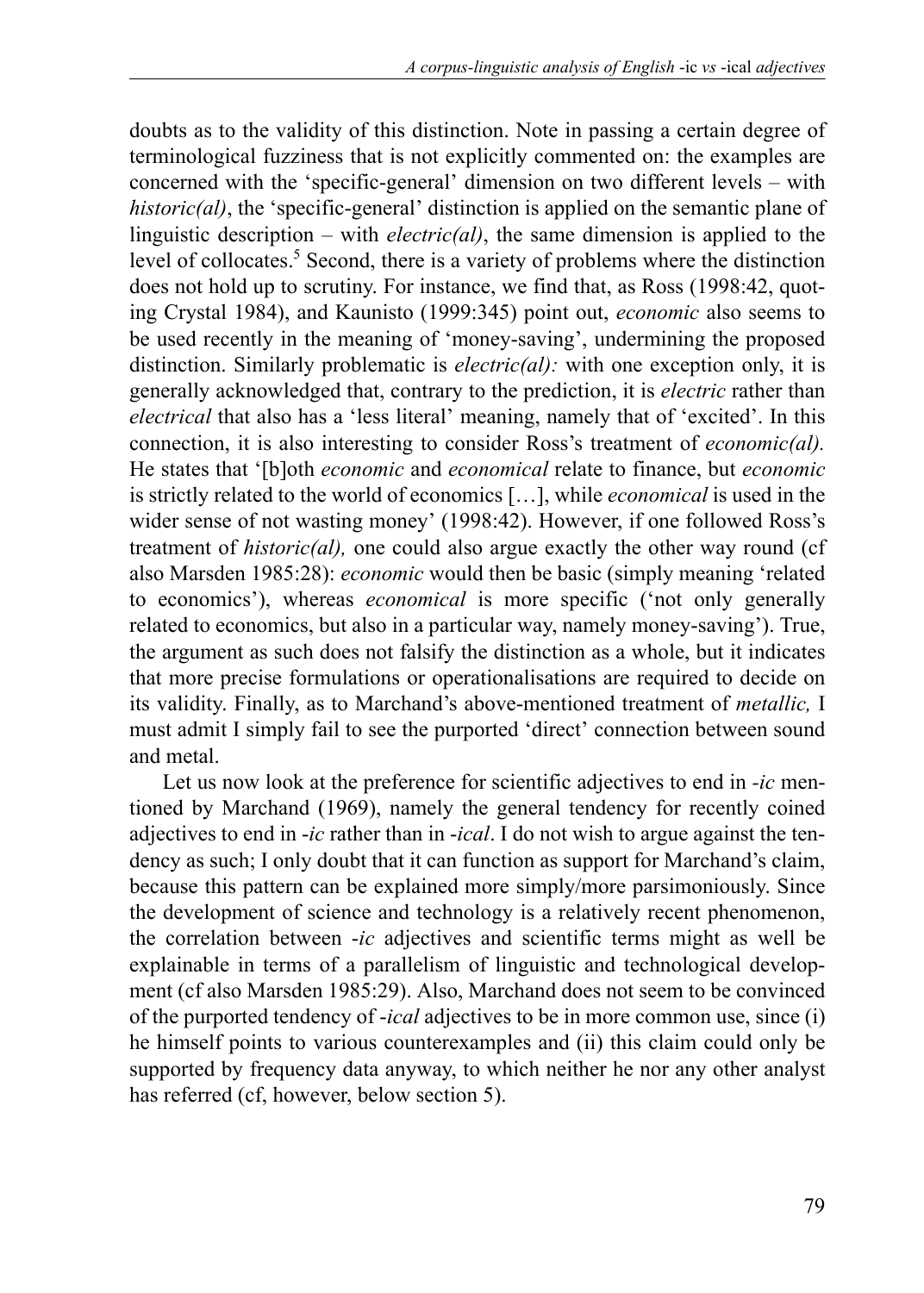doubts as to the validity of this distinction. Note in passing a certain degree of terminological fuzziness that is not explicitly commented on: the examples are concerned with the 'specific-general' dimension on two different levels – with *historic(al)*, the 'specific-general' distinction is applied on the semantic plane of linguistic description – with *electric(al)*, the same dimension is applied to the level of collocates.<sup>5</sup> Second, there is a variety of problems where the distinction does not hold up to scrutiny. For instance, we find that, as Ross (1998:42, quoting Crystal 1984), and Kaunisto (1999:345) point out, *economic* also seems to be used recently in the meaning of 'money-saving', undermining the proposed distinction. Similarly problematic is *electric(al):* with one exception only, it is generally acknowledged that, contrary to the prediction, it is *electric* rather than *electrical* that also has a 'less literal' meaning, namely that of 'excited'. In this connection, it is also interesting to consider Ross's treatment of *economic(al).* He states that '[b]oth *economic* and *economical* relate to finance, but *economic* is strictly related to the world of economics […], while *economical* is used in the wider sense of not wasting money' (1998:42). However, if one followed Ross's treatment of *historic(al),* one could also argue exactly the other way round (cf also Marsden 1985:28): *economic* would then be basic (simply meaning 'related to economics'), whereas *economical* is more specific ('not only generally related to economics, but also in a particular way, namely money-saving'). True, the argument as such does not falsify the distinction as a whole, but it indicates that more precise formulations or operationalisations are required to decide on its validity. Finally, as to Marchand's above-mentioned treatment of *metallic,* I must admit I simply fail to see the purported 'direct' connection between sound and metal.

Let us now look at the preference for scientific adjectives to end in *-ic* mentioned by Marchand (1969), namely the general tendency for recently coined adjectives to end in -*ic* rather than in -*ical*. I do not wish to argue against the tendency as such; I only doubt that it can function as support for Marchand's claim, because this pattern can be explained more simply/more parsimoniously. Since the development of science and technology is a relatively recent phenomenon, the correlation between -*ic* adjectives and scientific terms might as well be explainable in terms of a parallelism of linguistic and technological development (cf also Marsden 1985:29). Also, Marchand does not seem to be convinced of the purported tendency of -*ical* adjectives to be in more common use, since (i) he himself points to various counterexamples and (ii) this claim could only be supported by frequency data anyway, to which neither he nor any other analyst has referred (cf, however, below section 5).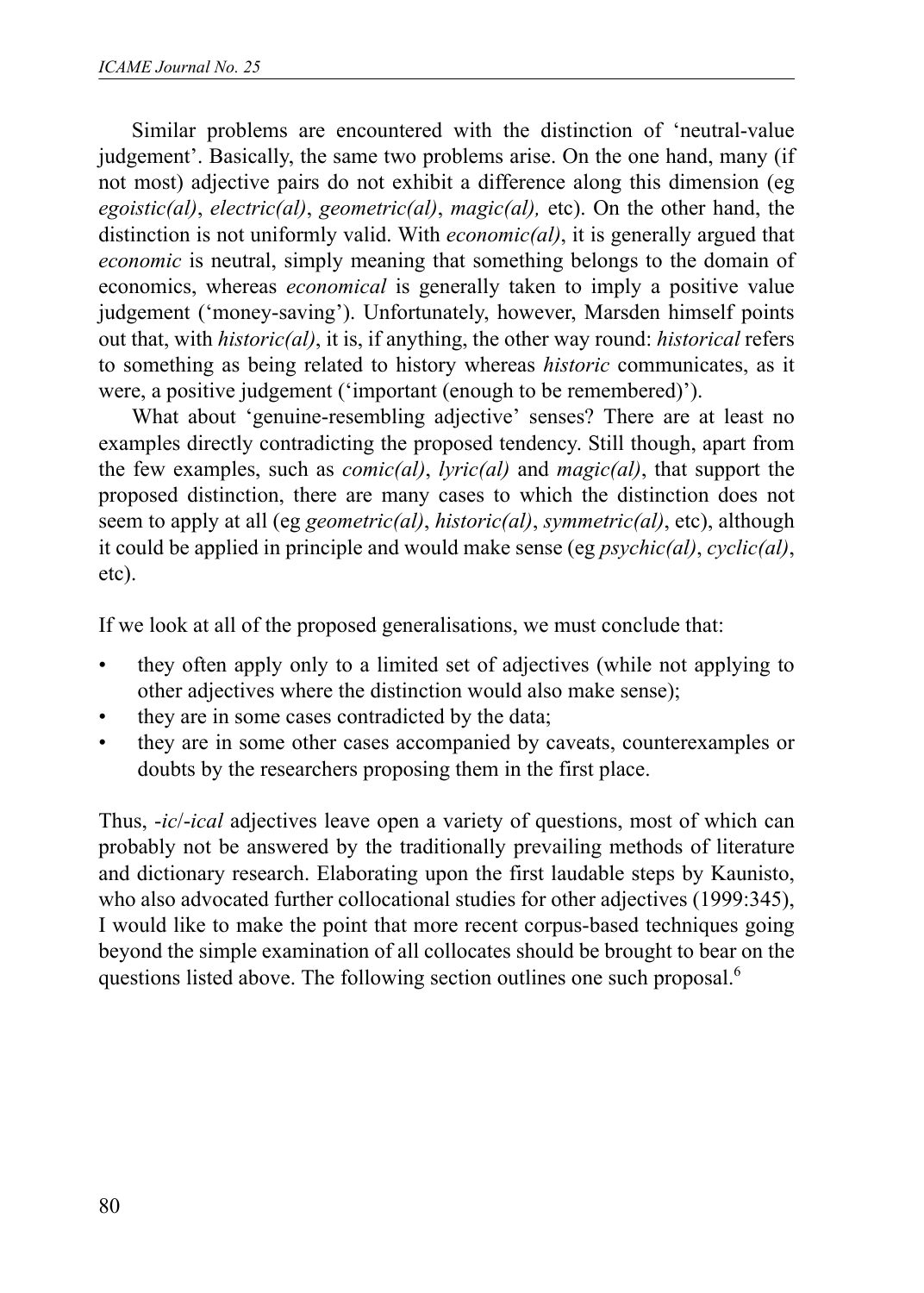Similar problems are encountered with the distinction of 'neutral-value judgement'. Basically, the same two problems arise. On the one hand, many (if not most) adjective pairs do not exhibit a difference along this dimension (eg *egoistic(al)*, *electric(al)*, *geometric(al)*, *magic(al),* etc). On the other hand, the distinction is not uniformly valid. With *economic(al)*, it is generally argued that *economic* is neutral, simply meaning that something belongs to the domain of economics, whereas *economical* is generally taken to imply a positive value judgement ('money-saving'). Unfortunately, however, Marsden himself points out that, with *historic(al)*, it is, if anything, the other way round: *historical* refers to something as being related to history whereas *historic* communicates, as it were, a positive judgement ('important (enough to be remembered)').

What about 'genuine-resembling adjective' senses? There are at least no examples directly contradicting the proposed tendency. Still though, apart from the few examples, such as *comic(al)*, *lyric(al)* and *magic(al)*, that support the proposed distinction, there are many cases to which the distinction does not seem to apply at all (eg *geometric(al)*, *historic(al)*, *symmetric(al)*, etc), although it could be applied in principle and would make sense (eg *psychic(al)*, *cyclic(al)*, etc).

If we look at all of the proposed generalisations, we must conclude that:

- they often apply only to a limited set of adjectives (while not applying to other adjectives where the distinction would also make sense);
- they are in some cases contradicted by the data;
- they are in some other cases accompanied by caveats, counterexamples or doubts by the researchers proposing them in the first place.

Thus, -*ic*/-*ical* adjectives leave open a variety of questions, most of which can probably not be answered by the traditionally prevailing methods of literature and dictionary research. Elaborating upon the first laudable steps by Kaunisto, who also advocated further collocational studies for other adjectives (1999:345), I would like to make the point that more recent corpus-based techniques going beyond the simple examination of all collocates should be brought to bear on the questions listed above. The following section outlines one such proposal.<sup>6</sup>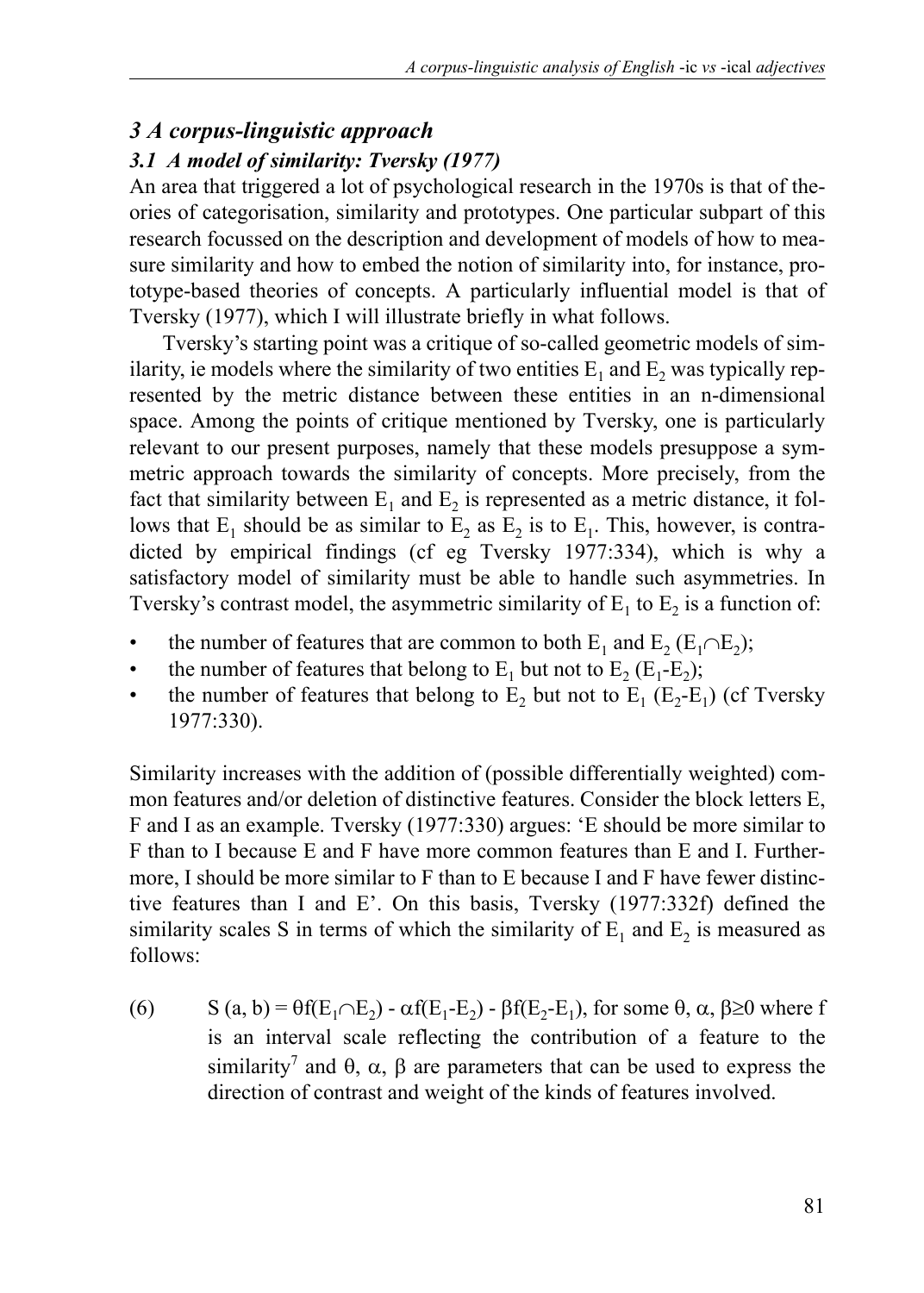#### *3 A corpus-linguistic approach*

### *3.1 A model of similarity: Tversky (1977)*

An area that triggered a lot of psychological research in the 1970s is that of theories of categorisation, similarity and prototypes. One particular subpart of this research focussed on the description and development of models of how to measure similarity and how to embed the notion of similarity into, for instance, prototype-based theories of concepts. A particularly influential model is that of Tversky (1977), which I will illustrate briefly in what follows.

Tversky's starting point was a critique of so-called geometric models of similarity, ie models where the similarity of two entities  $E_1$  and  $E_2$  was typically represented by the metric distance between these entities in an n-dimensional space. Among the points of critique mentioned by Tversky, one is particularly relevant to our present purposes, namely that these models presuppose a symmetric approach towards the similarity of concepts. More precisely, from the fact that similarity between  $E_1$  and  $E_2$  is represented as a metric distance, it follows that  $E_1$  should be as similar to  $E_2$  as  $E_2$  is to  $E_1$ . This, however, is contradicted by empirical findings (cf eg Tversky 1977:334), which is why a satisfactory model of similarity must be able to handle such asymmetries. In Tversky's contrast model, the asymmetric similarity of  $E_1$  to  $E_2$  is a function of:

- the number of features that are common to both  $E_1$  and  $E_2$  ( $E_1 \cap E_2$ );
- the number of features that belong to  $E_1$  but not to  $E_2$  ( $E_1$ - $E_2$ );
- the number of features that belong to  $E_2$  but not to  $E_1$  ( $E_2$ - $E_1$ ) (cf Tversky 1977:330).

Similarity increases with the addition of (possible differentially weighted) common features and/or deletion of distinctive features. Consider the block letters E, F and I as an example. Tversky (1977:330) argues: 'E should be more similar to F than to I because E and F have more common features than E and I. Furthermore, I should be more similar to F than to E because I and F have fewer distinctive features than I and E'. On this basis, Tversky (1977:332f) defined the similarity scales S in terms of which the similarity of  $E_1$  and  $E_2$  is measured as follows:

(6) S (a, b) =  $\theta f(E_1 \cap E_2) - \alpha f(E_1-E_2) - \beta f(E_2-E_1)$ , for some  $\theta$ ,  $\alpha$ ,  $\beta \ge 0$  where f is an interval scale reflecting the contribution of a feature to the similarity<sup>7</sup> and  $\theta$ ,  $\alpha$ ,  $\beta$  are parameters that can be used to express the direction of contrast and weight of the kinds of features involved.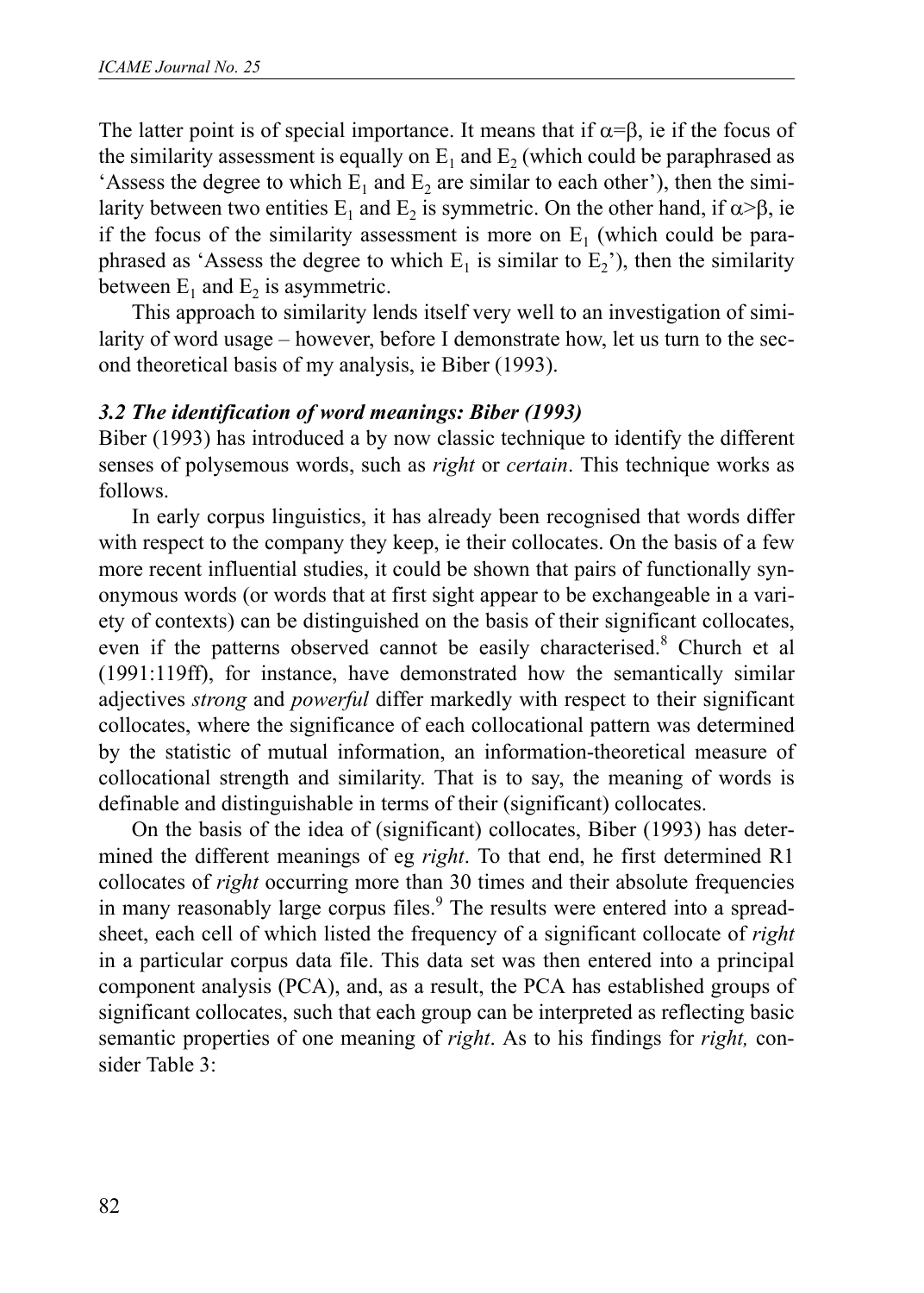The latter point is of special importance. It means that if  $\alpha = \beta$ , ie if the focus of the similarity assessment is equally on  $E_1$  and  $E_2$  (which could be paraphrased as 'Assess the degree to which  $E_1$  and  $E_2$  are similar to each other'), then the similarity between two entities  $E_1$  and  $E_2$  is symmetric. On the other hand, if  $\alpha > \beta$ , ie if the focus of the similarity assessment is more on  $E<sub>1</sub>$  (which could be paraphrased as 'Assess the degree to which  $E_1$  is similar to  $E_2$ '), then the similarity between  $E_1$  and  $E_2$  is asymmetric.

This approach to similarity lends itself very well to an investigation of similarity of word usage – however, before I demonstrate how, let us turn to the second theoretical basis of my analysis, ie Biber (1993).

#### *3.2 The identification of word meanings: Biber (1993)*

Biber (1993) has introduced a by now classic technique to identify the different senses of polysemous words, such as *right* or *certain*. This technique works as follows.

In early corpus linguistics, it has already been recognised that words differ with respect to the company they keep, ie their collocates. On the basis of a few more recent influential studies, it could be shown that pairs of functionally synonymous words (or words that at first sight appear to be exchangeable in a variety of contexts) can be distinguished on the basis of their significant collocates, even if the patterns observed cannot be easily characterised.<sup>8</sup> Church et al (1991:119ff), for instance, have demonstrated how the semantically similar adjectives *strong* and *powerful* differ markedly with respect to their significant collocates, where the significance of each collocational pattern was determined by the statistic of mutual information, an information-theoretical measure of collocational strength and similarity. That is to say, the meaning of words is definable and distinguishable in terms of their (significant) collocates.

On the basis of the idea of (significant) collocates, Biber (1993) has determined the different meanings of eg *right*. To that end, he first determined R1 collocates of *right* occurring more than 30 times and their absolute frequencies in many reasonably large corpus files.<sup>9</sup> The results were entered into a spreadsheet, each cell of which listed the frequency of a significant collocate of *right* in a particular corpus data file. This data set was then entered into a principal component analysis (PCA), and, as a result, the PCA has established groups of significant collocates, such that each group can be interpreted as reflecting basic semantic properties of one meaning of *right*. As to his findings for *right,* consider Table 3: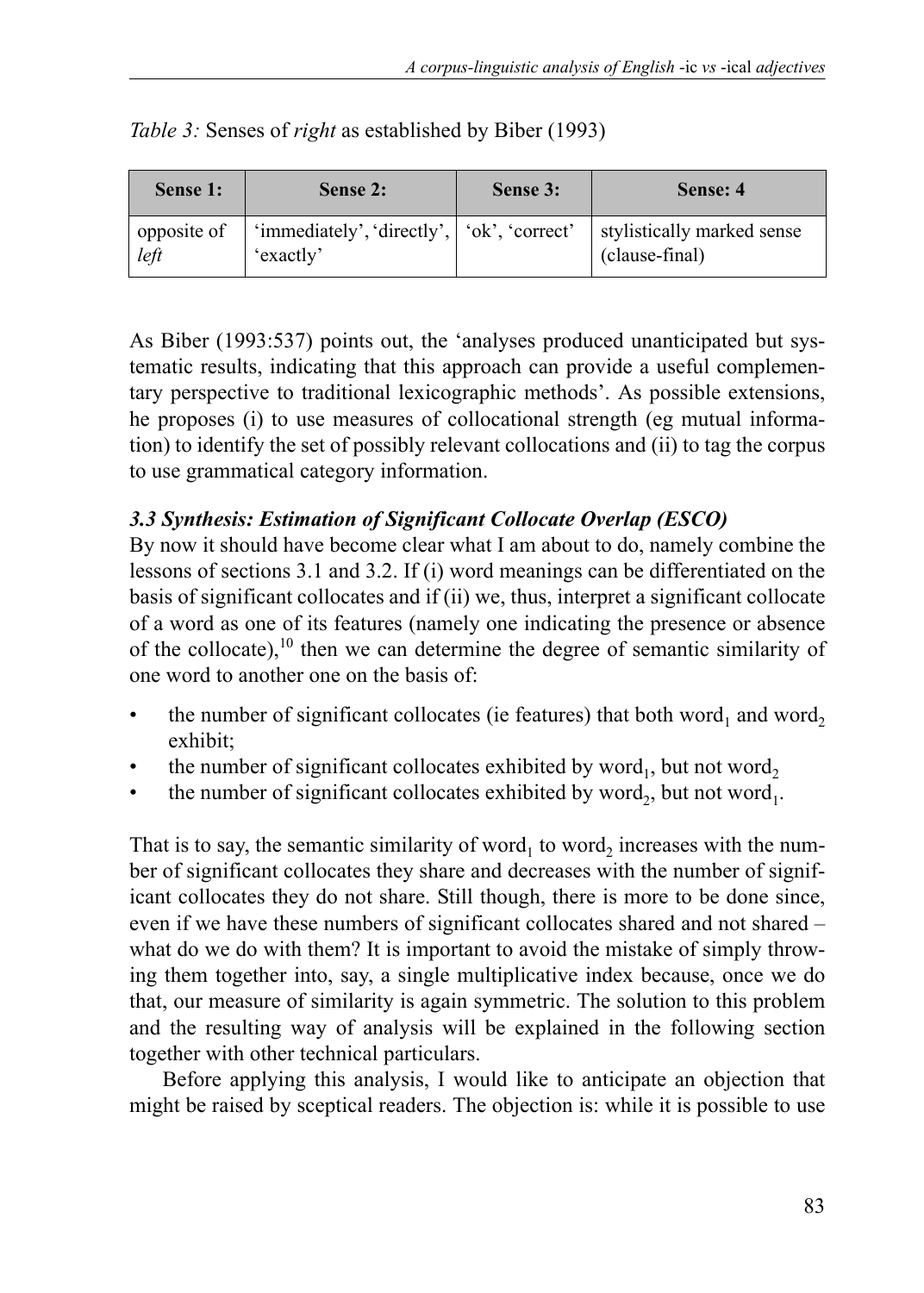| Sense 1:    | Sense 2:                                     | Sense 3: | Sense: 4                   |
|-------------|----------------------------------------------|----------|----------------------------|
| opposite of | 'immediately', 'directly',   'ok', 'correct' |          | stylistically marked sense |
| left        | 'exactly'                                    |          | (clause-final)             |

*Table 3:* Senses of *right* as established by Biber (1993)

As Biber (1993:537) points out, the 'analyses produced unanticipated but systematic results, indicating that this approach can provide a useful complementary perspective to traditional lexicographic methods'. As possible extensions, he proposes (i) to use measures of collocational strength (eg mutual information) to identify the set of possibly relevant collocations and (ii) to tag the corpus to use grammatical category information.

### *3.3 Synthesis: Estimation of Significant Collocate Overlap (ESCO)*

By now it should have become clear what I am about to do, namely combine the lessons of sections 3.1 and 3.2. If (i) word meanings can be differentiated on the basis of significant collocates and if (ii) we, thus, interpret a significant collocate of a word as one of its features (namely one indicating the presence or absence of the collocate), $10$  then we can determine the degree of semantic similarity of one word to another one on the basis of:

- the number of significant collocates (ie features) that both word<sub>1</sub> and word<sub>2</sub> exhibit;
- the number of significant collocates exhibited by word<sub>1</sub>, but not word<sub>2</sub>
- the number of significant collocates exhibited by word<sub>2</sub>, but not word<sub>1</sub>.

That is to say, the semantic similarity of word<sub>1</sub> to word<sub>2</sub> increases with the number of significant collocates they share and decreases with the number of significant collocates they do not share. Still though, there is more to be done since, even if we have these numbers of significant collocates shared and not shared – what do we do with them? It is important to avoid the mistake of simply throwing them together into, say, a single multiplicative index because, once we do that, our measure of similarity is again symmetric. The solution to this problem and the resulting way of analysis will be explained in the following section together with other technical particulars.

Before applying this analysis, I would like to anticipate an objection that might be raised by sceptical readers. The objection is: while it is possible to use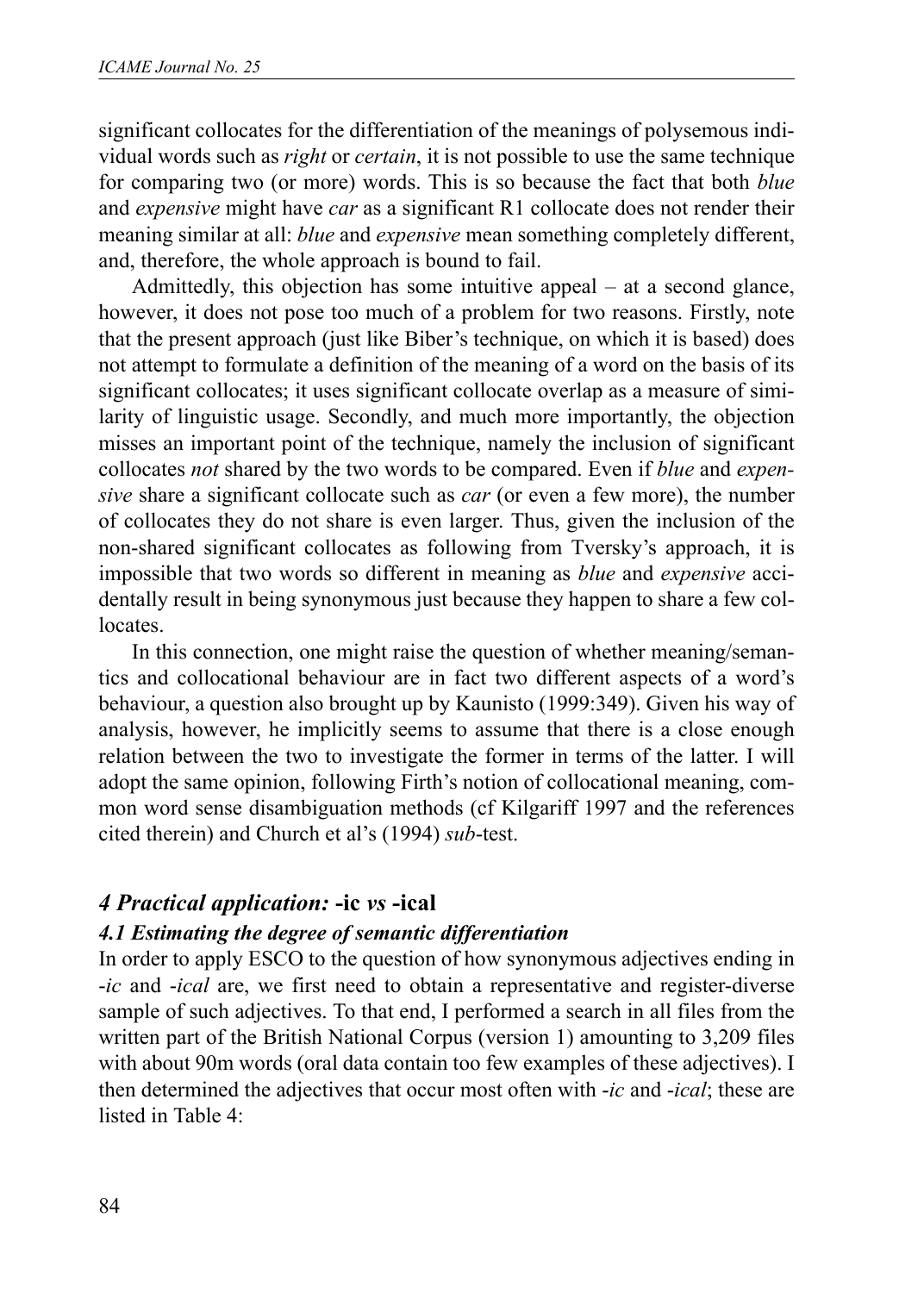significant collocates for the differentiation of the meanings of polysemous individual words such as *right* or *certain*, it is not possible to use the same technique for comparing two (or more) words. This is so because the fact that both *blue* and *expensive* might have *car* as a significant R1 collocate does not render their meaning similar at all: *blue* and *expensive* mean something completely different, and, therefore, the whole approach is bound to fail.

Admittedly, this objection has some intuitive appeal – at a second glance, however, it does not pose too much of a problem for two reasons. Firstly, note that the present approach (just like Biber's technique, on which it is based) does not attempt to formulate a definition of the meaning of a word on the basis of its significant collocates; it uses significant collocate overlap as a measure of similarity of linguistic usage. Secondly, and much more importantly, the objection misses an important point of the technique, namely the inclusion of significant collocates *not* shared by the two words to be compared. Even if *blue* and *expensive* share a significant collocate such as *car* (or even a few more), the number of collocates they do not share is even larger. Thus, given the inclusion of the non-shared significant collocates as following from Tversky's approach, it is impossible that two words so different in meaning as *blue* and *expensive* accidentally result in being synonymous just because they happen to share a few collocates.

In this connection, one might raise the question of whether meaning/semantics and collocational behaviour are in fact two different aspects of a word's behaviour, a question also brought up by Kaunisto (1999:349). Given his way of analysis, however, he implicitly seems to assume that there is a close enough relation between the two to investigate the former in terms of the latter. I will adopt the same opinion, following Firth's notion of collocational meaning, common word sense disambiguation methods (cf Kilgariff 1997 and the references cited therein) and Church et al's (1994) *sub*-test.

#### *4 Practical application:* **-ic** *vs* **-ical**

#### *4.1 Estimating the degree of semantic differentiation*

In order to apply ESCO to the question of how synonymous adjectives ending in -*ic* and -*ical* are, we first need to obtain a representative and register-diverse sample of such adjectives. To that end, I performed a search in all files from the written part of the British National Corpus (version 1) amounting to 3,209 files with about 90m words (oral data contain too few examples of these adjectives). I then determined the adjectives that occur most often with -*ic* and -*ical*; these are listed in Table 4: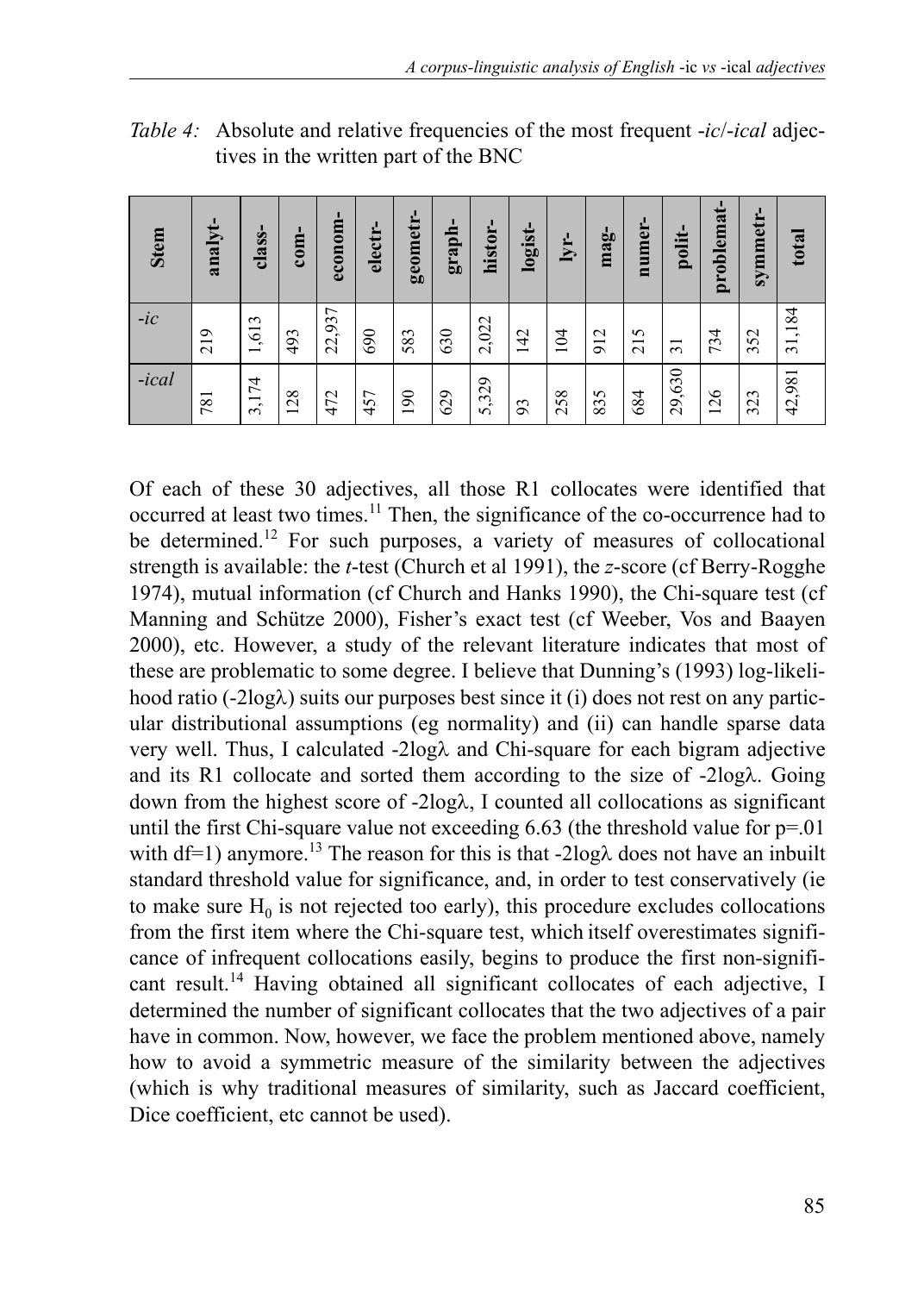| <b>Stem</b> | analyt- | class-                                   | $com-$                         | econom- | electr- | geometr- | graph- | histor- | logist- | lyr- | $mag-$ | numer-              | polit-         | problemat                      | symmetr- | total                  |
|-------------|---------|------------------------------------------|--------------------------------|---------|---------|----------|--------|---------|---------|------|--------|---------------------|----------------|--------------------------------|----------|------------------------|
| $-ic$       | 219     | ,613<br>$\overline{\phantom{0}}$         | 493                            | 22,937  | 690     | 583      | 630    | 2,022   | 142     | 104  | 912    | S<br>$\overline{c}$ | $\overline{5}$ | 734                            | 352      | 184<br>$\overline{31}$ |
| -ical       | 781     | 74<br>$\overline{\phantom{a}}$<br>$\sim$ | 28<br>$\overline{\phantom{0}}$ | 472     | 457     | 190      | 629    | 5,329   | 93      | 258  | 835    | 684                 | ,630<br>29,    | 26<br>$\overline{\phantom{0}}$ | 323      | 42,981                 |

*Table 4:* Absolute and relative frequencies of the most frequent -*ic*/-*ical* adjectives in the written part of the BNC

Of each of these 30 adjectives, all those R1 collocates were identified that occurred at least two times.<sup>11</sup> Then, the significance of the co-occurrence had to be determined.<sup>12</sup> For such purposes, a variety of measures of collocational strength is available: the *t*-test (Church et al 1991), the *z*-score (cf Berry-Rogghe 1974), mutual information (cf Church and Hanks 1990), the Chi-square test (cf Manning and Schütze 2000), Fisher's exact test (cf Weeber, Vos and Baayen 2000), etc. However, a study of the relevant literature indicates that most of these are problematic to some degree. I believe that Dunning's (1993) log-likelihood ratio (-2logλ) suits our purposes best since it (i) does not rest on any particular distributional assumptions (eg normality) and (ii) can handle sparse data very well. Thus, I calculated -2logλ and Chi-square for each bigram adjective and its R1 collocate and sorted them according to the size of -2logλ. Going down from the highest score of -2logλ, I counted all collocations as significant until the first Chi-square value not exceeding  $6.63$  (the threshold value for  $p=01$ ) with df=1) anymore.<sup>13</sup> The reason for this is that -2log $\lambda$  does not have an inbuilt standard threshold value for significance, and, in order to test conservatively (ie to make sure  $H_0$  is not rejected too early), this procedure excludes collocations from the first item where the Chi-square test, which itself overestimates significance of infrequent collocations easily, begins to produce the first non-significant result.<sup>14</sup> Having obtained all significant collocates of each adjective, I determined the number of significant collocates that the two adjectives of a pair have in common. Now, however, we face the problem mentioned above, namely how to avoid a symmetric measure of the similarity between the adjectives (which is why traditional measures of similarity, such as Jaccard coefficient, Dice coefficient, etc cannot be used). **Stem analyt- class- com- econom- electr- geometr- graph-**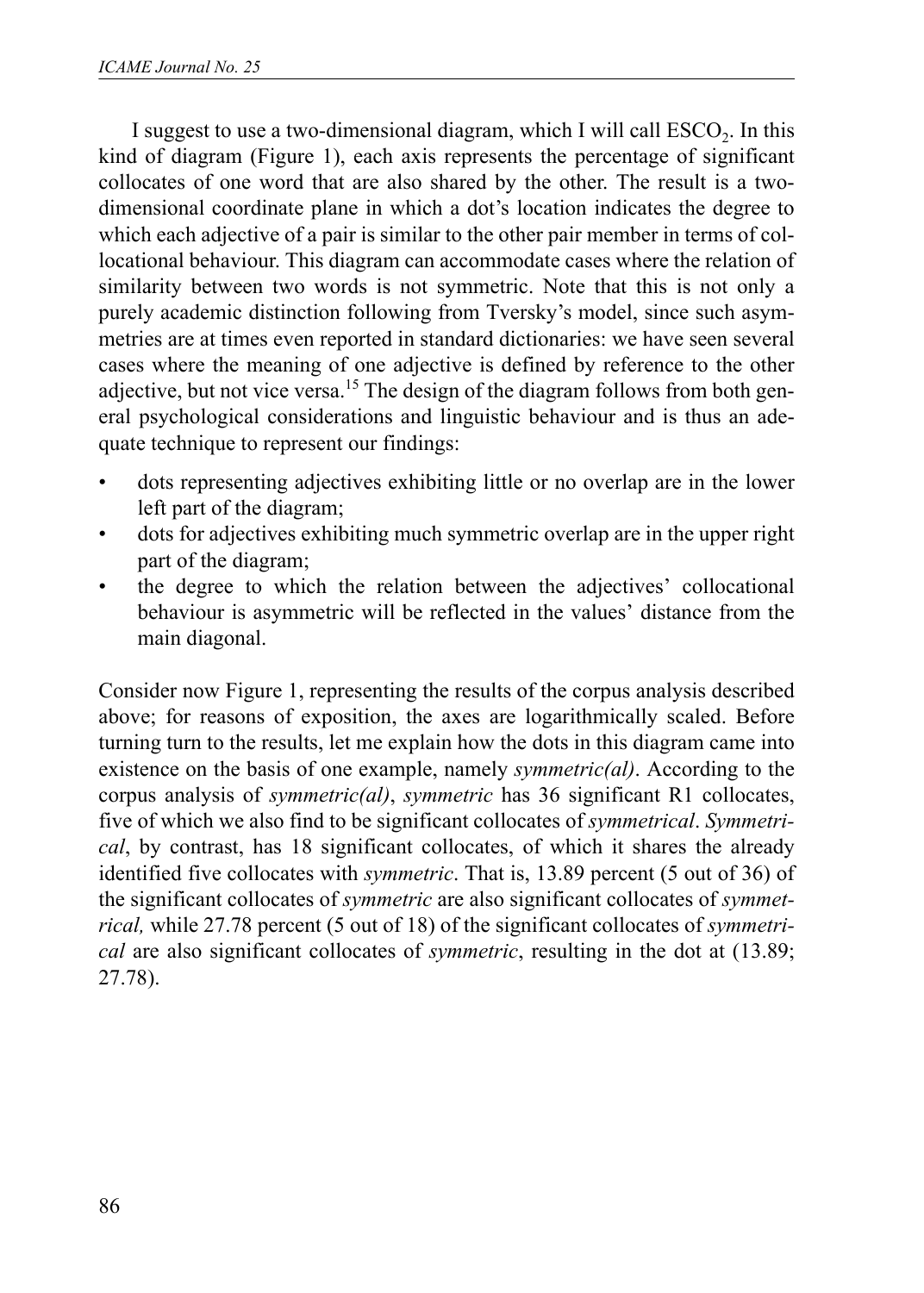I suggest to use a two-dimensional diagram, which I will call  $\text{ESCO}_2$ . In this kind of diagram (Figure 1), each axis represents the percentage of significant collocates of one word that are also shared by the other. The result is a twodimensional coordinate plane in which a dot's location indicates the degree to which each adjective of a pair is similar to the other pair member in terms of collocational behaviour. This diagram can accommodate cases where the relation of similarity between two words is not symmetric. Note that this is not only a purely academic distinction following from Tversky's model, since such asymmetries are at times even reported in standard dictionaries: we have seen several cases where the meaning of one adjective is defined by reference to the other adjective, but not vice versa.<sup>15</sup> The design of the diagram follows from both general psychological considerations and linguistic behaviour and is thus an adequate technique to represent our findings:

- dots representing adjectives exhibiting little or no overlap are in the lower left part of the diagram;
- dots for adjectives exhibiting much symmetric overlap are in the upper right part of the diagram;
- the degree to which the relation between the adjectives' collocational behaviour is asymmetric will be reflected in the values' distance from the main diagonal.

Consider now Figure 1, representing the results of the corpus analysis described above; for reasons of exposition, the axes are logarithmically scaled. Before turning turn to the results, let me explain how the dots in this diagram came into existence on the basis of one example, namely *symmetric(al)*. According to the corpus analysis of *symmetric(al)*, *symmetric* has 36 significant R1 collocates, five of which we also find to be significant collocates of *symmetrical*. *Symmetrical*, by contrast, has 18 significant collocates, of which it shares the already identified five collocates with *symmetric*. That is, 13.89 percent (5 out of 36) of the significant collocates of *symmetric* are also significant collocates of *symmetrical,* while 27.78 percent (5 out of 18) of the significant collocates of *symmetrical* are also significant collocates of *symmetric*, resulting in the dot at (13.89; 27.78).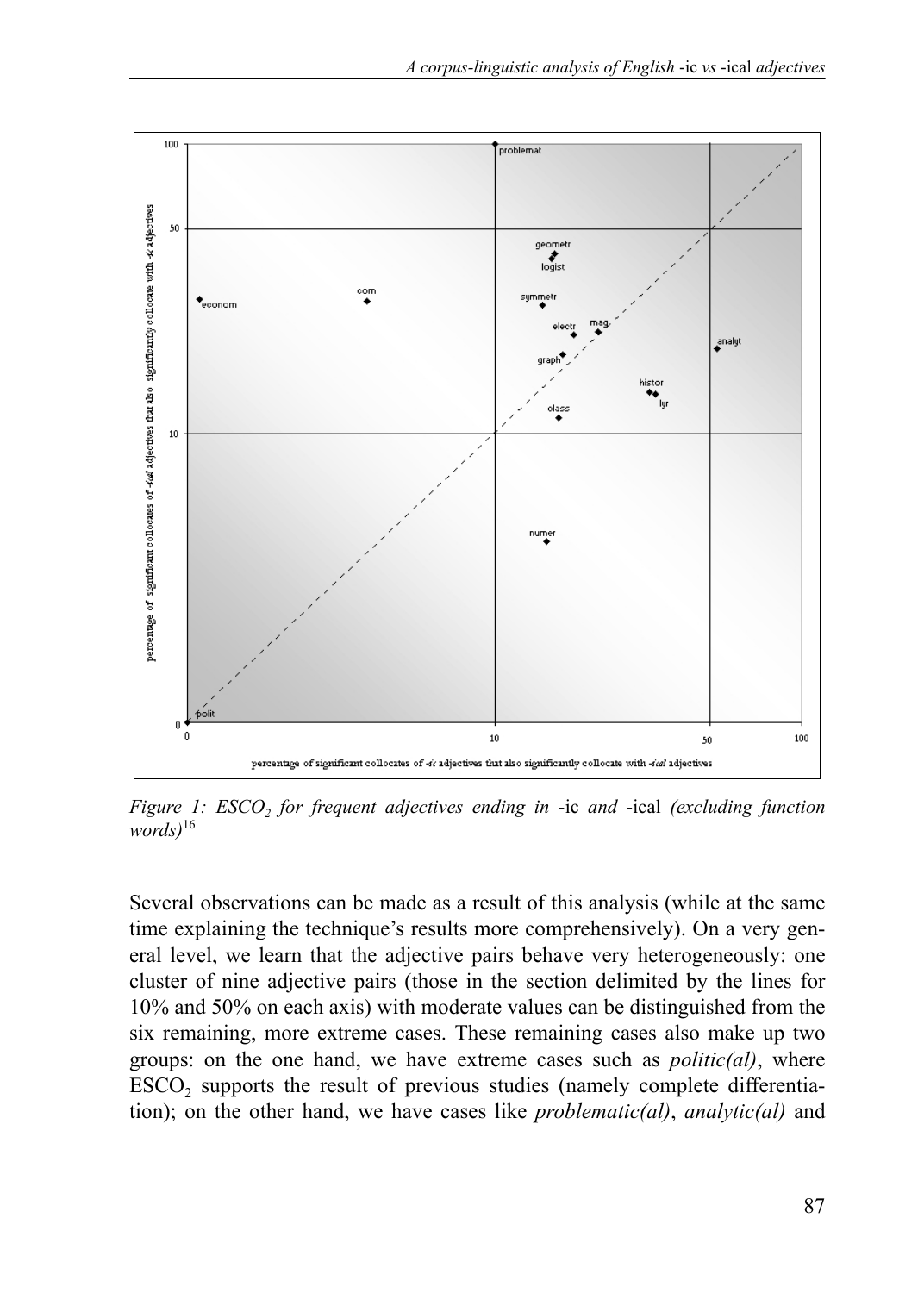

*Figure 1: ESCO, for frequent adjectives ending in -ic and -ical (excluding function words)*<sup>16</sup>

Several observations can be made as a result of this analysis (while at the same time explaining the technique's results more comprehensively). On a very general level, we learn that the adjective pairs behave very heterogeneously: one cluster of nine adjective pairs (those in the section delimited by the lines for 10% and 50% on each axis) with moderate values can be distinguished from the six remaining, more extreme cases. These remaining cases also make up two groups: on the one hand, we have extreme cases such as *politic(al)*, where ESCO<sub>2</sub> supports the result of previous studies (namely complete differentiation); on the other hand, we have cases like *problematic(al)*, *analytic(al)* and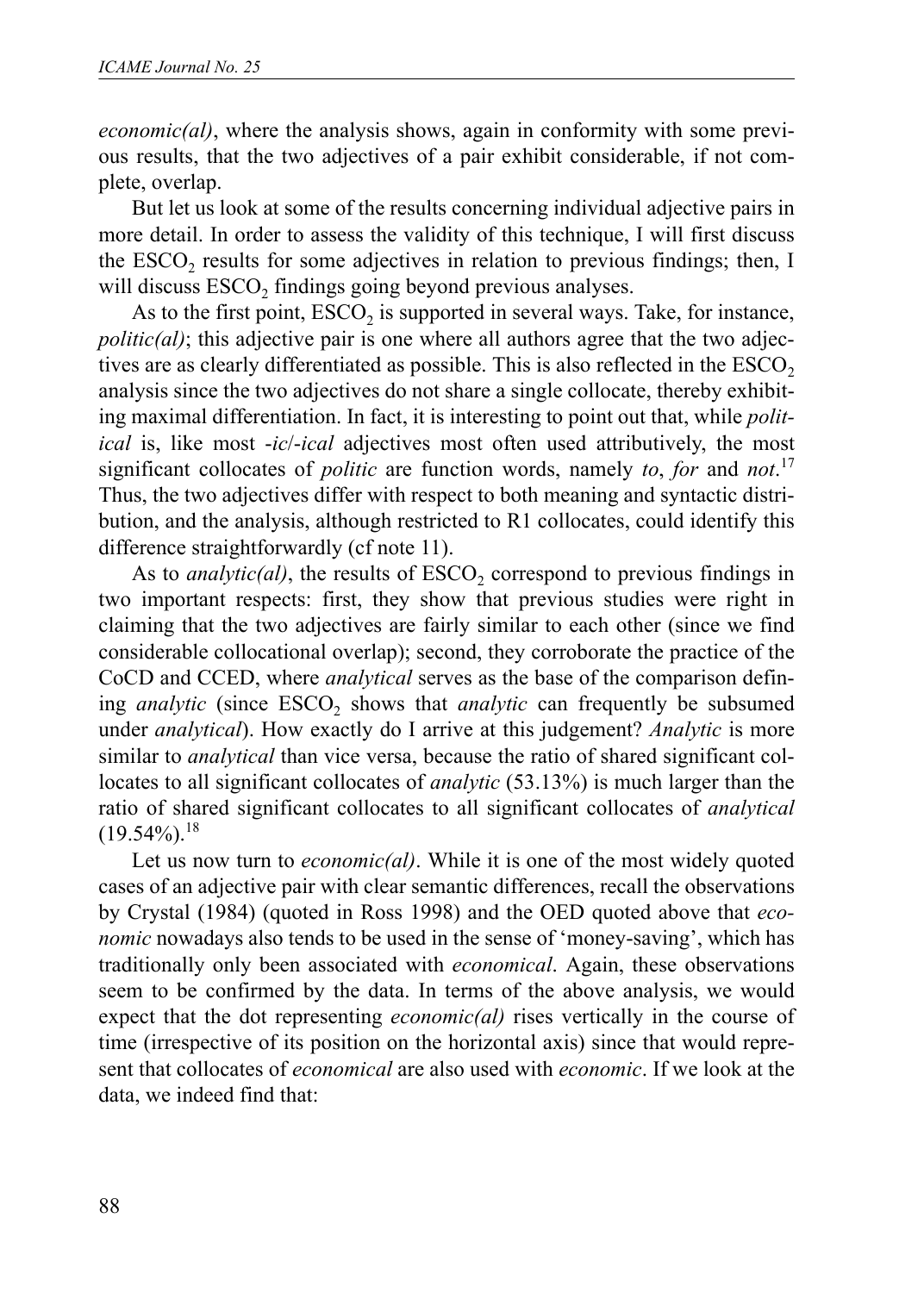*economic(al)*, where the analysis shows, again in conformity with some previous results, that the two adjectives of a pair exhibit considerable, if not complete, overlap.

But let us look at some of the results concerning individual adjective pairs in more detail. In order to assess the validity of this technique, I will first discuss the ESCO<sub>2</sub> results for some adjectives in relation to previous findings; then, I will discuss ESCO<sub>2</sub> findings going beyond previous analyses.

As to the first point,  $ESCO<sub>2</sub>$  is supported in several ways. Take, for instance,  $politic(al)$ ; this adjective pair is one where all authors agree that the two adjectives are as clearly differentiated as possible. This is also reflected in the  $\text{ESCO}_2$ analysis since the two adjectives do not share a single collocate, thereby exhibiting maximal differentiation. In fact, it is interesting to point out that, while *political* is, like most -*ic*/-*ical* adjectives most often used attributively, the most significant collocates of *politic* are function words, namely *to*, *for* and *not*. 17 Thus, the two adjectives differ with respect to both meaning and syntactic distribution, and the analysis, although restricted to R1 collocates, could identify this difference straightforwardly (cf note 11).

As to *analytic(al)*, the results of  $ESCO<sub>2</sub>$  correspond to previous findings in two important respects: first, they show that previous studies were right in claiming that the two adjectives are fairly similar to each other (since we find considerable collocational overlap); second, they corroborate the practice of the CoCD and CCED, where *analytical* serves as the base of the comparison defining *analytic* (since ESCO<sub>2</sub> shows that *analytic* can frequently be subsumed under *analytical*). How exactly do I arrive at this judgement? *Analytic* is more similar to *analytical* than vice versa, because the ratio of shared significant collocates to all significant collocates of *analytic* (53.13%) is much larger than the ratio of shared significant collocates to all significant collocates of *analytical*  $(19.54\%)$ <sup>18</sup>

Let us now turn to *economic(al)*. While it is one of the most widely quoted cases of an adjective pair with clear semantic differences, recall the observations by Crystal (1984) (quoted in Ross 1998) and the OED quoted above that *economic* nowadays also tends to be used in the sense of 'money-saving', which has traditionally only been associated with *economical*. Again, these observations seem to be confirmed by the data. In terms of the above analysis, we would expect that the dot representing *economic(al)* rises vertically in the course of time (irrespective of its position on the horizontal axis) since that would represent that collocates of *economical* are also used with *economic*. If we look at the data, we indeed find that: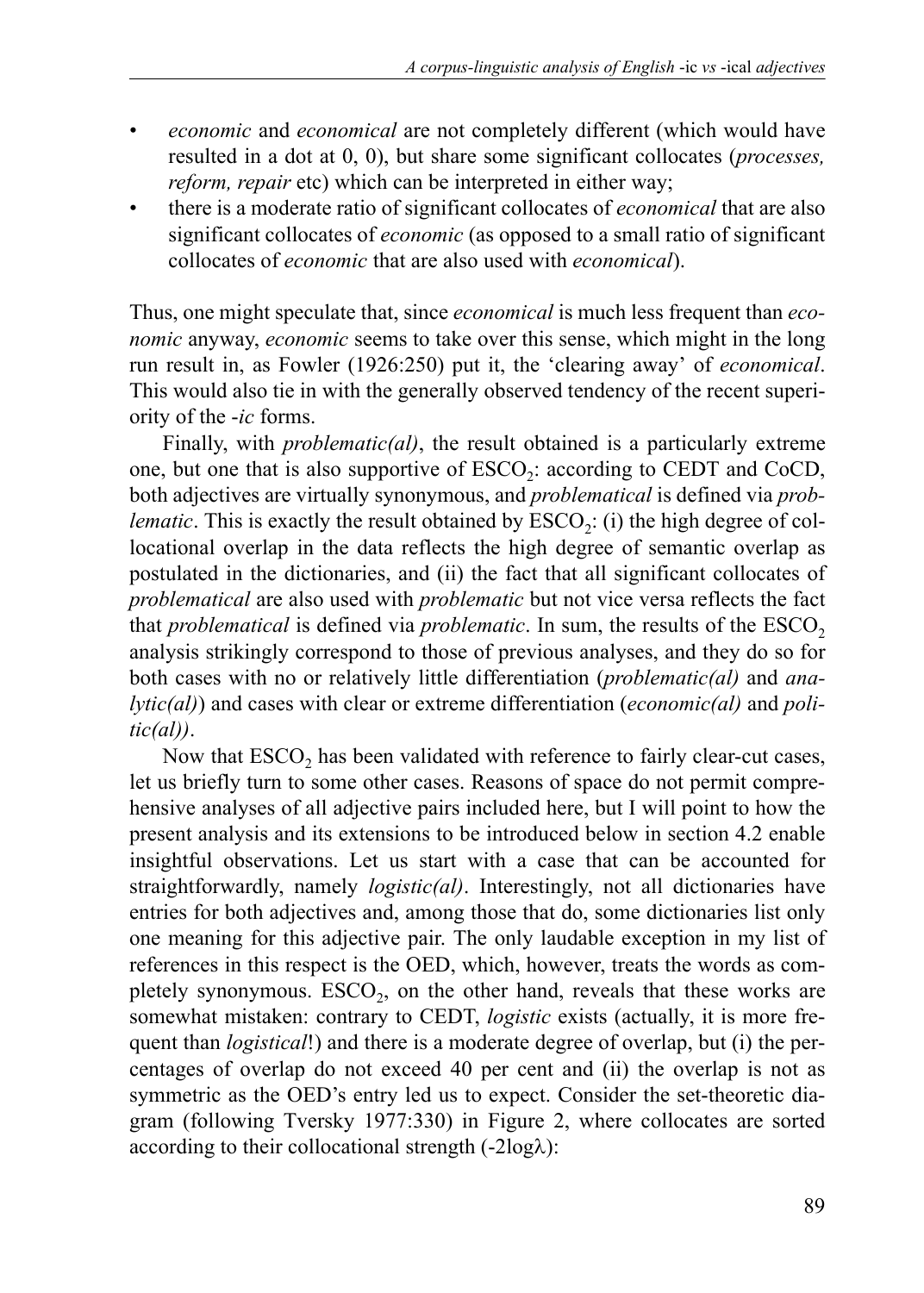- *economic* and *economical* are not completely different (which would have resulted in a dot at 0, 0), but share some significant collocates (*processes, reform, repair* etc) which can be interpreted in either way;
- there is a moderate ratio of significant collocates of *economical* that are also significant collocates of *economic* (as opposed to a small ratio of significant collocates of *economic* that are also used with *economical*).

Thus, one might speculate that, since *economical* is much less frequent than *economic* anyway, *economic* seems to take over this sense, which might in the long run result in, as Fowler (1926:250) put it, the 'clearing away' of *economical*. This would also tie in with the generally observed tendency of the recent superiority of the -*ic* forms.

Finally, with *problematic(al)*, the result obtained is a particularly extreme one, but one that is also supportive of ESCO<sub>2</sub>: according to CEDT and CoCD, both adjectives are virtually synonymous, and *problematical* is defined via *problematic*. This is exactly the result obtained by  $\text{ESCO}_2$ : (i) the high degree of collocational overlap in the data reflects the high degree of semantic overlap as postulated in the dictionaries, and (ii) the fact that all significant collocates of *problematical* are also used with *problematic* but not vice versa reflects the fact that *problematical* is defined via *problematic*. In sum, the results of the ESCO<sub>2</sub> analysis strikingly correspond to those of previous analyses, and they do so for both cases with no or relatively little differentiation (*problematic(al)* and *analytic(al)*) and cases with clear or extreme differentiation (*economic(al)* and *politic(al))*.

Now that  $\text{ESCO}_2$  has been validated with reference to fairly clear-cut cases, let us briefly turn to some other cases. Reasons of space do not permit comprehensive analyses of all adjective pairs included here, but I will point to how the present analysis and its extensions to be introduced below in section 4.2 enable insightful observations. Let us start with a case that can be accounted for straightforwardly, namely *logistic(al)*. Interestingly, not all dictionaries have entries for both adjectives and, among those that do, some dictionaries list only one meaning for this adjective pair. The only laudable exception in my list of references in this respect is the OED, which, however, treats the words as completely synonymous.  $ESCO<sub>2</sub>$ , on the other hand, reveals that these works are somewhat mistaken: contrary to CEDT, *logistic* exists (actually, it is more frequent than *logistical*!) and there is a moderate degree of overlap, but (i) the percentages of overlap do not exceed 40 per cent and (ii) the overlap is not as symmetric as the OED's entry led us to expect. Consider the set-theoretic diagram (following Tversky 1977:330) in Figure 2, where collocates are sorted according to their collocational strength  $(-2log\lambda)$ :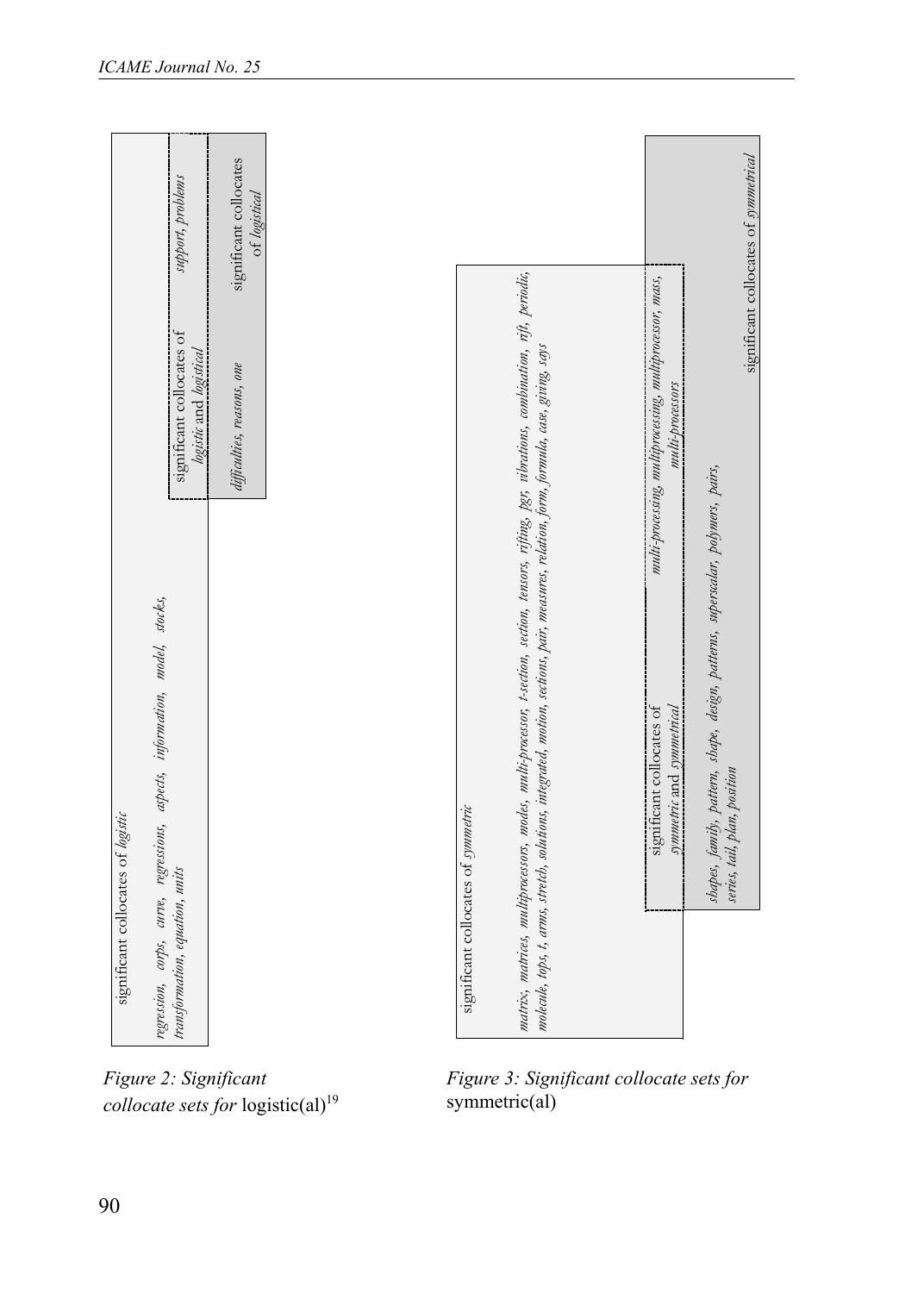|                                                                             | support, problems                                    | significant collocates<br>of logistical |                                               |                                     |                                                                                                                                                                                                                                                                                       |                                                                              | significant collocates of symmetrical                                                                           |
|-----------------------------------------------------------------------------|------------------------------------------------------|-----------------------------------------|-----------------------------------------------|-------------------------------------|---------------------------------------------------------------------------------------------------------------------------------------------------------------------------------------------------------------------------------------------------------------------------------------|------------------------------------------------------------------------------|-----------------------------------------------------------------------------------------------------------------|
|                                                                             | significant collocates of<br>logistic and logistical | difficulties, reasons, one              |                                               |                                     |                                                                                                                                                                                                                                                                                       | multi-processing, multiprocessing, multiprocessor, mass,<br>multi-processors |                                                                                                                 |
| regression, corps, curve, regressions, aspects, information, model, stocks, |                                                      |                                         |                                               |                                     | matrix, matrices, multiproassors, modes, multi-proassor, t-section, section, tensors, rifting, pgr, vibrations, combination, rift, periodic,<br>moleade, tops, t, arms, stretch, solutions, integrated, motion, sections, pair, measures, relation, form, formula, case, giving, scys | significant collocates of<br>symmetric and symmetrical                       | shapes, family, pattern, shape, design, patterns, superscalar, polymers, pairs,<br>series, tail, plan, position |
| significant collocates of logistic                                          | transformation, equation, units                      |                                         |                                               | significant collocates of symmetric |                                                                                                                                                                                                                                                                                       |                                                                              |                                                                                                                 |
| Figure 2: Significant<br>90                                                 |                                                      |                                         | collocate sets for logistic(al) <sup>19</sup> | symmetric(al)                       | Figure 3: Significant collocate sets for                                                                                                                                                                                                                                              |                                                                              |                                                                                                                 |

*Figure 2: Significant collocate sets for logistic(al)<sup>19</sup>* 

*Figure 3: Significant collocate sets for* symmetric(al)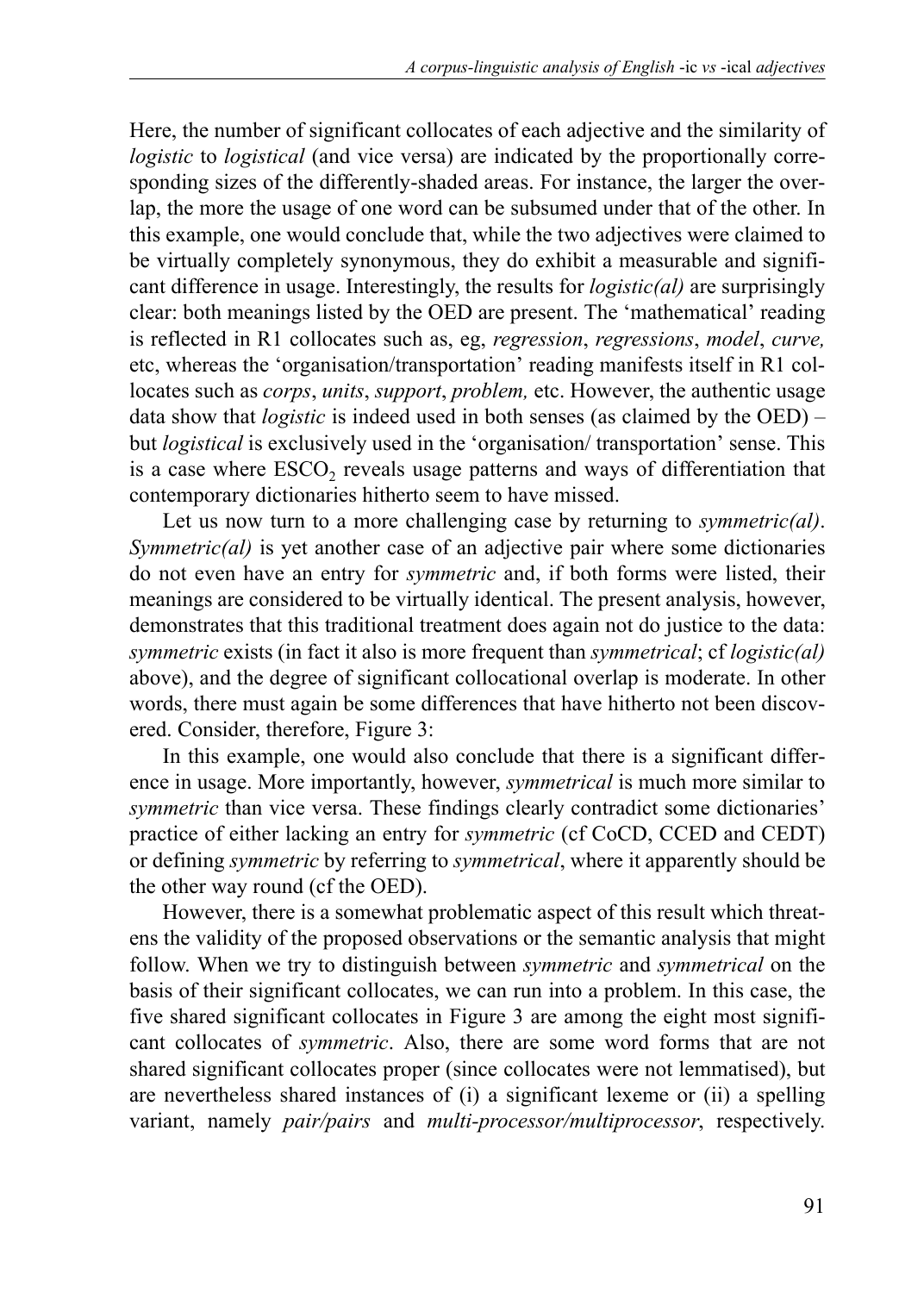Here, the number of significant collocates of each adjective and the similarity of *logistic* to *logistical* (and vice versa) are indicated by the proportionally corresponding sizes of the differently-shaded areas. For instance, the larger the overlap, the more the usage of one word can be subsumed under that of the other. In this example, one would conclude that, while the two adjectives were claimed to be virtually completely synonymous, they do exhibit a measurable and significant difference in usage. Interestingly, the results for *logistic(al)* are surprisingly clear: both meanings listed by the OED are present. The 'mathematical' reading is reflected in R1 collocates such as, eg, *regression*, *regressions*, *model*, *curve,* etc, whereas the 'organisation/transportation' reading manifests itself in R1 collocates such as *corps*, *units*, *support*, *problem,* etc. However, the authentic usage data show that *logistic* is indeed used in both senses (as claimed by the OED) – but *logistical* is exclusively used in the 'organisation/ transportation' sense. This is a case where ESCO<sub>2</sub> reveals usage patterns and ways of differentiation that contemporary dictionaries hitherto seem to have missed.

Let us now turn to a more challenging case by returning to *symmetric(al)*. *Symmetric(al)* is yet another case of an adjective pair where some dictionaries do not even have an entry for *symmetric* and, if both forms were listed, their meanings are considered to be virtually identical. The present analysis, however, demonstrates that this traditional treatment does again not do justice to the data: *symmetric* exists (in fact it also is more frequent than *symmetrical*; cf *logistic(al)* above), and the degree of significant collocational overlap is moderate. In other words, there must again be some differences that have hitherto not been discovered. Consider, therefore, Figure 3:

In this example, one would also conclude that there is a significant difference in usage. More importantly, however, *symmetrical* is much more similar to *symmetric* than vice versa. These findings clearly contradict some dictionaries' practice of either lacking an entry for *symmetric* (cf CoCD, CCED and CEDT) or defining *symmetric* by referring to *symmetrical*, where it apparently should be the other way round (cf the OED).

However, there is a somewhat problematic aspect of this result which threatens the validity of the proposed observations or the semantic analysis that might follow. When we try to distinguish between *symmetric* and *symmetrical* on the basis of their significant collocates, we can run into a problem. In this case, the five shared significant collocates in Figure 3 are among the eight most significant collocates of *symmetric*. Also, there are some word forms that are not shared significant collocates proper (since collocates were not lemmatised), but are nevertheless shared instances of (i) a significant lexeme or (ii) a spelling variant, namely *pair/pairs* and *multi-processor/multiprocessor*, respectively.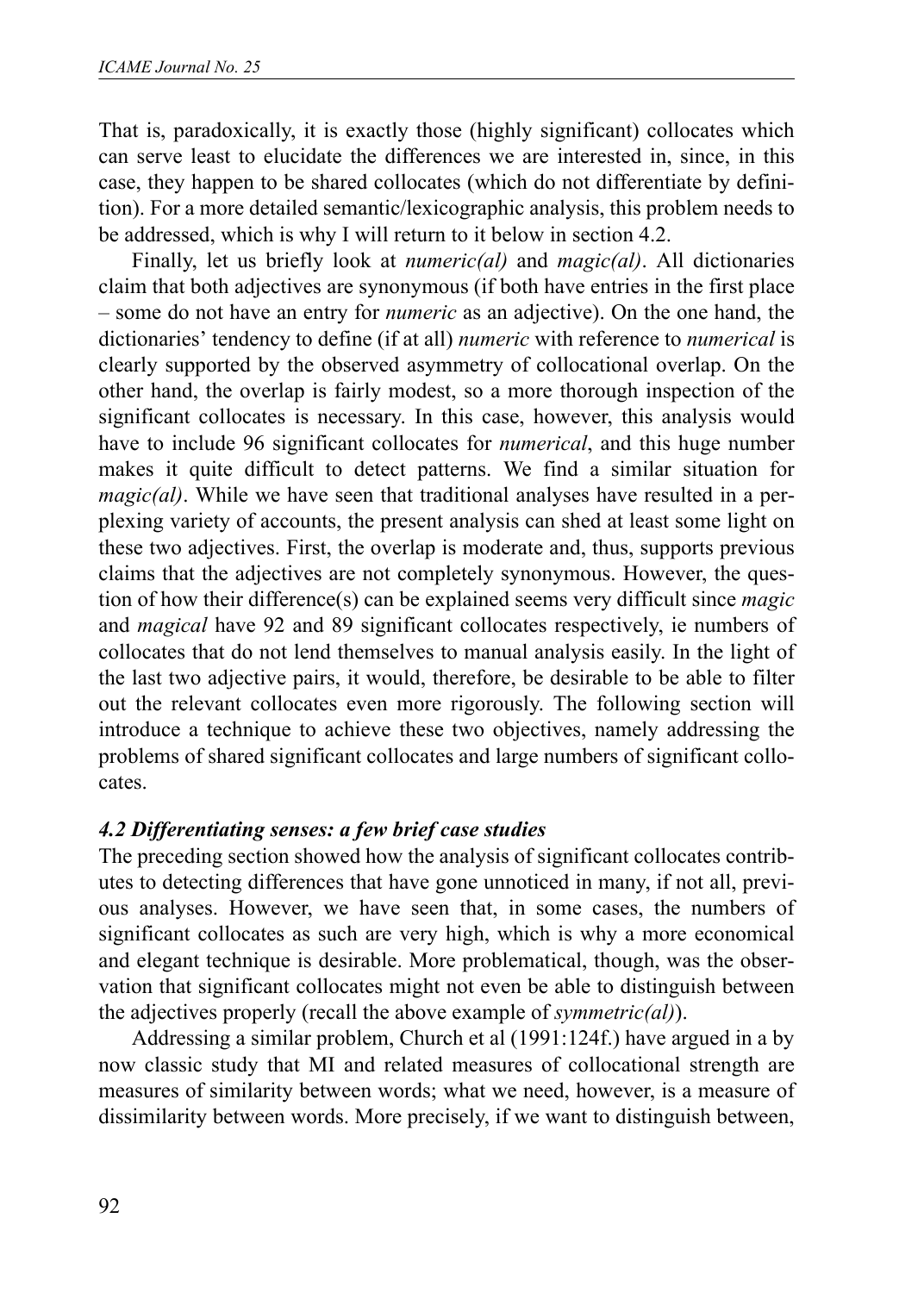That is, paradoxically, it is exactly those (highly significant) collocates which can serve least to elucidate the differences we are interested in, since, in this case, they happen to be shared collocates (which do not differentiate by definition). For a more detailed semantic/lexicographic analysis, this problem needs to be addressed, which is why I will return to it below in section 4.2.

Finally, let us briefly look at *numeric(al)* and *magic(al)*. All dictionaries claim that both adjectives are synonymous (if both have entries in the first place – some do not have an entry for *numeric* as an adjective). On the one hand, the dictionaries' tendency to define (if at all) *numeric* with reference to *numerical* is clearly supported by the observed asymmetry of collocational overlap. On the other hand, the overlap is fairly modest, so a more thorough inspection of the significant collocates is necessary. In this case, however, this analysis would have to include 96 significant collocates for *numerical*, and this huge number makes it quite difficult to detect patterns. We find a similar situation for *magic(al)*. While we have seen that traditional analyses have resulted in a perplexing variety of accounts, the present analysis can shed at least some light on these two adjectives. First, the overlap is moderate and, thus, supports previous claims that the adjectives are not completely synonymous. However, the question of how their difference(s) can be explained seems very difficult since *magic* and *magical* have 92 and 89 significant collocates respectively, ie numbers of collocates that do not lend themselves to manual analysis easily. In the light of the last two adjective pairs, it would, therefore, be desirable to be able to filter out the relevant collocates even more rigorously. The following section will introduce a technique to achieve these two objectives, namely addressing the problems of shared significant collocates and large numbers of significant collocates.

#### *4.2 Differentiating senses: a few brief case studies*

The preceding section showed how the analysis of significant collocates contributes to detecting differences that have gone unnoticed in many, if not all, previous analyses. However, we have seen that, in some cases, the numbers of significant collocates as such are very high, which is why a more economical and elegant technique is desirable. More problematical, though, was the observation that significant collocates might not even be able to distinguish between the adjectives properly (recall the above example of *symmetric(al)*).

Addressing a similar problem, Church et al (1991:124f.) have argued in a by now classic study that MI and related measures of collocational strength are measures of similarity between words; what we need, however, is a measure of dissimilarity between words. More precisely, if we want to distinguish between,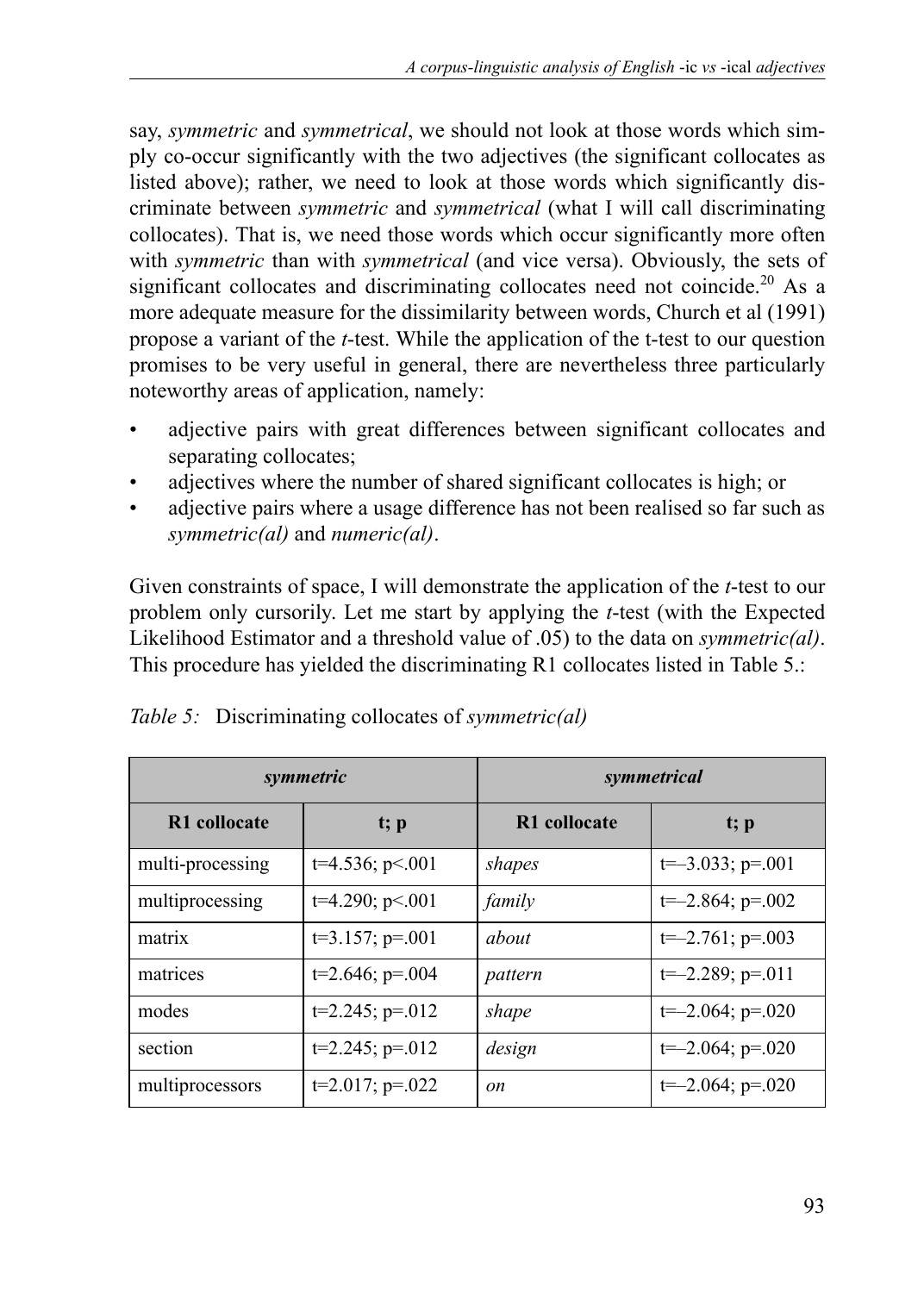say, *symmetric* and *symmetrical*, we should not look at those words which simply co-occur significantly with the two adjectives (the significant collocates as listed above); rather, we need to look at those words which significantly discriminate between *symmetric* and *symmetrical* (what I will call discriminating collocates). That is, we need those words which occur significantly more often with *symmetric* than with *symmetrical* (and vice versa). Obviously, the sets of significant collocates and discriminating collocates need not coincide.<sup>20</sup> As a more adequate measure for the dissimilarity between words, Church et al (1991) propose a variant of the *t*-test. While the application of the t-test to our question promises to be very useful in general, there are nevertheless three particularly noteworthy areas of application, namely:

- adjective pairs with great differences between significant collocates and separating collocates;
- adjectives where the number of shared significant collocates is high; or
- adjective pairs where a usage difference has not been realised so far such as *symmetric(al)* and *numeric(al)*.

Given constraints of space, I will demonstrate the application of the *t*-test to our problem only cursorily. Let me start by applying the *t*-test (with the Expected Likelihood Estimator and a threshold value of .05) to the data on *symmetric(al)*. This procedure has yielded the discriminating R1 collocates listed in Table 5.:

|                  | symmetric            | symmetrical  |                       |  |  |
|------------------|----------------------|--------------|-----------------------|--|--|
| R1 collocate     | t; p                 | R1 collocate | t; p                  |  |  |
| multi-processing | $t=4.536; p<.001$    | shapes       | $t=-3.033$ ; $p=.001$ |  |  |
| multiprocessing  | $t=4.290; p<.001$    | family       | $t=-2.864$ ; $p=.002$ |  |  |
| matrix           | $t=3.157; p=.001$    | about        | $t=-2.761$ ; $p=.003$ |  |  |
| matrices         | $t=2.646$ ; $p=.004$ | pattern      | $t=-2.289; p=011$     |  |  |
| modes            | $t=2.245$ ; $p=.012$ | shape        | $t=-2.064$ ; $p=.020$ |  |  |
| section          | $t=2.245$ ; $p=.012$ | design       | $t=-2.064$ ; $p=.020$ |  |  |
| multiprocessors  | $t=2.017$ ; $p=.022$ | on           | $t=-2.064$ ; $p=.020$ |  |  |

| Table 5: Discriminating collocates of symmetric(al) |  |  |
|-----------------------------------------------------|--|--|
|                                                     |  |  |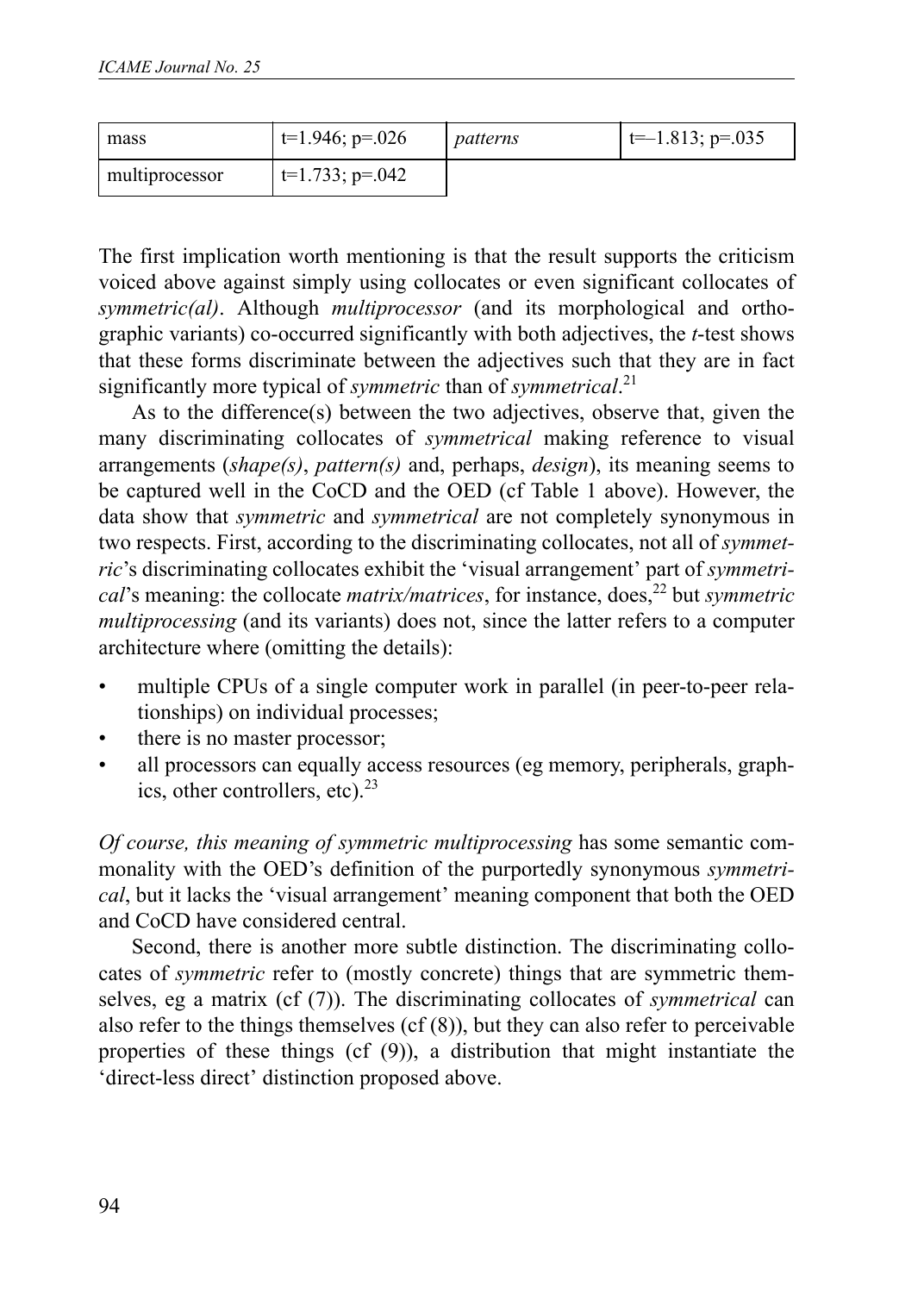| mass           | $\vert$ t=1.946; p=.026 | patterns | $\vert$ t= -1.813; p=.035 |
|----------------|-------------------------|----------|---------------------------|
| multiprocessor | $t=1.733$ ; p=.042      |          |                           |

The first implication worth mentioning is that the result supports the criticism voiced above against simply using collocates or even significant collocates of *symmetric(al)*. Although *multiprocessor* (and its morphological and orthographic variants) co-occurred significantly with both adjectives, the *t*-test shows that these forms discriminate between the adjectives such that they are in fact significantly more typical of *symmetric* than of *symmetrical*. 21

As to the difference(s) between the two adjectives, observe that, given the many discriminating collocates of *symmetrical* making reference to visual arrangements (*shape(s)*, *pattern(s)* and, perhaps, *design*), its meaning seems to be captured well in the CoCD and the OED (cf Table 1 above). However, the data show that *symmetric* and *symmetrical* are not completely synonymous in two respects. First, according to the discriminating collocates, not all of *symmetric*'s discriminating collocates exhibit the 'visual arrangement' part of *symmetrical*'s meaning: the collocate *matrix/matrices*, for instance, does,<sup>22</sup> but *symmetric multiprocessing* (and its variants) does not, since the latter refers to a computer architecture where (omitting the details):

- multiple CPUs of a single computer work in parallel (in peer-to-peer relationships) on individual processes;
- there is no master processor;
- all processors can equally access resources (eg memory, peripherals, graphics, other controllers, etc). $^{23}$

*Of course, this meaning of symmetric multiprocessing* has some semantic commonality with the OED's definition of the purportedly synonymous *symmetrical*, but it lacks the 'visual arrangement' meaning component that both the OED and CoCD have considered central.

Second, there is another more subtle distinction. The discriminating collocates of *symmetric* refer to (mostly concrete) things that are symmetric themselves, eg a matrix (cf (7)). The discriminating collocates of *symmetrical* can also refer to the things themselves  $(cf(8))$ , but they can also refer to perceivable properties of these things (cf (9)), a distribution that might instantiate the 'direct-less direct' distinction proposed above.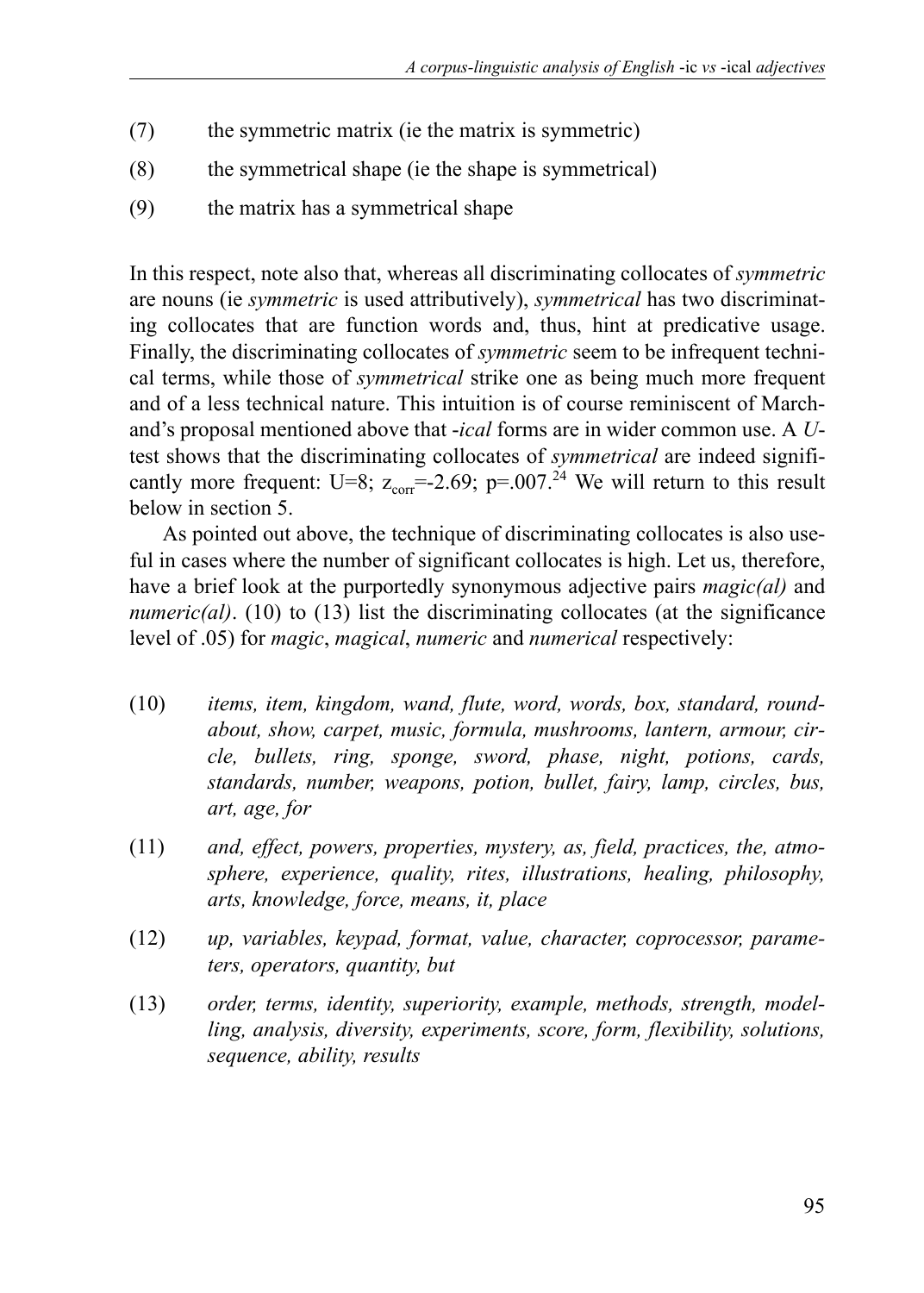- (7) the symmetric matrix (ie the matrix is symmetric)
- (8) the symmetrical shape (ie the shape is symmetrical)
- (9) the matrix has a symmetrical shape

In this respect, note also that, whereas all discriminating collocates of *symmetric* are nouns (ie *symmetric* is used attributively), *symmetrical* has two discriminating collocates that are function words and, thus, hint at predicative usage. Finally, the discriminating collocates of *symmetric* seem to be infrequent technical terms, while those of *symmetrical* strike one as being much more frequent and of a less technical nature. This intuition is of course reminiscent of Marchand's proposal mentioned above that -*ical* forms are in wider common use. A *U*test shows that the discriminating collocates of *symmetrical* are indeed significantly more frequent: U=8;  $z_{corr} = 2.69$ ; p=.007.<sup>24</sup> We will return to this result below in section 5.

As pointed out above, the technique of discriminating collocates is also useful in cases where the number of significant collocates is high. Let us, therefore, have a brief look at the purportedly synonymous adjective pairs *magic(al)* and *numeric(al)*. (10) to (13) list the discriminating collocates (at the significance level of .05) for *magic*, *magical*, *numeric* and *numerical* respectively:

- (10) *items, item, kingdom, wand, flute, word, words, box, standard, roundabout, show, carpet, music, formula, mushrooms, lantern, armour, circle, bullets, ring, sponge, sword, phase, night, potions, cards, standards, number, weapons, potion, bullet, fairy, lamp, circles, bus, art, age, for*
- (11) *and, effect, powers, properties, mystery, as, field, practices, the, atmosphere, experience, quality, rites, illustrations, healing, philosophy, arts, knowledge, force, means, it, place*
- (12) *up, variables, keypad, format, value, character, coprocessor, parameters, operators, quantity, but*
- (13) *order, terms, identity, superiority, example, methods, strength, modelling, analysis, diversity, experiments, score, form, flexibility, solutions, sequence, ability, results*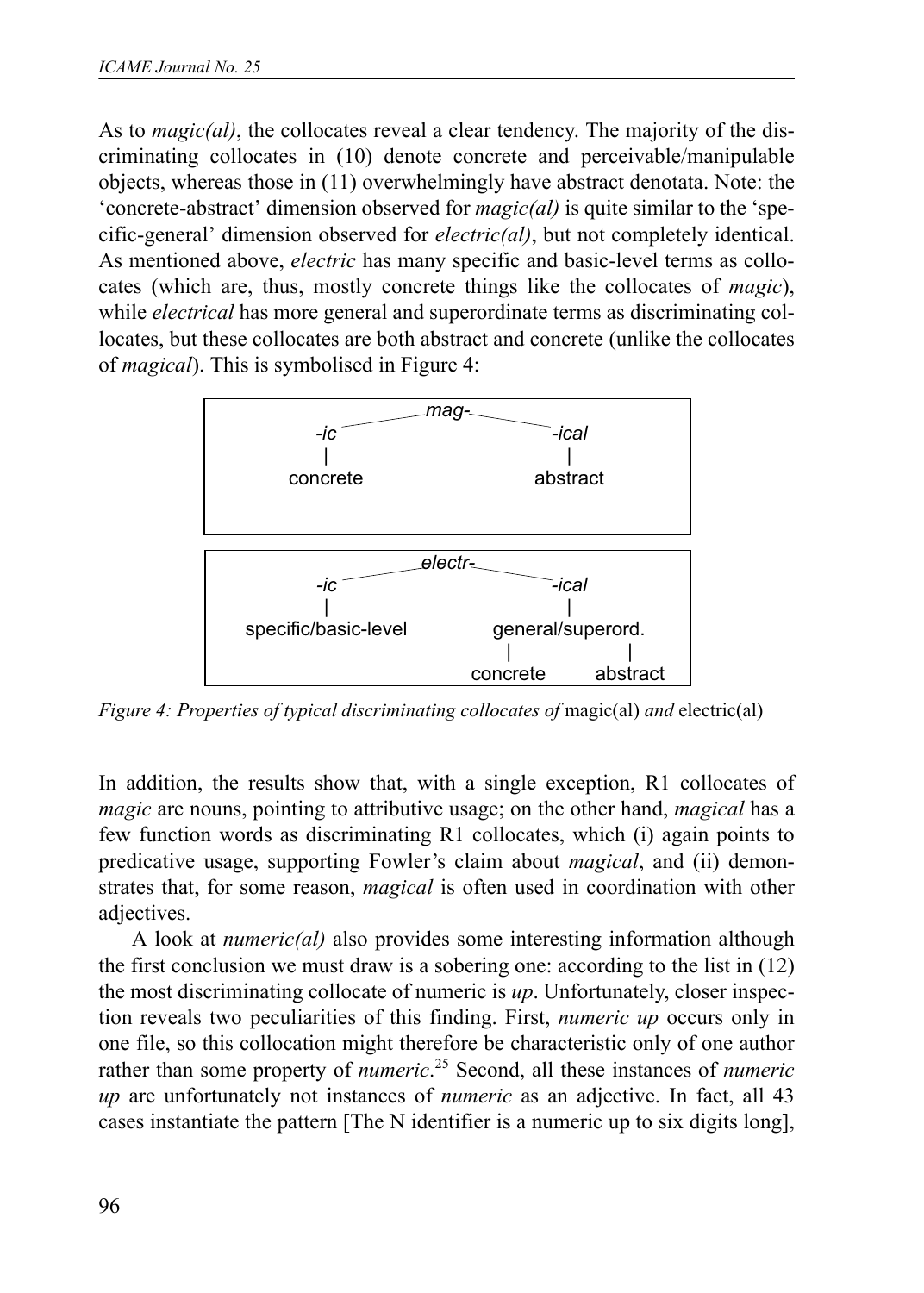As to *magic(al)*, the collocates reveal a clear tendency. The majority of the discriminating collocates in (10) denote concrete and perceivable/manipulable objects, whereas those in (11) overwhelmingly have abstract denotata. Note: the 'concrete-abstract' dimension observed for *magic(al)* is quite similar to the 'specific-general' dimension observed for *electric(al)*, but not completely identical. As mentioned above, *electric* has many specific and basic-level terms as collocates (which are, thus, mostly concrete things like the collocates of *magic*), while *electrical* has more general and superordinate terms as discriminating collocates, but these collocates are both abstract and concrete (unlike the collocates of *magical*). This is symbolised in Figure 4:



*Figure 4: Properties of typical discriminating collocates of magic(al) and electric(al)* 

In addition, the results show that, with a single exception, R1 collocates of *magic* are nouns, pointing to attributive usage; on the other hand, *magical* has a few function words as discriminating R1 collocates, which (i) again points to predicative usage, supporting Fowler's claim about *magical*, and (ii) demonstrates that, for some reason, *magical* is often used in coordination with other adjectives.

A look at *numeric(al)* also provides some interesting information although the first conclusion we must draw is a sobering one: according to the list in (12) the most discriminating collocate of numeric is *up*. Unfortunately, closer inspection reveals two peculiarities of this finding. First, *numeric up* occurs only in one file, so this collocation might therefore be characteristic only of one author rather than some property of *numeric*. 25 Second, all these instances of *numeric up* are unfortunately not instances of *numeric* as an adjective. In fact, all 43 cases instantiate the pattern [The N identifier is a numeric up to six digits long],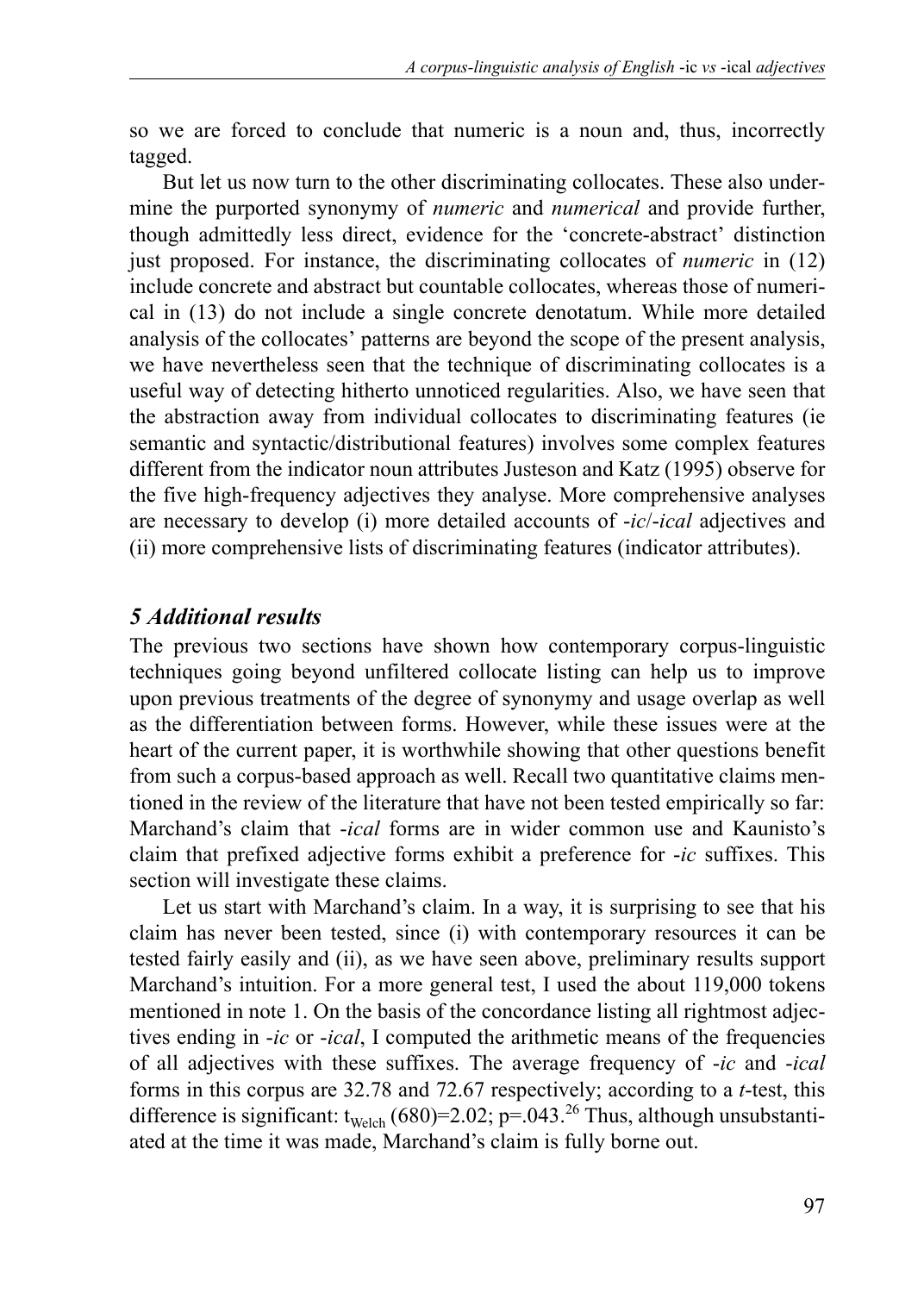so we are forced to conclude that numeric is a noun and, thus, incorrectly tagged.

But let us now turn to the other discriminating collocates. These also undermine the purported synonymy of *numeric* and *numerical* and provide further, though admittedly less direct, evidence for the 'concrete-abstract' distinction just proposed. For instance, the discriminating collocates of *numeric* in (12) include concrete and abstract but countable collocates, whereas those of numerical in (13) do not include a single concrete denotatum. While more detailed analysis of the collocates' patterns are beyond the scope of the present analysis, we have nevertheless seen that the technique of discriminating collocates is a useful way of detecting hitherto unnoticed regularities. Also, we have seen that the abstraction away from individual collocates to discriminating features (ie semantic and syntactic/distributional features) involves some complex features different from the indicator noun attributes Justeson and Katz (1995) observe for the five high-frequency adjectives they analyse. More comprehensive analyses are necessary to develop (i) more detailed accounts of -*ic*/-*ical* adjectives and (ii) more comprehensive lists of discriminating features (indicator attributes).

#### *5 Additional results*

The previous two sections have shown how contemporary corpus-linguistic techniques going beyond unfiltered collocate listing can help us to improve upon previous treatments of the degree of synonymy and usage overlap as well as the differentiation between forms. However, while these issues were at the heart of the current paper, it is worthwhile showing that other questions benefit from such a corpus-based approach as well. Recall two quantitative claims mentioned in the review of the literature that have not been tested empirically so far: Marchand's claim that -*ical* forms are in wider common use and Kaunisto's claim that prefixed adjective forms exhibit a preference for -*ic* suffixes. This section will investigate these claims.

Let us start with Marchand's claim. In a way, it is surprising to see that his claim has never been tested, since (i) with contemporary resources it can be tested fairly easily and (ii), as we have seen above, preliminary results support Marchand's intuition. For a more general test, I used the about 119,000 tokens mentioned in note 1. On the basis of the concordance listing all rightmost adjectives ending in -*ic* or -*ical*, I computed the arithmetic means of the frequencies of all adjectives with these suffixes. The average frequency of -*ic* and -*ical* forms in this corpus are 32.78 and 72.67 respectively; according to a *t*-test, this difference is significant:  $t_{\text{Welch}}$  (680)=2.02; p=.043.<sup>26</sup> Thus, although unsubstantiated at the time it was made, Marchand's claim is fully borne out.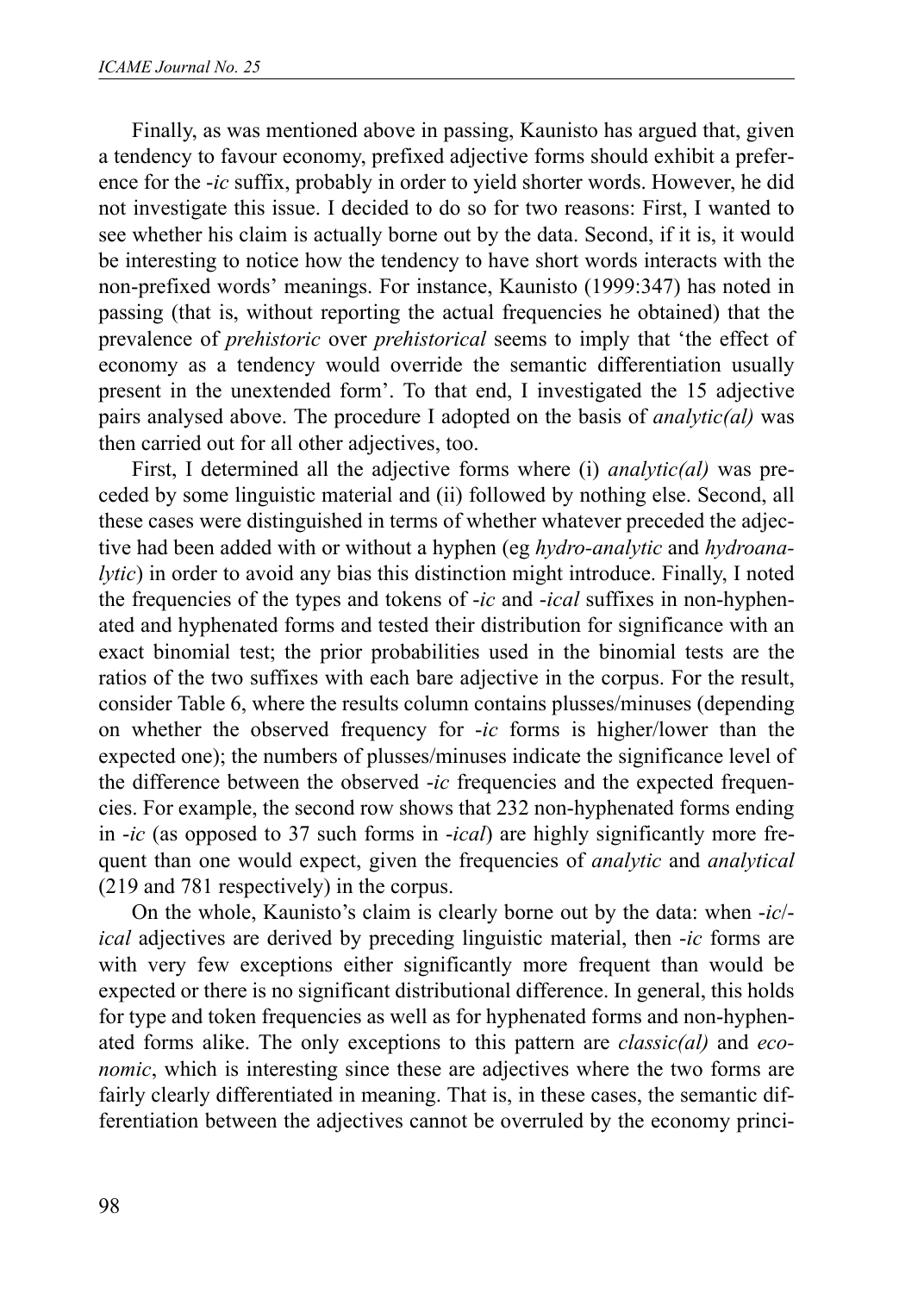Finally, as was mentioned above in passing, Kaunisto has argued that, given a tendency to favour economy, prefixed adjective forms should exhibit a preference for the -*ic* suffix, probably in order to yield shorter words. However, he did not investigate this issue. I decided to do so for two reasons: First, I wanted to see whether his claim is actually borne out by the data. Second, if it is, it would be interesting to notice how the tendency to have short words interacts with the non-prefixed words' meanings. For instance, Kaunisto (1999:347) has noted in passing (that is, without reporting the actual frequencies he obtained) that the prevalence of *prehistoric* over *prehistorical* seems to imply that 'the effect of economy as a tendency would override the semantic differentiation usually present in the unextended form'. To that end, I investigated the 15 adjective pairs analysed above. The procedure I adopted on the basis of *analytic(al)* was then carried out for all other adjectives, too.

First, I determined all the adjective forms where (i) *analytic(al)* was preceded by some linguistic material and (ii) followed by nothing else. Second, all these cases were distinguished in terms of whether whatever preceded the adjective had been added with or without a hyphen (eg *hydro-analytic* and *hydroanalytic*) in order to avoid any bias this distinction might introduce. Finally, I noted the frequencies of the types and tokens of -*ic* and -*ical* suffixes in non-hyphenated and hyphenated forms and tested their distribution for significance with an exact binomial test; the prior probabilities used in the binomial tests are the ratios of the two suffixes with each bare adjective in the corpus. For the result, consider Table 6, where the results column contains plusses/minuses (depending on whether the observed frequency for -*ic* forms is higher/lower than the expected one); the numbers of plusses/minuses indicate the significance level of the difference between the observed -*ic* frequencies and the expected frequencies. For example, the second row shows that 232 non-hyphenated forms ending in -*ic* (as opposed to 37 such forms in -*ical*) are highly significantly more frequent than one would expect, given the frequencies of *analytic* and *analytical* (219 and 781 respectively) in the corpus.

On the whole, Kaunisto's claim is clearly borne out by the data: when -*ic*/ *ical* adjectives are derived by preceding linguistic material, then -*ic* forms are with very few exceptions either significantly more frequent than would be expected or there is no significant distributional difference. In general, this holds for type and token frequencies as well as for hyphenated forms and non-hyphenated forms alike. The only exceptions to this pattern are *classic(al)* and *economic*, which is interesting since these are adjectives where the two forms are fairly clearly differentiated in meaning. That is, in these cases, the semantic differentiation between the adjectives cannot be overruled by the economy princi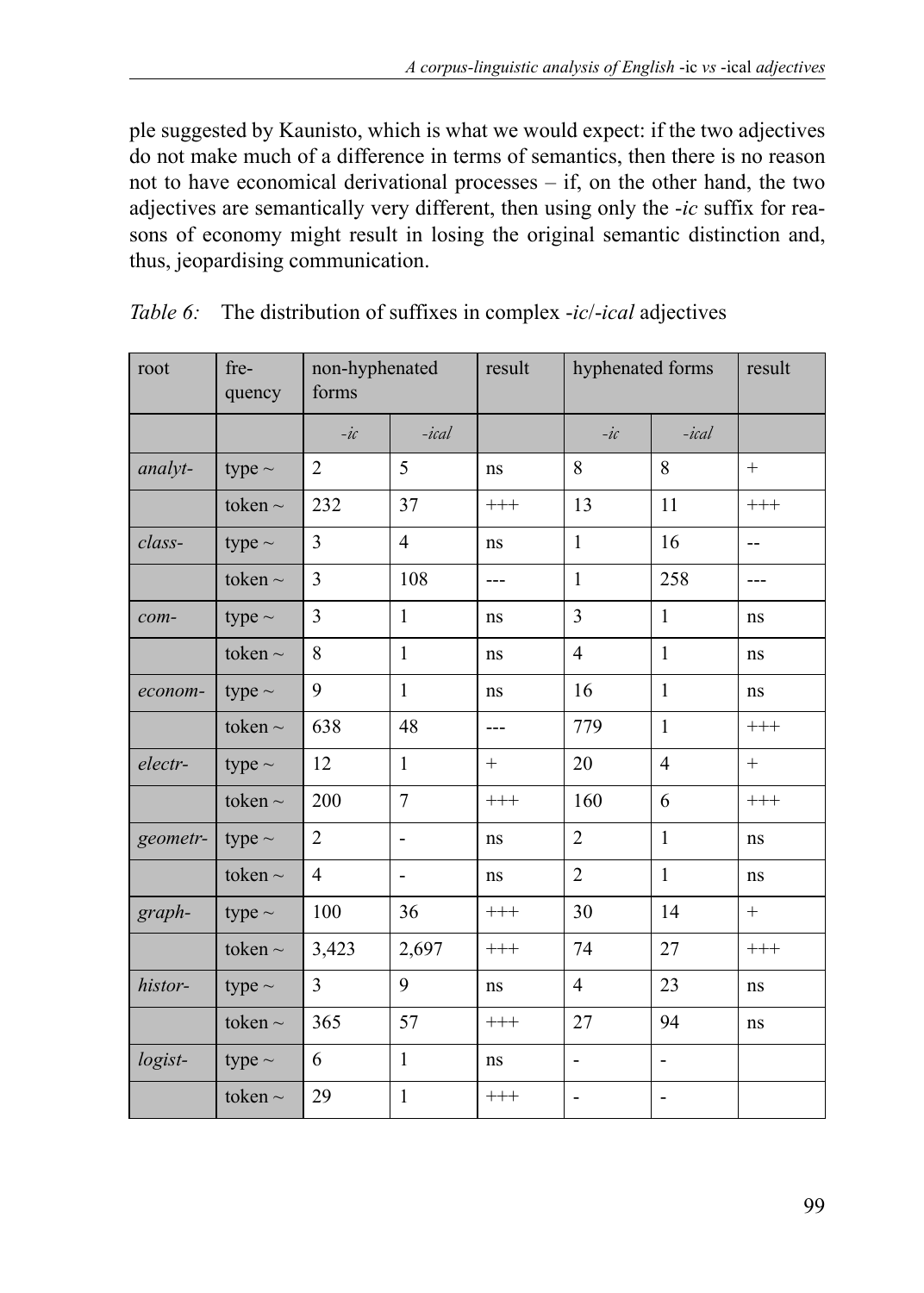ple suggested by Kaunisto, which is what we would expect: if the two adjectives do not make much of a difference in terms of semantics, then there is no reason not to have economical derivational processes – if, on the other hand, the two adjectives are semantically very different, then using only the -*ic* suffix for reasons of economy might result in losing the original semantic distinction and, thus, jeopardising communication.

| root     | fre-<br>quency | non-hyphenated<br>forms |                | result   | hyphenated forms |                | result   |
|----------|----------------|-------------------------|----------------|----------|------------------|----------------|----------|
|          |                | $-ic$                   | $-ical$        |          | $-ic$            | $-ical$        |          |
| analyt-  | type $\sim$    | $\overline{c}$          | 5              | ns       | 8                | 8              | $+$      |
|          | token $\sim$   | 232                     | 37             | $^{+++}$ | 13               | 11             | $^{+++}$ |
| class-   | type $\sim$    | 3                       | $\overline{4}$ | ns       | $\mathbf{1}$     | 16             | $-$      |
|          | token $\sim$   | 3                       | 108            | $---$    | $\mathbf{1}$     | 258            | $---$    |
| com-     | type $\sim$    | 3                       | $\mathbf{1}$   | ns       | $\overline{3}$   | $\mathbf{1}$   | ns       |
|          | token $\sim$   | 8                       | $\mathbf{1}$   | ns       | $\overline{4}$   | $\mathbf{1}$   | ns       |
| econom-  | type $\sim$    | 9                       | $\mathbf{1}$   | ns       | 16               | $\mathbf{1}$   | ns       |
|          | token $\sim$   | 638                     | 48             | ---      | 779              | $\mathbf{1}$   | $^{+++}$ |
| electr-  | type $\sim$    | 12                      | $\mathbf{1}$   | $^{+}$   | 20               | $\overline{4}$ | $+$      |
|          | token $\sim$   | 200                     | $\overline{7}$ | $^{+++}$ | 160              | 6              | $^{+++}$ |
| geometr- | type $\sim$    | $\overline{2}$          | L,             | ns       | $\overline{2}$   | $\mathbf{1}$   | ns       |
|          | token $\sim$   | $\overline{4}$          | $\overline{a}$ | ns       | $\overline{2}$   | $\mathbf{1}$   | ns       |
| graph-   | type $\sim$    | 100                     | 36             | $^{+++}$ | 30               | 14             | $^{+}$   |
|          | token $\sim$   | 3,423                   | 2,697          | $^{+++}$ | 74               | 27             | $^{+++}$ |
| histor-  | type $\sim$    | 3                       | 9              | ns       | $\overline{4}$   | 23             | ns       |
|          | token $\sim$   | 365                     | 57             | $^{+++}$ | 27               | 94             | ns       |
| logist-  | type $\sim$    | 6                       | $\mathbf{1}$   | ns       | $\frac{1}{2}$    | $\overline{a}$ |          |
|          | token $\sim$   | 29                      | $\mathbf{1}$   | $^{+++}$ | $\overline{a}$   | $\overline{a}$ |          |

*Table 6:* The distribution of suffixes in complex -*ic*/-*ical* adjectives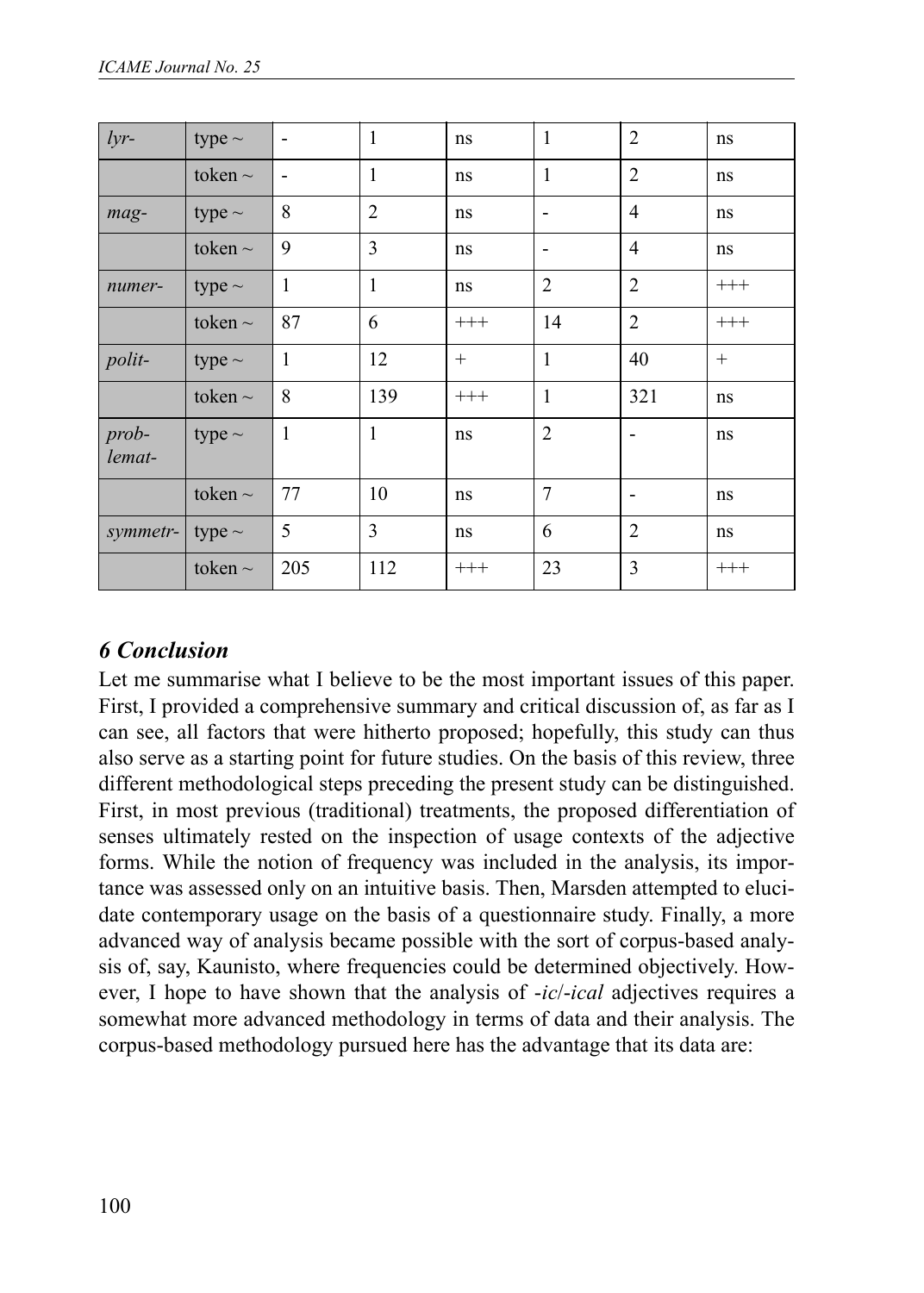| $lyr-$            | type $\sim$  |              | 1              | ns       | $\mathbf{1}$   | $\overline{2}$ | ns       |
|-------------------|--------------|--------------|----------------|----------|----------------|----------------|----------|
|                   | token $\sim$ |              | $\mathbf{1}$   | ns       | 1              | $\overline{2}$ | ns       |
| mag-              | type $\sim$  | 8            | $\overline{2}$ | ns       |                | $\overline{4}$ | ns       |
|                   | token $\sim$ | 9            | 3              | ns       |                | $\overline{4}$ | ns       |
| numer-            | type $\sim$  | $\mathbf{1}$ | $\mathbf{1}$   | ns       | $\overline{2}$ | $\overline{2}$ | $^{+++}$ |
|                   | token $\sim$ | 87           | 6              | $^{+++}$ | 14             | $\overline{2}$ | $^{+++}$ |
| polit-            | type $\sim$  | $\mathbf{1}$ | 12             | $^{+}$   | $\mathbf{1}$   | 40             | $+$      |
|                   | token $\sim$ | 8            | 139            | $^{+++}$ | $\mathbf{1}$   | 321            | ns       |
| $prob-$<br>lemat- | type $\sim$  | $\mathbf{1}$ | $\mathbf{1}$   | ns       | $\overline{2}$ |                | ns       |
|                   | token $\sim$ | 77           | 10             | ns       | $\overline{7}$ |                | ns       |
| symmetr-          | type $\sim$  | 5            | 3              | ns       | 6              | $\overline{2}$ | ns       |
|                   | token $\sim$ | 205          | 112            | $^{+++}$ | 23             | 3              | $^{+++}$ |

#### *6 Conclusion*

Let me summarise what I believe to be the most important issues of this paper. First, I provided a comprehensive summary and critical discussion of, as far as I can see, all factors that were hitherto proposed; hopefully, this study can thus also serve as a starting point for future studies. On the basis of this review, three different methodological steps preceding the present study can be distinguished. First, in most previous (traditional) treatments, the proposed differentiation of senses ultimately rested on the inspection of usage contexts of the adjective forms. While the notion of frequency was included in the analysis, its importance was assessed only on an intuitive basis. Then, Marsden attempted to elucidate contemporary usage on the basis of a questionnaire study. Finally, a more advanced way of analysis became possible with the sort of corpus-based analysis of, say, Kaunisto, where frequencies could be determined objectively. However, I hope to have shown that the analysis of -*ic*/-*ical* adjectives requires a somewhat more advanced methodology in terms of data and their analysis. The corpus-based methodology pursued here has the advantage that its data are: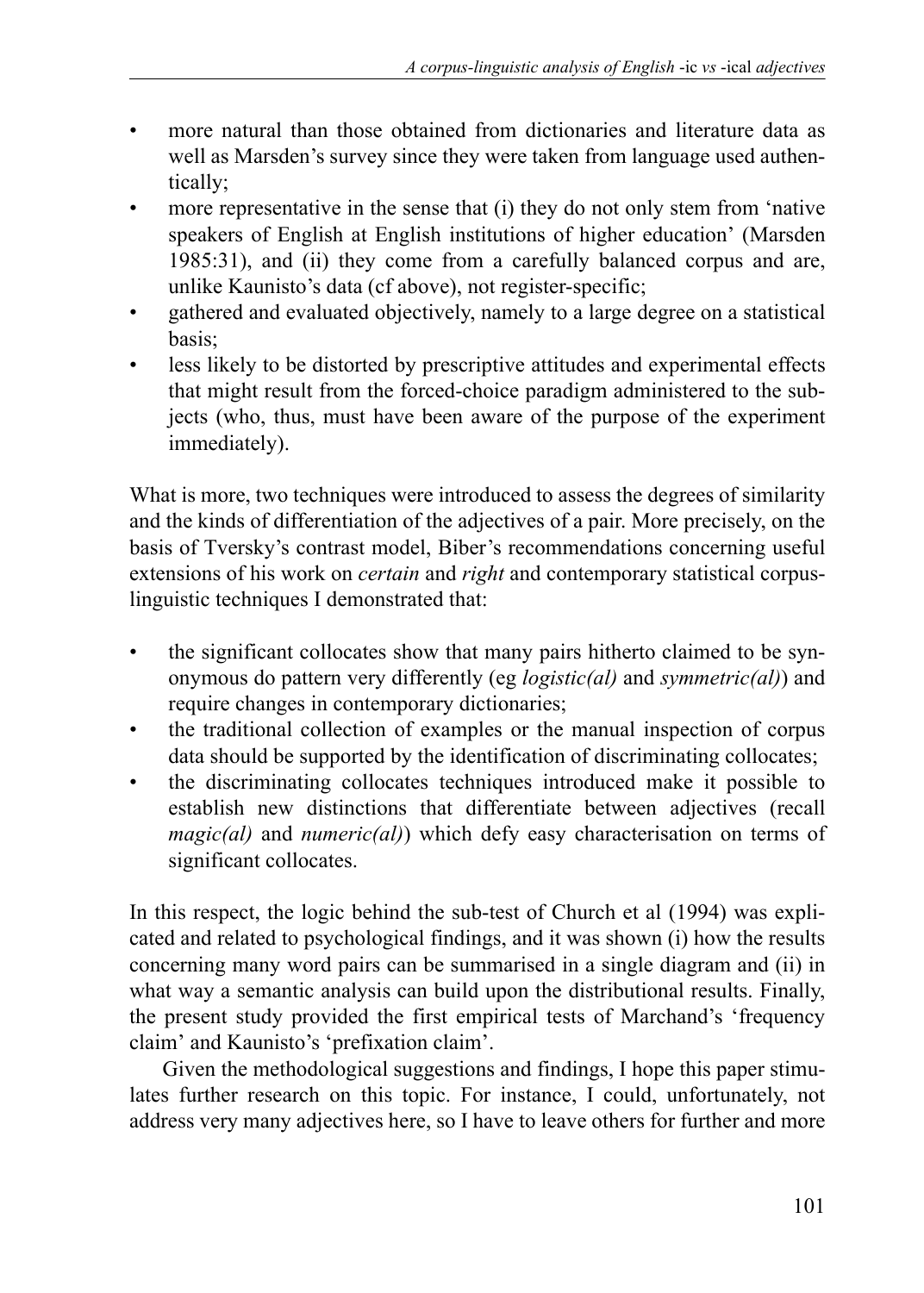- more natural than those obtained from dictionaries and literature data as well as Marsden's survey since they were taken from language used authentically;
- more representative in the sense that (i) they do not only stem from 'native speakers of English at English institutions of higher education' (Marsden 1985:31), and (ii) they come from a carefully balanced corpus and are, unlike Kaunisto's data (cf above), not register-specific;
- gathered and evaluated objectively, namely to a large degree on a statistical basis;
- less likely to be distorted by prescriptive attitudes and experimental effects that might result from the forced-choice paradigm administered to the subjects (who, thus, must have been aware of the purpose of the experiment immediately).

What is more, two techniques were introduced to assess the degrees of similarity and the kinds of differentiation of the adjectives of a pair. More precisely, on the basis of Tversky's contrast model, Biber's recommendations concerning useful extensions of his work on *certain* and *right* and contemporary statistical corpuslinguistic techniques I demonstrated that:

- the significant collocates show that many pairs hitherto claimed to be synonymous do pattern very differently (eg *logistic(al)* and *symmetric(al)*) and require changes in contemporary dictionaries;
- the traditional collection of examples or the manual inspection of corpus data should be supported by the identification of discriminating collocates;
- the discriminating collocates techniques introduced make it possible to establish new distinctions that differentiate between adjectives (recall *magic(al)* and *numeric(al)*) which defy easy characterisation on terms of significant collocates.

In this respect, the logic behind the sub-test of Church et al (1994) was explicated and related to psychological findings, and it was shown (i) how the results concerning many word pairs can be summarised in a single diagram and (ii) in what way a semantic analysis can build upon the distributional results. Finally, the present study provided the first empirical tests of Marchand's 'frequency claim' and Kaunisto's 'prefixation claim'.

Given the methodological suggestions and findings, I hope this paper stimulates further research on this topic. For instance, I could, unfortunately, not address very many adjectives here, so I have to leave others for further and more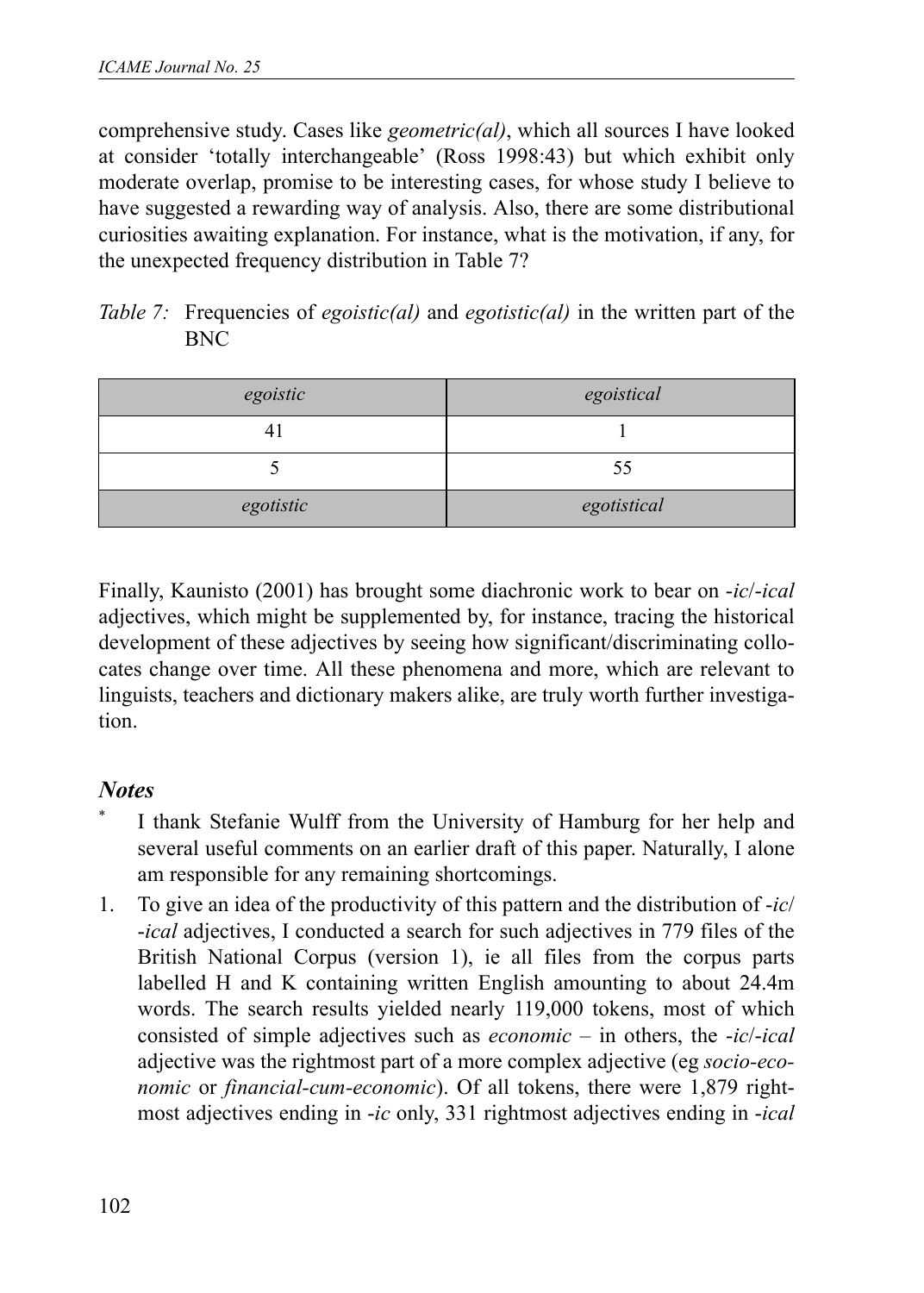comprehensive study. Cases like *geometric(al)*, which all sources I have looked at consider 'totally interchangeable' (Ross 1998:43) but which exhibit only moderate overlap, promise to be interesting cases, for whose study I believe to have suggested a rewarding way of analysis. Also, there are some distributional curiosities awaiting explanation. For instance, what is the motivation, if any, for the unexpected frequency distribution in Table 7?

| <i>Table 7:</i> Frequencies of <i>egoistic(al)</i> and <i>egotistic(al)</i> in the written part of the |  |  |  |  |
|--------------------------------------------------------------------------------------------------------|--|--|--|--|
| <b>BNC</b>                                                                                             |  |  |  |  |

| egoistic       | egoistical  |  |  |  |
|----------------|-------------|--|--|--|
| $\overline{4}$ |             |  |  |  |
|                | 55          |  |  |  |
| egotistic      | egotistical |  |  |  |

Finally, Kaunisto (2001) has brought some diachronic work to bear on -*ic*/-*ical* adjectives, which might be supplemented by, for instance, tracing the historical development of these adjectives by seeing how significant/discriminating collocates change over time. All these phenomena and more, which are relevant to linguists, teachers and dictionary makers alike, are truly worth further investigation.

## *Notes*

- I thank Stefanie Wulff from the University of Hamburg for her help and several useful comments on an earlier draft of this paper. Naturally, I alone am responsible for any remaining shortcomings.
- 1. To give an idea of the productivity of this pattern and the distribution of -*ic*/ -*ical* adjectives, I conducted a search for such adjectives in 779 files of the British National Corpus (version 1), ie all files from the corpus parts labelled H and K containing written English amounting to about 24.4m words. The search results yielded nearly 119,000 tokens, most of which consisted of simple adjectives such as *economic* – in others, the -*ic*/-*ical* adjective was the rightmost part of a more complex adjective (eg *socio-economic* or *financial-cum-economic*). Of all tokens, there were 1,879 rightmost adjectives ending in -*ic* only, 331 rightmost adjectives ending in -*ical*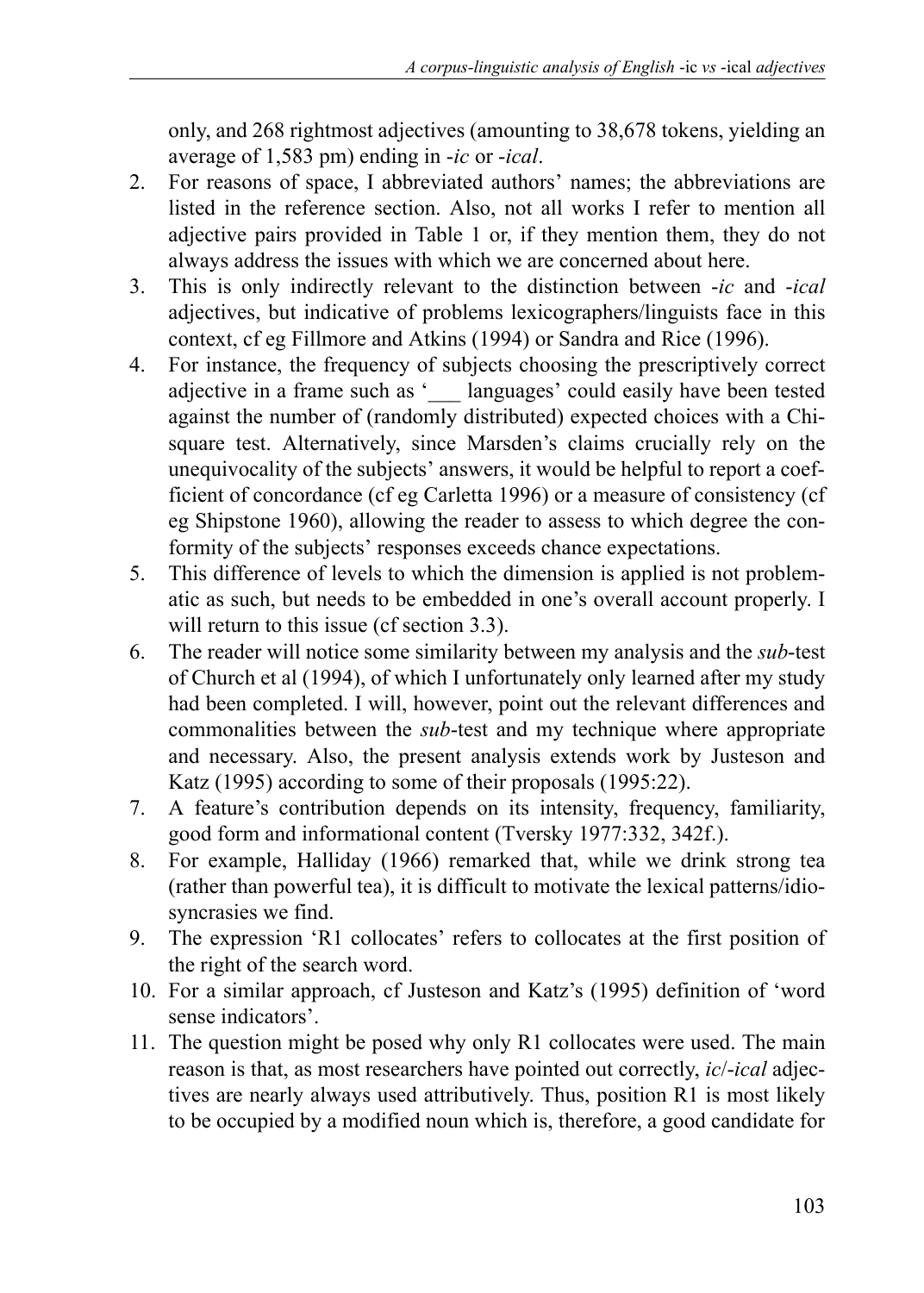only, and 268 rightmost adjectives (amounting to 38,678 tokens, yielding an average of 1,583 pm) ending in -*ic* or -*ical*.

- 2. For reasons of space, I abbreviated authors' names; the abbreviations are listed in the reference section. Also, not all works I refer to mention all adjective pairs provided in Table 1 or, if they mention them, they do not always address the issues with which we are concerned about here.
- 3. This is only indirectly relevant to the distinction between -*ic* and -*ical* adjectives, but indicative of problems lexicographers/linguists face in this context, cf eg Fillmore and Atkins (1994) or Sandra and Rice (1996).
- 4. For instance, the frequency of subjects choosing the prescriptively correct adjective in a frame such as '\_\_\_ languages' could easily have been tested against the number of (randomly distributed) expected choices with a Chisquare test. Alternatively, since Marsden's claims crucially rely on the unequivocality of the subjects' answers, it would be helpful to report a coefficient of concordance (cf eg Carletta 1996) or a measure of consistency (cf eg Shipstone 1960), allowing the reader to assess to which degree the conformity of the subjects' responses exceeds chance expectations.
- 5. This difference of levels to which the dimension is applied is not problematic as such, but needs to be embedded in one's overall account properly. I will return to this issue (cf section 3.3).
- 6. The reader will notice some similarity between my analysis and the *sub*-test of Church et al (1994), of which I unfortunately only learned after my study had been completed. I will, however, point out the relevant differences and commonalities between the *sub*-test and my technique where appropriate and necessary. Also, the present analysis extends work by Justeson and Katz (1995) according to some of their proposals (1995:22).
- 7. A feature's contribution depends on its intensity, frequency, familiarity, good form and informational content (Tversky 1977:332, 342f.).
- 8. For example, Halliday (1966) remarked that, while we drink strong tea (rather than powerful tea), it is difficult to motivate the lexical patterns/idiosyncrasies we find.
- 9. The expression 'R1 collocates' refers to collocates at the first position of the right of the search word.
- 10. For a similar approach, cf Justeson and Katz's (1995) definition of 'word sense indicators'.
- 11. The question might be posed why only R1 collocates were used. The main reason is that, as most researchers have pointed out correctly, *ic*/-*ical* adjectives are nearly always used attributively. Thus, position R1 is most likely to be occupied by a modified noun which is, therefore, a good candidate for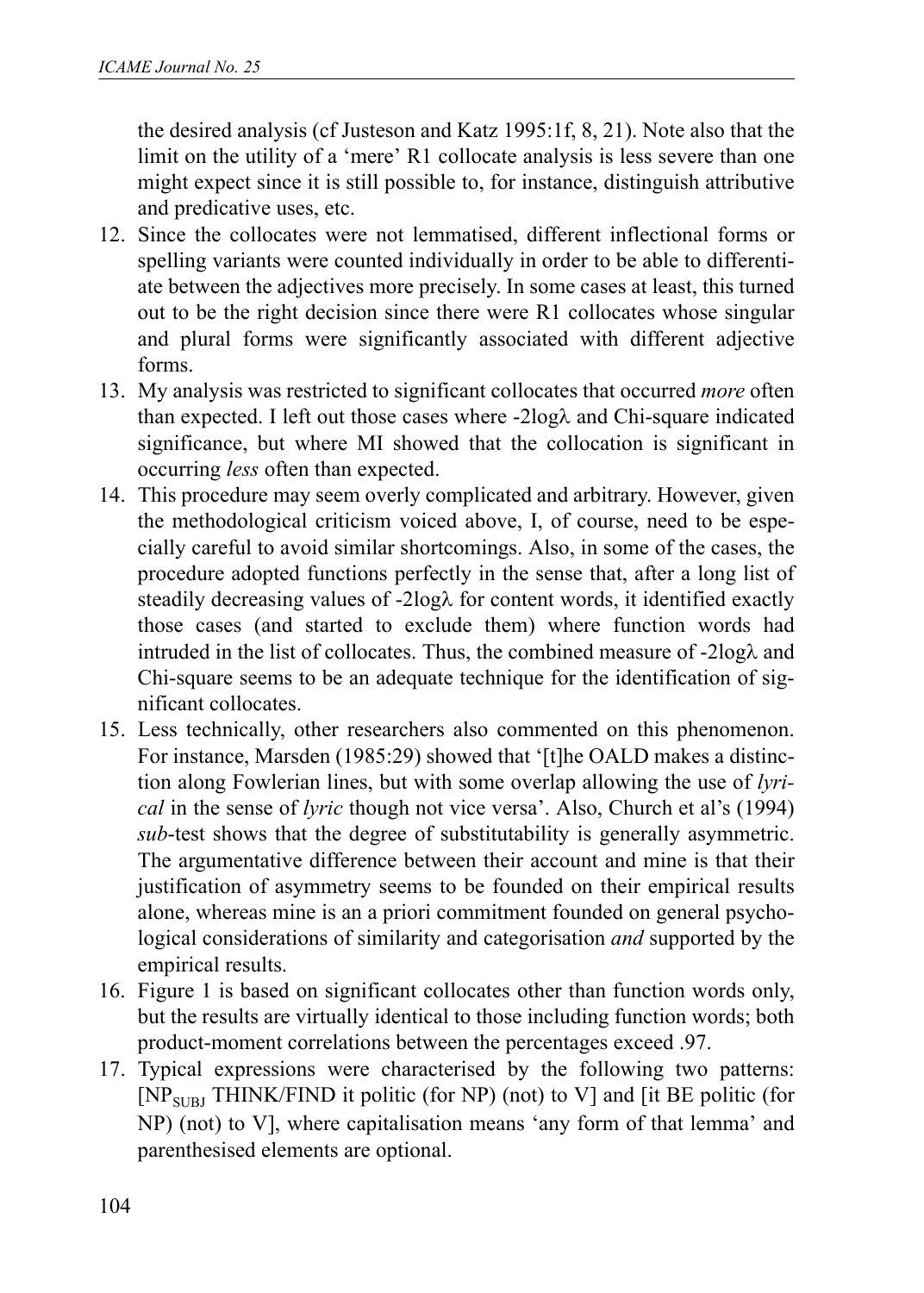the desired analysis (cf Justeson and Katz 1995:1f, 8, 21). Note also that the limit on the utility of a 'mere' R1 collocate analysis is less severe than one might expect since it is still possible to, for instance, distinguish attributive and predicative uses, etc.

- 12. Since the collocates were not lemmatised, different inflectional forms or spelling variants were counted individually in order to be able to differentiate between the adjectives more precisely. In some cases at least, this turned out to be the right decision since there were R1 collocates whose singular and plural forms were significantly associated with different adjective forms.
- 13. My analysis was restricted to significant collocates that occurred *more* often than expected. I left out those cases where -2logλ and Chi-square indicated significance, but where MI showed that the collocation is significant in occurring *less* often than expected.
- 14. This procedure may seem overly complicated and arbitrary. However, given the methodological criticism voiced above, I, of course, need to be especially careful to avoid similar shortcomings. Also, in some of the cases, the procedure adopted functions perfectly in the sense that, after a long list of steadily decreasing values of -2logλ for content words, it identified exactly those cases (and started to exclude them) where function words had intruded in the list of collocates. Thus, the combined measure of -2logλ and Chi-square seems to be an adequate technique for the identification of significant collocates.
- 15. Less technically, other researchers also commented on this phenomenon. For instance, Marsden (1985:29) showed that '[t]he OALD makes a distinction along Fowlerian lines, but with some overlap allowing the use of *lyrical* in the sense of *lyric* though not vice versa'. Also, Church et al's (1994) *sub*-test shows that the degree of substitutability is generally asymmetric. The argumentative difference between their account and mine is that their justification of asymmetry seems to be founded on their empirical results alone, whereas mine is an a priori commitment founded on general psychological considerations of similarity and categorisation *and* supported by the empirical results.
- 16. Figure 1 is based on significant collocates other than function words only, but the results are virtually identical to those including function words; both product-moment correlations between the percentages exceed .97.
- 17. Typical expressions were characterised by the following two patterns:  $[NP<sub>SUBJ</sub>THINK/FIND$  it politic (for NP) (not) to V] and [it BE politic (for NP) (not) to V], where capitalisation means 'any form of that lemma' and parenthesised elements are optional.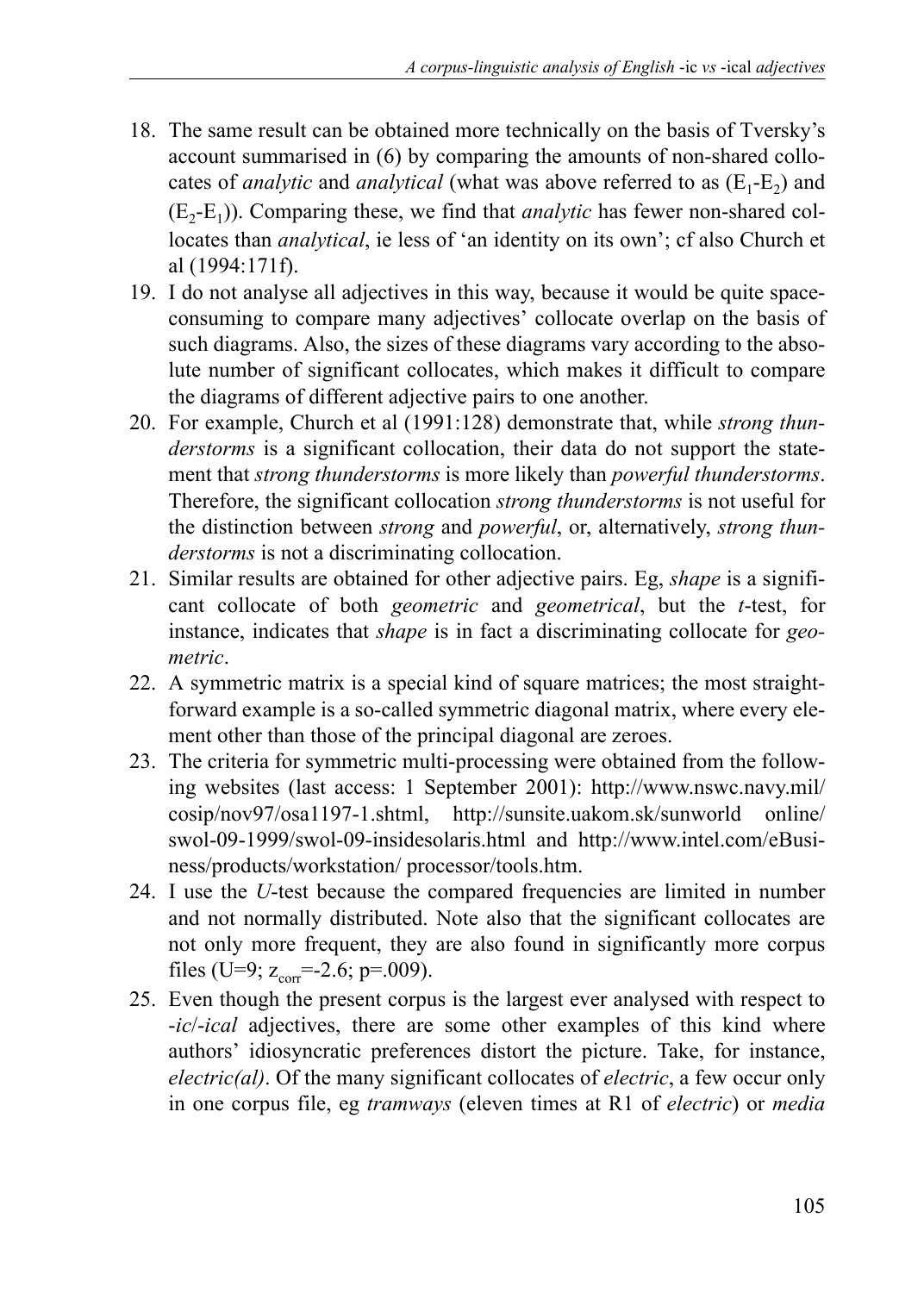- 18. The same result can be obtained more technically on the basis of Tversky's account summarised in (6) by comparing the amounts of non-shared collocates of *analytic* and *analytical* (what was above referred to as  $(E_1-E_2)$  and  $(E_2-E_1)$ ). Comparing these, we find that *analytic* has fewer non-shared collocates than *analytical*, ie less of 'an identity on its own'; cf also Church et al (1994:171f).
- 19. I do not analyse all adjectives in this way, because it would be quite spaceconsuming to compare many adjectives' collocate overlap on the basis of such diagrams. Also, the sizes of these diagrams vary according to the absolute number of significant collocates, which makes it difficult to compare the diagrams of different adjective pairs to one another.
- 20. For example, Church et al (1991:128) demonstrate that, while *strong thunderstorms* is a significant collocation, their data do not support the statement that *strong thunderstorms* is more likely than *powerful thunderstorms*. Therefore, the significant collocation *strong thunderstorms* is not useful for the distinction between *strong* and *powerful*, or, alternatively, *strong thunderstorms* is not a discriminating collocation.
- 21. Similar results are obtained for other adjective pairs. Eg, *shape* is a significant collocate of both *geometric* and *geometrical*, but the *t*-test, for instance, indicates that *shape* is in fact a discriminating collocate for *geometric*.
- 22. A symmetric matrix is a special kind of square matrices; the most straightforward example is a so-called symmetric diagonal matrix, where every element other than those of the principal diagonal are zeroes.
- 23. The criteria for symmetric multi-processing were obtained from the following websites (last access: 1 September 2001): http://www.nswc.navy.mil/ cosip/nov97/osa1197-1.shtml, http://sunsite.uakom.sk/sunworld online/ swol-09-1999/swol-09-insidesolaris.html and http://www.intel.com/eBusiness/products/workstation/ processor/tools.htm.
- 24. I use the *U*-test because the compared frequencies are limited in number and not normally distributed. Note also that the significant collocates are not only more frequent, they are also found in significantly more corpus files (U=9;  $z_{corr}$ =-2.6; p=.009).
- 25. Even though the present corpus is the largest ever analysed with respect to -*ic*/-*ical* adjectives, there are some other examples of this kind where authors' idiosyncratic preferences distort the picture. Take, for instance, *electric(al)*. Of the many significant collocates of *electric*, a few occur only in one corpus file, eg *tramways* (eleven times at R1 of *electric*) or *media*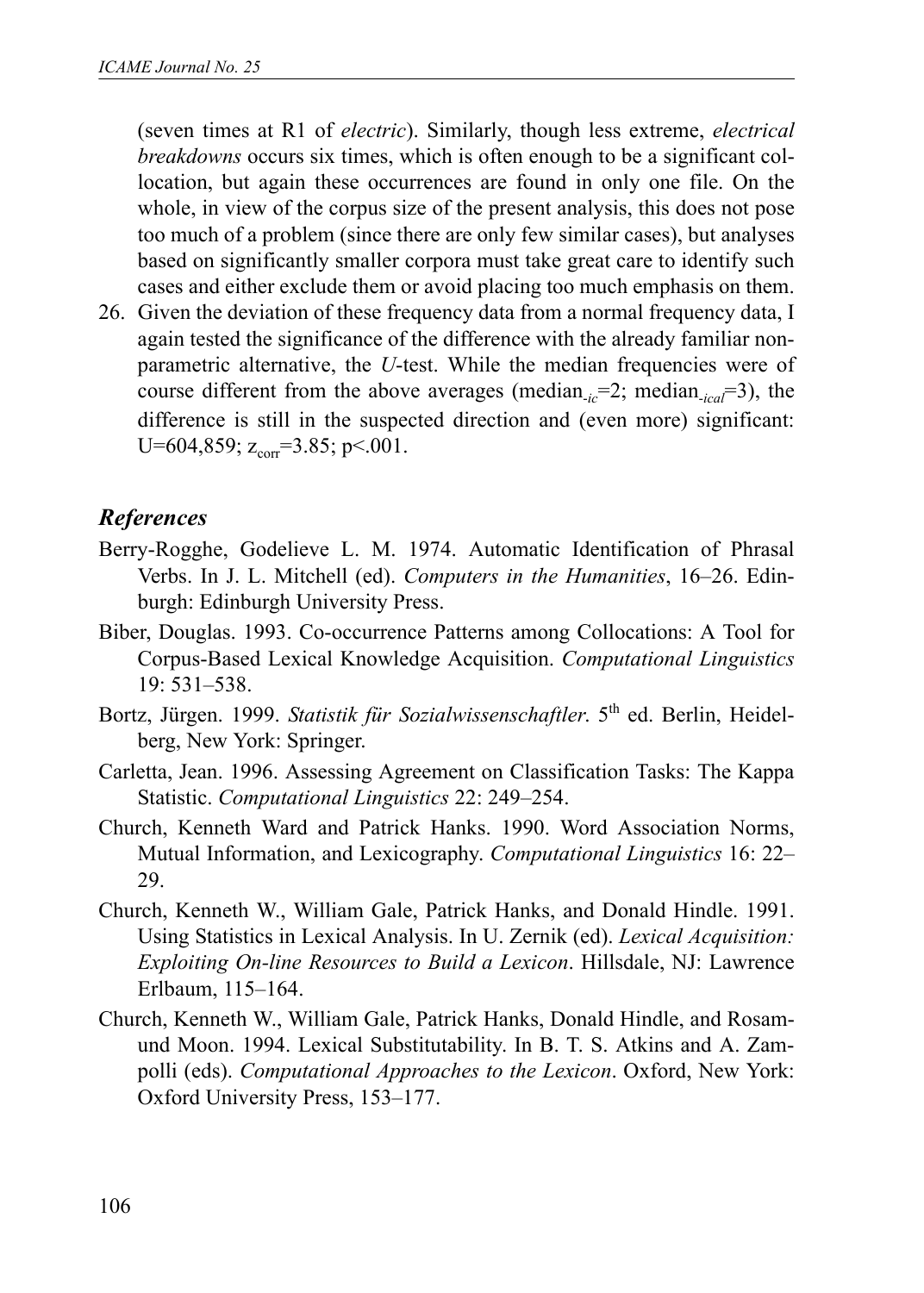(seven times at R1 of *electric*). Similarly, though less extreme, *electrical breakdowns* occurs six times, which is often enough to be a significant collocation, but again these occurrences are found in only one file. On the whole, in view of the corpus size of the present analysis, this does not pose too much of a problem (since there are only few similar cases), but analyses based on significantly smaller corpora must take great care to identify such cases and either exclude them or avoid placing too much emphasis on them.

26. Given the deviation of these frequency data from a normal frequency data, I again tested the significance of the difference with the already familiar nonparametric alternative, the *U*-test. While the median frequencies were of course different from the above averages (median-*ic*=2; median-*ical*=3), the difference is still in the suspected direction and (even more) significant: U=604,859;  $z_{corr}$ =3.85; p <.001.

## *References*

- Berry-Rogghe, Godelieve L. M. 1974. Automatic Identification of Phrasal Verbs. In J. L. Mitchell (ed). *Computers in the Humanities*, 16–26. Edinburgh: Edinburgh University Press.
- Biber, Douglas. 1993. Co-occurrence Patterns among Collocations: A Tool for Corpus-Based Lexical Knowledge Acquisition. *Computational Linguistics* 19: 531–538.
- Bortz, Jürgen. 1999. *Statistik für Sozialwissenschaftler*. 5th ed. Berlin, Heidelberg, New York: Springer.
- Carletta, Jean. 1996. Assessing Agreement on Classification Tasks: The Kappa Statistic. *Computational Linguistics* 22: 249–254.
- Church, Kenneth Ward and Patrick Hanks. 1990. Word Association Norms, Mutual Information, and Lexicography. *Computational Linguistics* 16: 22– 29.
- Church, Kenneth W., William Gale, Patrick Hanks, and Donald Hindle. 1991. Using Statistics in Lexical Analysis. In U. Zernik (ed). *Lexical Acquisition: Exploiting On-line Resources to Build a Lexicon*. Hillsdale, NJ: Lawrence Erlbaum, 115–164.
- Church, Kenneth W., William Gale, Patrick Hanks, Donald Hindle, and Rosamund Moon. 1994. Lexical Substitutability. In B. T. S. Atkins and A. Zampolli (eds). *Computational Approaches to the Lexicon*. Oxford, New York: Oxford University Press, 153–177.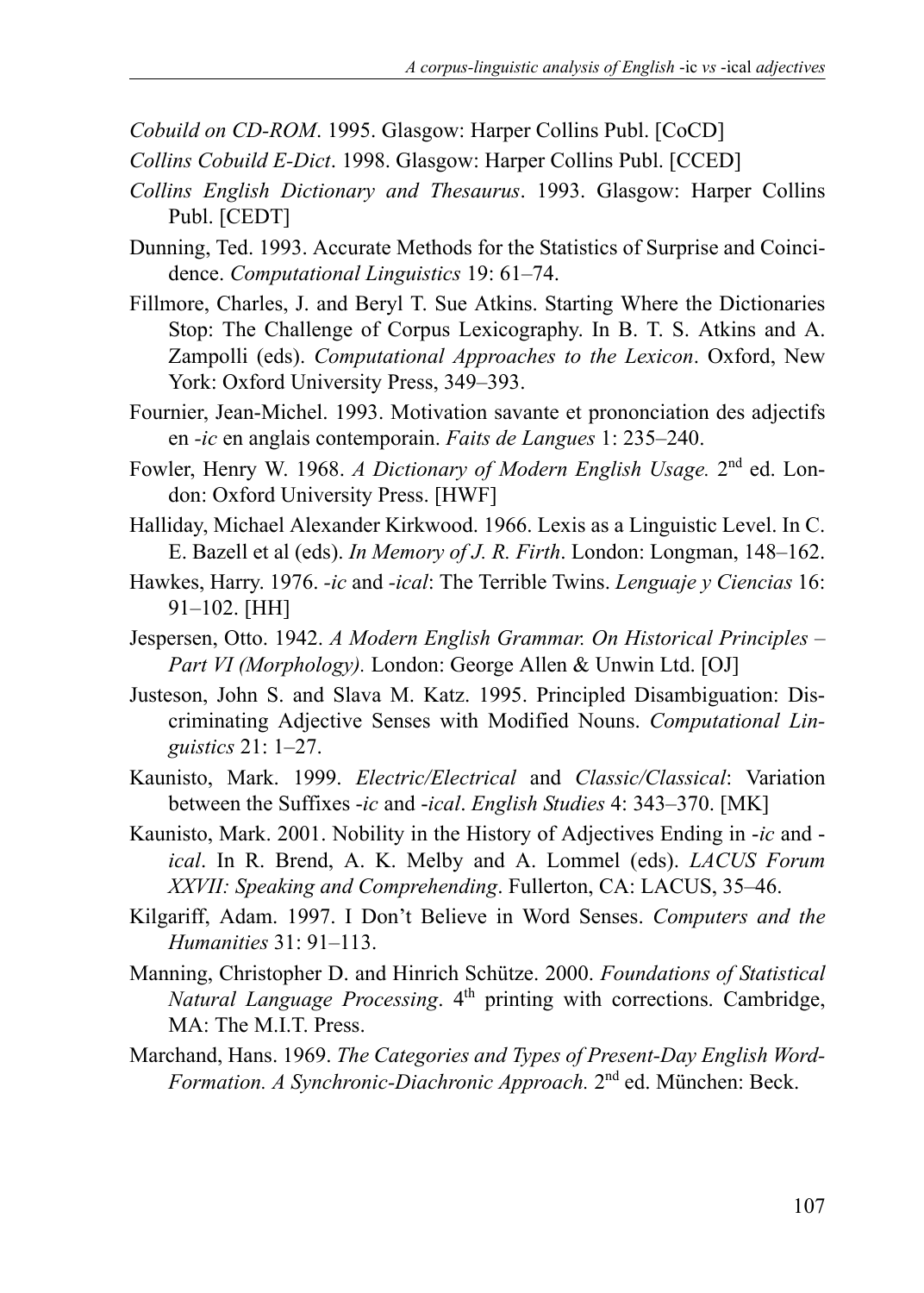*Cobuild on CD-ROM*. 1995. Glasgow: Harper Collins Publ. [CoCD]

- *Collins Cobuild E-Dict*. 1998. Glasgow: Harper Collins Publ. [CCED]
- *Collins English Dictionary and Thesaurus*. 1993. Glasgow: Harper Collins Publ. [CEDT]
- Dunning, Ted. 1993. Accurate Methods for the Statistics of Surprise and Coincidence. *Computational Linguistics* 19: 61–74.
- Fillmore, Charles, J. and Beryl T. Sue Atkins. Starting Where the Dictionaries Stop: The Challenge of Corpus Lexicography. In B. T. S. Atkins and A. Zampolli (eds). *Computational Approaches to the Lexicon*. Oxford, New York: Oxford University Press, 349–393.
- Fournier, Jean-Michel. 1993. Motivation savante et prononciation des adjectifs en *-ic* en anglais contemporain. *Faits de Langues* 1: 235–240.
- Fowler, Henry W. 1968. *A Dictionary of Modern English Usage.* 2nd ed. London: Oxford University Press. [HWF]
- Halliday, Michael Alexander Kirkwood. 1966. Lexis as a Linguistic Level. In C. E. Bazell et al (eds). *In Memory of J. R. Firth*. London: Longman, 148–162.
- Hawkes, Harry. 1976. *-ic* and *-ical*: The Terrible Twins. *Lenguaje y Ciencias* 16: 91–102. [HH]
- Jespersen, Otto. 1942. *A Modern English Grammar. On Historical Principles – Part VI (Morphology).* London: George Allen & Unwin Ltd. [OJ]
- Justeson, John S. and Slava M. Katz. 1995. Principled Disambiguation: Discriminating Adjective Senses with Modified Nouns. *Computational Linguistics* 21: 1–27.
- Kaunisto, Mark. 1999. *Electric/Electrical* and *Classic/Classical*: Variation between the Suffixes -*ic* and -*ical*. *English Studies* 4: 343–370. [MK]
- Kaunisto, Mark. 2001. Nobility in the History of Adjectives Ending in -*ic* and *ical*. In R. Brend, A. K. Melby and A. Lommel (eds). *LACUS Forum XXVII: Speaking and Comprehending*. Fullerton, CA: LACUS, 35–46.
- Kilgariff, Adam. 1997. I Don't Believe in Word Senses. *Computers and the Humanities* 31: 91–113.
- Manning, Christopher D. and Hinrich Schütze. 2000. *Foundations of Statistical Natural Language Processing*. 4<sup>th</sup> printing with corrections. Cambridge, MA: The MIT Press.
- Marchand, Hans. 1969. *The Categories and Types of Present-Day English Word-Formation. A Synchronic-Diachronic Approach.* 2nd ed. München: Beck.